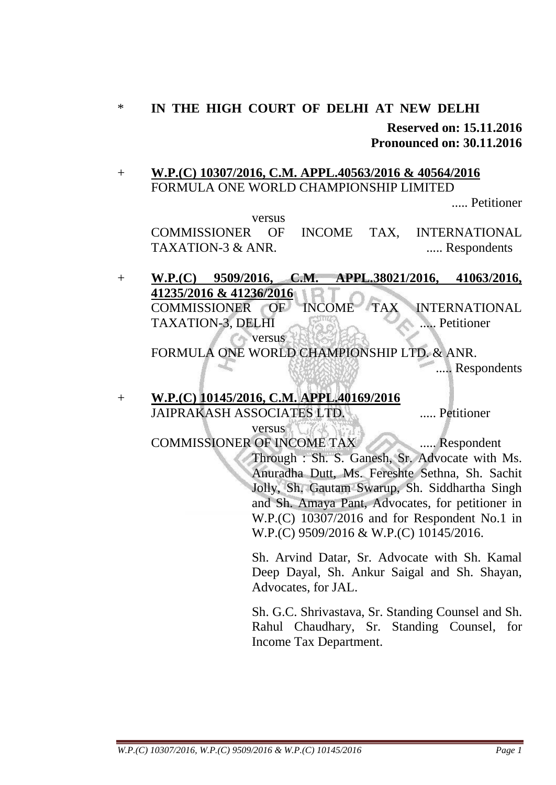# \* **IN THE HIGH COURT OF DELHI AT NEW DELHI**

**Reserved on: 15.11.2016 Pronounced on: 30.11.2016**

# + **W.P.(C) 10307/2016, C.M. APPL.40563/2016 & 40564/2016** FORMULA ONE WORLD CHAMPIONSHIP LIMITED

..... Petitioner

versus

COMMISSIONER OF INCOME TAX, INTERNATIONAL TAXATION-3 & ANR. ..... Respondents

+ **W.P.(C) 9509/2016, C.M. APPL.38021/2016, 41063/2016, 41235/2016 & 41236/2016** COMMISSIONER OF INCOME TAX INTERNATIONAL TAXATION-3, DELHI ..... Petitioner **versus** FORMULA ONE WORLD CHAMPIONSHIP LTD. & ANR.

..... Respondents

# + **W.P.(C) 10145/2016, C.M. APPL.40169/2016** JAIPRAKASH ASSOCIATES LTD. ..... Petitioner

**Will** 

versus

COMMISSIONER OF INCOME TAX ..... Respondent Through : Sh. S. Ganesh, Sr. Advocate with Ms. Anuradha Dutt, Ms. Fereshte Sethna, Sh. Sachit Jolly, Sh. Gautam Swarup, Sh. Siddhartha Singh and Sh. Amaya Pant, Advocates, for petitioner in W.P.(C) 10307/2016 and for Respondent No.1 in W.P.(C) 9509/2016 & W.P.(C) 10145/2016.

> Sh. Arvind Datar, Sr. Advocate with Sh. Kamal Deep Dayal, Sh. Ankur Saigal and Sh. Shayan, Advocates, for JAL.

> Sh. G.C. Shrivastava, Sr. Standing Counsel and Sh. Rahul Chaudhary, Sr. Standing Counsel, for Income Tax Department.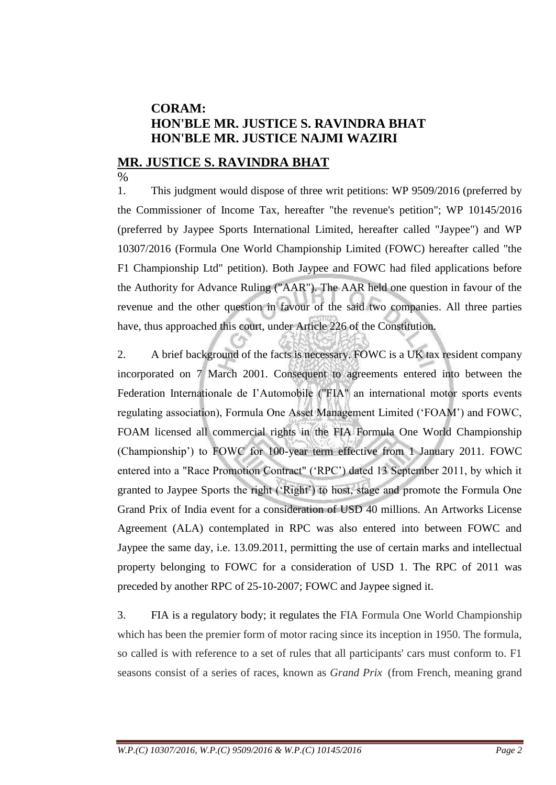# **CORAM: HON'BLE MR. JUSTICE S. RAVINDRA BHAT HON'BLE MR. JUSTICE NAJMI WAZIRI**

# **MR. JUSTICE S. RAVINDRA BHAT**

 $\frac{0}{6}$ 

1. This judgment would dispose of three writ petitions: WP 9509/2016 (preferred by the Commissioner of Income Tax, hereafter "the revenue's petition"; WP 10145/2016 (preferred by Jaypee Sports International Limited, hereafter called "Jaypee") and WP 10307/2016 (Formula One World Championship Limited (FOWC) hereafter called "the F1 Championship Ltd" petition). Both Jaypee and FOWC had filed applications before the Authority for Advance Ruling ("AAR"). The AAR held one question in favour of the revenue and the other question in favour of the said two companies. All three parties have, thus approached this court, under Article 226 of the Constitution.

2. A brief background of the facts is necessary. FOWC is a UK tax resident company incorporated on 7 March 2001. Consequent to agreements entered into between the Federation Internationale de I"Automobile ("FIA" an international motor sports events regulating association), Formula One Asset Management Limited ("FOAM") and FOWC, FOAM licensed all commercial rights in the FIA Formula One World Championship (Championship') to FOWC for 100-year term effective from 1 January 2011. FOWC entered into a "Race Promotion Contract" ("RPC") dated 13 September 2011, by which it granted to Jaypee Sports the right ("Right") to host, stage and promote the Formula One Grand Prix of India event for a consideration of USD 40 millions. An Artworks License Agreement (ALA) contemplated in RPC was also entered into between FOWC and Jaypee the same day, i.e. 13.09.2011, permitting the use of certain marks and intellectual property belonging to FOWC for a consideration of USD 1. The RPC of 2011 was preceded by another RPC of 25-10-2007; FOWC and Jaypee signed it.

3. FIA is a regulatory body; it regulates the FIA Formula One World Championship which has been the premier form of motor racing since its inception in 1950. The formula, so called is with reference to a set of rules that all participants' cars must conform to. F1 seasons consist of a series of races, known as *Grand Prix* (from French, meaning grand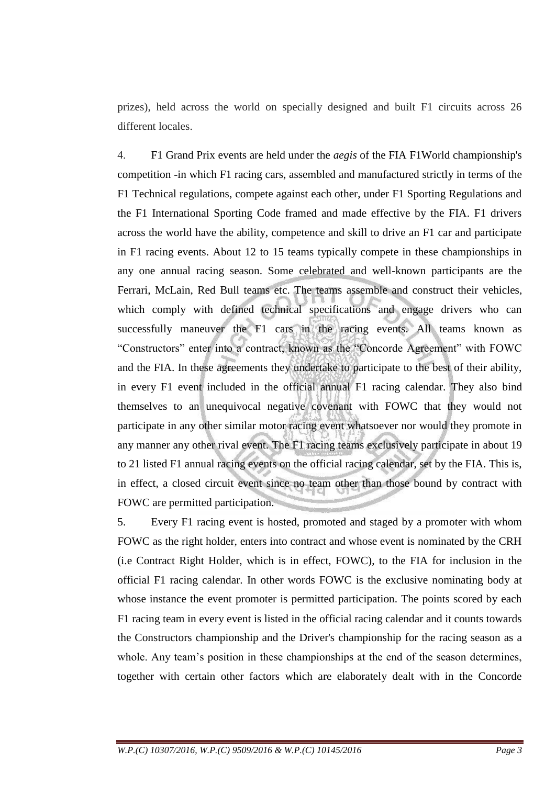prizes), held across the world on specially designed and built F1 circuits across 26 different locales.

4. F1 Grand Prix events are held under the *aegis* of the FIA F1World championship's competition -in which F1 racing cars, assembled and manufactured strictly in terms of the F1 Technical regulations, compete against each other, under F1 Sporting Regulations and the F1 International Sporting Code framed and made effective by the FIA. F1 drivers across the world have the ability, competence and skill to drive an F1 car and participate in F1 racing events. About 12 to 15 teams typically compete in these championships in any one annual racing season. Some celebrated and well-known participants are the Ferrari, McLain, Red Bull teams etc. The teams assemble and construct their vehicles, which comply with defined technical specifications and engage drivers who can successfully maneuver the F1 cars in the racing events. All teams known as "Constructors" enter into a contract, known as the "Concorde Agreement" with FOWC and the FIA. In these agreements they undertake to participate to the best of their ability, in every F1 event included in the official annual F1 racing calendar. They also bind themselves to an unequivocal negative covenant with FOWC that they would not participate in any other similar motor racing event whatsoever nor would they promote in any manner any other rival event. The F1 racing teams exclusively participate in about 19 to 21 listed F1 annual racing events on the official racing calendar, set by the FIA. This is, in effect, a closed circuit event since no team other than those bound by contract with FOWC are permitted participation.

5. Every F1 racing event is hosted, promoted and staged by a promoter with whom FOWC as the right holder, enters into contract and whose event is nominated by the CRH (i.e Contract Right Holder, which is in effect, FOWC), to the FIA for inclusion in the official F1 racing calendar. In other words FOWC is the exclusive nominating body at whose instance the event promoter is permitted participation. The points scored by each F1 racing team in every event is listed in the official racing calendar and it counts towards the Constructors championship and the Driver's championship for the racing season as a whole. Any team's position in these championships at the end of the season determines, together with certain other factors which are elaborately dealt with in the Concorde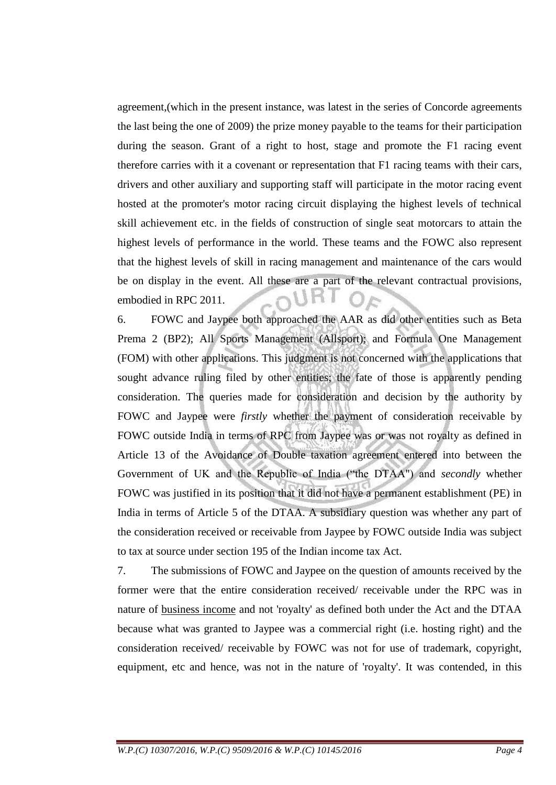agreement,(which in the present instance, was latest in the series of Concorde agreements the last being the one of 2009) the prize money payable to the teams for their participation during the season. Grant of a right to host, stage and promote the F1 racing event therefore carries with it a covenant or representation that F1 racing teams with their cars, drivers and other auxiliary and supporting staff will participate in the motor racing event hosted at the promoter's motor racing circuit displaying the highest levels of technical skill achievement etc. in the fields of construction of single seat motorcars to attain the highest levels of performance in the world. These teams and the FOWC also represent that the highest levels of skill in racing management and maintenance of the cars would be on display in the event. All these are a part of the relevant contractual provisions, embodied in RPC 2011.

6. FOWC and Jaypee both approached the AAR as did other entities such as Beta Prema 2 (BP2); All Sports Management (Allsport); and Formula One Management (FOM) with other applications. This judgment is not concerned with the applications that sought advance ruling filed by other entities; the fate of those is apparently pending consideration. The queries made for consideration and decision by the authority by FOWC and Jaypee were *firstly* whether the payment of consideration receivable by FOWC outside India in terms of RPC from Jaypee was or was not royalty as defined in Article 13 of the Avoidance of Double taxation agreement entered into between the Government of UK and the Republic of India ("the DTAA") and *secondly* whether FOWC was justified in its position that it did not have a permanent establishment (PE) in India in terms of Article 5 of the DTAA. A subsidiary question was whether any part of the consideration received or receivable from Jaypee by FOWC outside India was subject to tax at source under section 195 of the Indian income tax Act.

7. The submissions of FOWC and Jaypee on the question of amounts received by the former were that the entire consideration received/ receivable under the RPC was in nature of business income and not 'royalty' as defined both under the Act and the DTAA because what was granted to Jaypee was a commercial right (i.e. hosting right) and the consideration received/ receivable by FOWC was not for use of trademark, copyright, equipment, etc and hence, was not in the nature of 'royalty'. It was contended, in this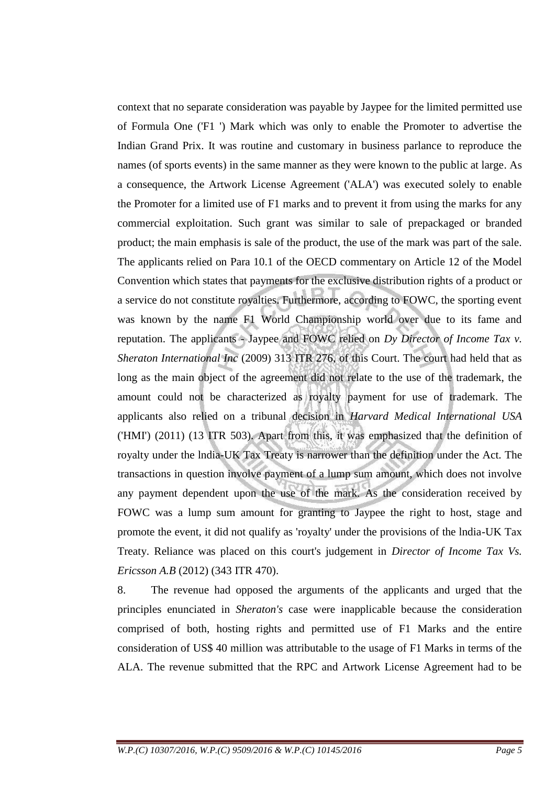context that no separate consideration was payable by Jaypee for the limited permitted use of Formula One ('F1 ') Mark which was only to enable the Promoter to advertise the Indian Grand Prix. It was routine and customary in business parlance to reproduce the names (of sports events) in the same manner as they were known to the public at large. As a consequence, the Artwork License Agreement ('ALA') was executed solely to enable the Promoter for a limited use of F1 marks and to prevent it from using the marks for any commercial exploitation. Such grant was similar to sale of prepackaged or branded product; the main emphasis is sale of the product, the use of the mark was part of the sale. The applicants relied on Para 10.1 of the OECD commentary on Article 12 of the Model Convention which states that payments for the exclusive distribution rights of a product or a service do not constitute royalties. Furthermore, according to FOWC, the sporting event was known by the name F1 World Championship world over due to its fame and reputation. The applicants - Jaypee and FOWC relied on *Dy Director of Income Tax v. Sheraton International Inc* (2009) 313 ITR 276, of this Court. The court had held that as long as the main object of the agreement did not relate to the use of the trademark, the amount could not be characterized as royalty payment for use of trademark. The applicants also relied on a tribunal decision in *Harvard Medical International USA* ('HMI') (2011) (13 ITR 503). Apart from this, it was emphasized that the definition of royalty under the lndia-UK Tax Treaty is narrower than the definition under the Act. The transactions in question involve payment of a lump sum amount, which does not involve any payment dependent upon the use of the mark. As the consideration received by FOWC was a lump sum amount for granting to Jaypee the right to host, stage and promote the event, it did not qualify as 'royalty' under the provisions of the lndia-UK Tax Treaty. Reliance was placed on this court's judgement in *Director of Income Tax Vs. Ericsson A.B* (2012) (343 ITR 470).

8. The revenue had opposed the arguments of the applicants and urged that the principles enunciated in *Sheraton's* case were inapplicable because the consideration comprised of both, hosting rights and permitted use of F1 Marks and the entire consideration of US\$ 40 million was attributable to the usage of F1 Marks in terms of the ALA. The revenue submitted that the RPC and Artwork License Agreement had to be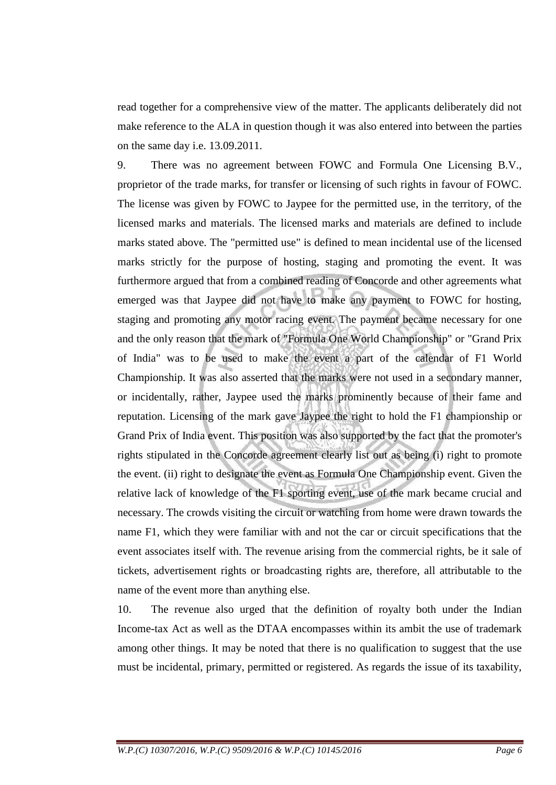read together for a comprehensive view of the matter. The applicants deliberately did not make reference to the ALA in question though it was also entered into between the parties on the same day i.e. 13.09.2011.

9. There was no agreement between FOWC and Formula One Licensing B.V., proprietor of the trade marks, for transfer or licensing of such rights in favour of FOWC. The license was given by FOWC to Jaypee for the permitted use, in the territory, of the licensed marks and materials. The licensed marks and materials are defined to include marks stated above. The "permitted use" is defined to mean incidental use of the licensed marks strictly for the purpose of hosting, staging and promoting the event. It was furthermore argued that from a combined reading of Concorde and other agreements what emerged was that Jaypee did not have to make any payment to FOWC for hosting, staging and promoting any motor racing event. The payment became necessary for one and the only reason that the mark of "Formula One World Championship" or "Grand Prix of India" was to be used to make the event a part of the calendar of F1 World Championship. It was also asserted that the marks were not used in a secondary manner, or incidentally, rather, Jaypee used the marks prominently because of their fame and reputation. Licensing of the mark gave Jaypee the right to hold the F1 championship or Grand Prix of India event. This position was also supported by the fact that the promoter's rights stipulated in the Concorde agreement clearly list out as being (i) right to promote the event. (ii) right to designate the event as Formula One Championship event. Given the relative lack of knowledge of the F1 sporting event, use of the mark became crucial and necessary. The crowds visiting the circuit or watching from home were drawn towards the name F1, which they were familiar with and not the car or circuit specifications that the event associates itself with. The revenue arising from the commercial rights, be it sale of tickets, advertisement rights or broadcasting rights are, therefore, all attributable to the name of the event more than anything else.

10. The revenue also urged that the definition of royalty both under the Indian Income-tax Act as well as the DTAA encompasses within its ambit the use of trademark among other things. It may be noted that there is no qualification to suggest that the use must be incidental, primary, permitted or registered. As regards the issue of its taxability,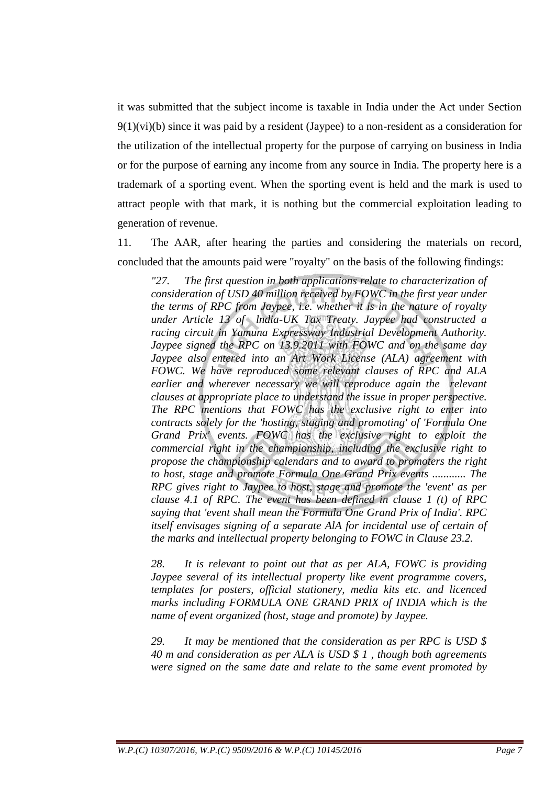it was submitted that the subject income is taxable in India under the Act under Section  $9(1)(vi)(b)$  since it was paid by a resident (Jaypee) to a non-resident as a consideration for the utilization of the intellectual property for the purpose of carrying on business in India or for the purpose of earning any income from any source in India. The property here is a trademark of a sporting event. When the sporting event is held and the mark is used to attract people with that mark, it is nothing but the commercial exploitation leading to generation of revenue.

11. The AAR, after hearing the parties and considering the materials on record, concluded that the amounts paid were "royalty" on the basis of the following findings:

*"27. The first question in both applications relate to characterization of consideration of USD 40 million received by FOWC in the first year under the terms of RPC from Jaypee, i.e. whether it is in the nature of royalty under Article 13 of lndia-UK Tax Treaty. Jaypee had constructed a racing circuit in Yamuna Expressway Industrial Development Authority. Jaypee signed the RPC on 13.9.2011 with FOWC and on the same day Jaypee also entered into an Art Work License (ALA) agreement with FOWC. We have reproduced some relevant clauses of RPC and ALA earlier and wherever necessary we will reproduce again the relevant clauses at appropriate place to understand the issue in proper perspective. The RPC mentions that FOWC has the exclusive right to enter into contracts solely for the 'hosting, staging and promoting' of 'Formula One Grand Prix' events. FOWC has the exclusive right to exploit the commercial right in the championship, including the exclusive right to propose the championship calendars and to award to promoters the right to host, stage and promote Formula One Grand Prix events ............ The RPC gives right to Jaypee to host, stage and promote the 'event' as per clause 4.1 of RPC. The event has been defined in clause 1 (t) of RPC saying that 'event shall mean the Formula One Grand Prix of India'. RPC itself envisages signing of a separate AlA for incidental use of certain of the marks and intellectual property belonging to FOWC in Clause 23.2.*

*28. It is relevant to point out that as per ALA, FOWC is providing Jaypee several of its intellectual property like event programme covers, templates for posters, official stationery, media kits etc. and licenced marks including FORMULA ONE GRAND PRIX of INDIA which is the name of event organized (host, stage and promote) by Jaypee.*

*29. It may be mentioned that the consideration as per RPC is USD \$ 40 m and consideration as per ALA is USD \$ 1 , though both agreements were signed on the same date and relate to the same event promoted by*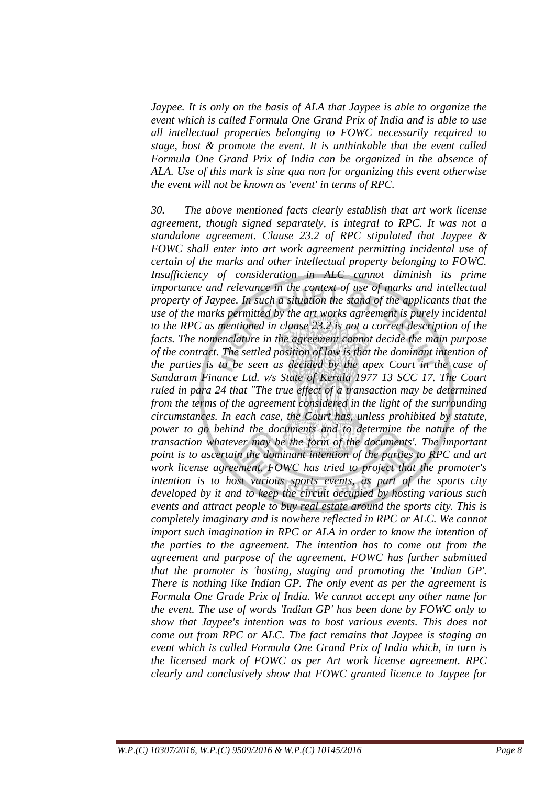*Jaypee. It is only on the basis of ALA that Jaypee is able to organize the event which is called Formula One Grand Prix of India and is able to use all intellectual properties belonging to FOWC necessarily required to stage, host & promote the event. It is unthinkable that the event called Formula One Grand Prix of India can be organized in the absence of ALA. Use of this mark is sine qua non for organizing this event otherwise the event will not be known as 'event' in terms of RPC.*

*30. The above mentioned facts clearly establish that art work license agreement, though signed separately, is integral to RPC. It was not a standalone agreement. Clause 23.2 of RPC stipulated that Jaypee & FOWC shall enter into art work agreement permitting incidental use of certain of the marks and other intellectual property belonging to FOWC. Insufficiency of consideration in ALC cannot diminish its prime importance and relevance in the context of use of marks and intellectual property of Jaypee. In such a situation the stand of the applicants that the use of the marks permitted by the art works agreement is purely incidental to the RPC as mentioned in clause 23.2 is not a correct description of the facts. The nomenclature in the agreement cannot decide the main purpose of the contract. The settled position of law is that the dominant intention of the parties is to be seen as decided by the apex Court in the case of Sundaram Finance Ltd. v/s State of Kerala 1977 13 SCC 17. The Court ruled in para 24 that "The true effect of a transaction may be determined from the terms of the agreement considered in the light of the surrounding circumstances. In each case, the Court has, unless prohibited by statute, power to go behind the documents and to determine the nature of the transaction whatever may be the form of the documents'. The important point is to ascertain the dominant intention of the parties to RPC and art work license agreement. FOWC has tried to project that the promoter's intention is to host various sports events, as part of the sports city developed by it and to keep the circuit occupied by hosting various such events and attract people to buy real estate around the sports city. This is completely imaginary and is nowhere reflected in RPC or ALC. We cannot import such imagination in RPC or ALA in order to know the intention of the parties to the agreement. The intention has to come out from the agreement and purpose of the agreement. FOWC has further submitted that the promoter is 'hosting, staging and promoting the 'Indian GP'. There is nothing like Indian GP. The only event as per the agreement is Formula One Grade Prix of India. We cannot accept any other name for the event. The use of words 'Indian GP' has been done by FOWC only to show that Jaypee's intention was to host various events. This does not come out from RPC or ALC. The fact remains that Jaypee is staging an event which is called Formula One Grand Prix of India which, in turn is the licensed mark of FOWC as per Art work license agreement. RPC clearly and conclusively show that FOWC granted licence to Jaypee for*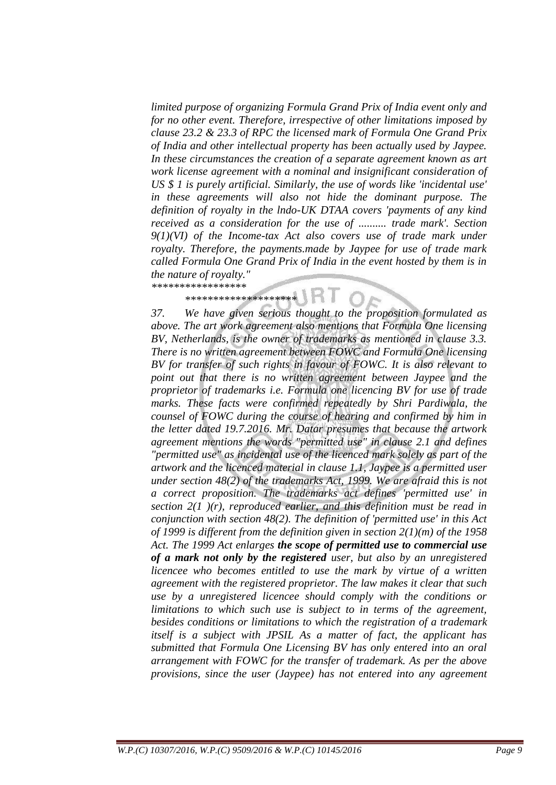*limited purpose of organizing Formula Grand Prix of India event only and for no other event. Therefore, irrespective of other limitations imposed by clause 23.2 & 23.3 of RPC the licensed mark of Formula One Grand Prix of India and other intellectual property has been actually used by Jaypee. In these circumstances the creation of a separate agreement known as art work license agreement with a nominal and insignificant consideration of US \$ 1 is purely artificial. Similarly, the use of words like 'incidental use' in these agreements will also not hide the dominant purpose. The definition of royalty in the lndo-UK DTAA covers 'payments of any kind received as a consideration for the use of .......... trade mark'. Section 9(1)(VI) of the Income-tax Act also covers use of trade mark under royalty. Therefore, the payments.made by Jaypee for use of trade mark called Formula One Grand Prix of India in the event hosted by them is in the nature of royalty." \*\*\*\*\*\*\*\*\*\*\*\*\*\*\*\*\**

*\*\*\*\*\*\*\*\*\*\*\*\*\*\*\*\*\*\*\*\**

*37. We have given serious thought to the proposition formulated as above. The art work agreement also mentions that Formula One licensing BV, Netherlands, is the owner of trademarks as mentioned in clause 3.3. There is no written agreement between FOWC and Formula One licensing BV for transfer of such rights in favour of FOWC. It is also relevant to point out that there is no written agreement between Jaypee and the proprietor of trademarks i.e. Formula one licencing BV for use of trade marks. These facts were confirmed repeatedly by Shri Pardiwala, the counsel of FOWC during the course of hearing and confirmed by him in the letter dated 19.7.2016. Mr. Datar presumes that because the artwork agreement mentions the words "permitted use" in clause 2.1 and defines "permitted use" as incidental use of the licenced mark solely as part of the artwork and the licenced material in clause 1.1, Jaypee is a permitted user under section 48(2) of the trademarks Act, 1999. We are afraid this is not a correct proposition. The trademarks act defines 'permitted use' in section 2(1 )(r), reproduced earlier, and this definition must be read in conjunction with section 48(2). The definition of 'permitted use' in this Act of 1999 is different from the definition given in section 2(1)(m) of the 1958 Act. The 1999 Act enlarges the scope of permitted use to commercial use of a mark not only by the registered user, but also by an unregistered licencee who becomes entitled to use the mark by virtue of a written agreement with the registered proprietor. The law makes it clear that such use by a unregistered licencee should comply with the conditions or limitations to which such use is subject to in terms of the agreement, besides conditions or limitations to which the registration of a trademark itself is a subject with JPSIL As a matter of fact, the applicant has submitted that Formula One Licensing BV has only entered into an oral arrangement with FOWC for the transfer of trademark. As per the above provisions, since the user (Jaypee) has not entered into any agreement*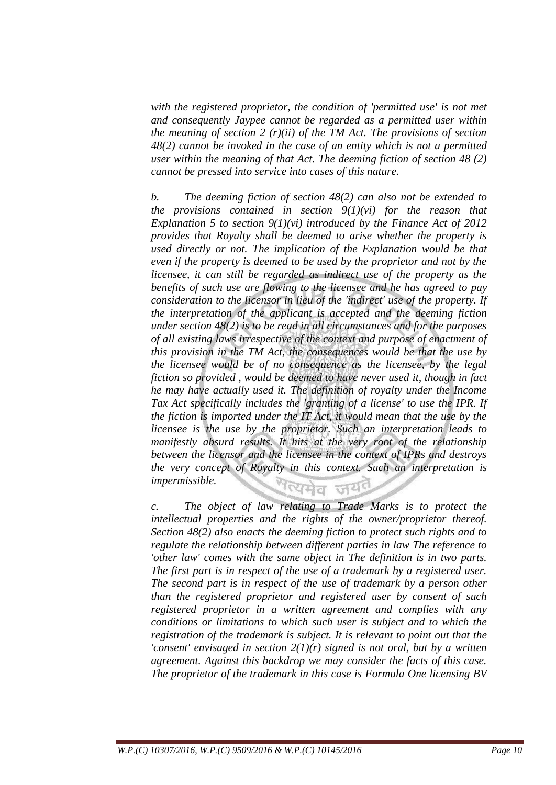*with the registered proprietor, the condition of 'permitted use' is not met and consequently Jaypee cannot be regarded as a permitted user within the meaning of section 2 (r)(ii) of the TM Act. The provisions of section 48(2) cannot be invoked in the case of an entity which is not a permitted user within the meaning of that Act. The deeming fiction of section 48 (2) cannot be pressed into service into cases of this nature.*

*b. The deeming fiction of section 48(2) can also not be extended to the provisions contained in section 9(1)(vi) for the reason that Explanation 5 to section 9(1)(vi) introduced by the Finance Act of 2012 provides that Royalty shall be deemed to arise whether the property is used directly or not. The implication of the Explanation would be that even if the property is deemed to be used by the proprietor and not by the licensee, it can still be regarded as indirect use of the property as the benefits of such use are flowing to the licensee and he has agreed to pay consideration to the licensor in lieu of the 'indirect' use of the property. If the interpretation of the applicant is accepted and the deeming fiction under section 48(2) is to be read in all circumstances and for the purposes of all existing laws irrespective of the context and purpose of enactment of this provision in the TM Act, the consequences would be that the use by the licensee would be of no consequence as the licensee, by the legal fiction so provided , would be deemed to have never used it, though in fact he may have actually used it. The definition of royalty under the Income Tax Act specifically includes the 'granting of a license' to use the IPR. If the fiction is imported under the IT Act, it would mean that the use by the licensee is the use by the proprietor. Such an interpretation leads to manifestly absurd results. It hits at the very root of the relationship between the licensor and the licensee in the context of IPRs and destroys the very concept of Royalty in this context. Such an interpretation is impermissible.* भत्यमेव जय

*c. The object of law relating to Trade Marks is to protect the intellectual properties and the rights of the owner/proprietor thereof. Section 48(2) also enacts the deeming fiction to protect such rights and to regulate the relationship between different parties in law The reference to 'other law' comes with the same object in The definition is in two parts. The first part is in respect of the use of a trademark by a registered user. The second part is in respect of the use of trademark by a person other than the registered proprietor and registered user by consent of such registered proprietor in a written agreement and complies with any conditions or limitations to which such user is subject and to which the registration of the trademark is subject. It is relevant to point out that the 'consent' envisaged in section 2(1)(r) signed is not oral, but by a written agreement. Against this backdrop we may consider the facts of this case. The proprietor of the trademark in this case is Formula One licensing BV*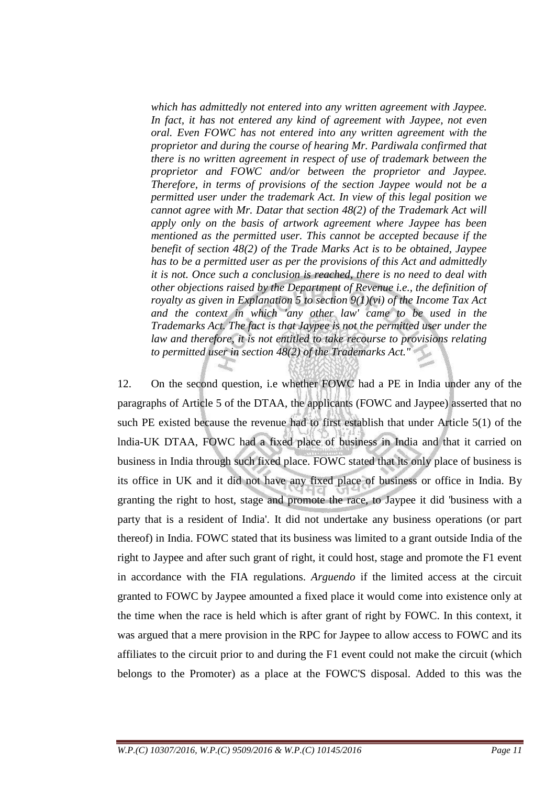*which has admittedly not entered into any written agreement with Jaypee. In fact, it has not entered any kind of agreement with Jaypee, not even oral. Even FOWC has not entered into any written agreement with the proprietor and during the course of hearing Mr. Pardiwala confirmed that there is no written agreement in respect of use of trademark between the proprietor and FOWC and/or between the proprietor and Jaypee. Therefore, in terms of provisions of the section Jaypee would not be a permitted user under the trademark Act. In view of this legal position we cannot agree with Mr. Datar that section 48(2) of the Trademark Act will apply only on the basis of artwork agreement where Jaypee has been mentioned as the permitted user. This cannot be accepted because if the benefit of section 48(2) of the Trade Marks Act is to be obtained, Jaypee has to be a permitted user as per the provisions of this Act and admittedly it is not. Once such a conclusion is reached, there is no need to deal with other objections raised by the Department of Revenue i.e., the definition of royalty as given in Explanation 5 to section 9(1)(vi) of the Income Tax Act and the context in which 'any other law' came to be used in the Trademarks Act. The fact is that Jaypee is not the permitted user under the law and therefore, it is not entitled to take recourse to provisions relating to permitted user in section 48(2) of the Trademarks Act."*

12. On the second question, i.e whether FOWC had a PE in India under any of the paragraphs of Article 5 of the DTAA, the applicants (FOWC and Jaypee) asserted that no such PE existed because the revenue had to first establish that under Article 5(1) of the lndia-UK DTAA, FOWC had a fixed place of business in India and that it carried on business in India through such fixed place. FOWC stated that its only place of business is its office in UK and it did not have any fixed place of business or office in India. By granting the right to host, stage and promote the race, to Jaypee it did 'business with a party that is a resident of India'. It did not undertake any business operations (or part thereof) in India. FOWC stated that its business was limited to a grant outside India of the right to Jaypee and after such grant of right, it could host, stage and promote the F1 event in accordance with the FIA regulations. *Arguendo* if the limited access at the circuit granted to FOWC by Jaypee amounted a fixed place it would come into existence only at the time when the race is held which is after grant of right by FOWC. In this context, it was argued that a mere provision in the RPC for Jaypee to allow access to FOWC and its affiliates to the circuit prior to and during the F1 event could not make the circuit (which belongs to the Promoter) as a place at the FOWC'S disposal. Added to this was the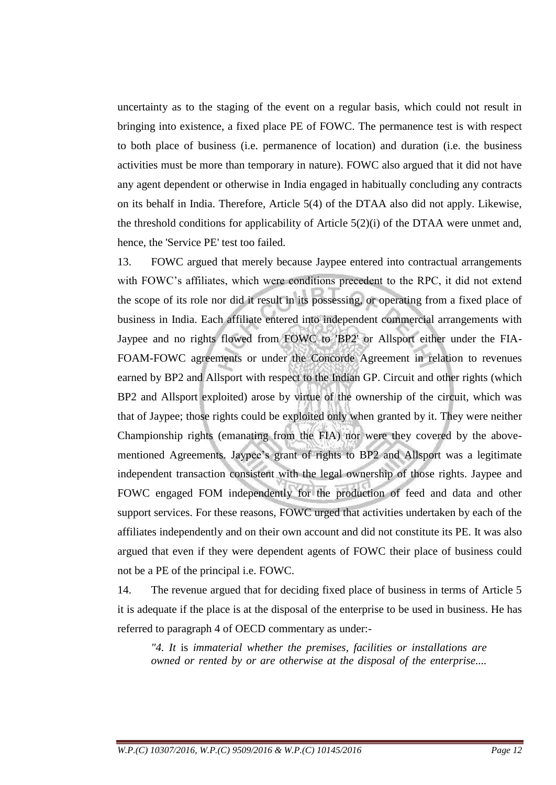uncertainty as to the staging of the event on a regular basis, which could not result in bringing into existence, a fixed place PE of FOWC. The permanence test is with respect to both place of business (i.e. permanence of location) and duration (i.e. the business activities must be more than temporary in nature). FOWC also argued that it did not have any agent dependent or otherwise in India engaged in habitually concluding any contracts on its behalf in India. Therefore, Article 5(4) of the DTAA also did not apply. Likewise, the threshold conditions for applicability of Article 5(2)(i) of the DTAA were unmet and, hence, the 'Service PE' test too failed.

13. FOWC argued that merely because Jaypee entered into contractual arrangements with FOWC"s affiliates, which were conditions precedent to the RPC, it did not extend the scope of its role nor did it result in its possessing, or operating from a fixed place of business in India. Each affiliate entered into independent commercial arrangements with Jaypee and no rights flowed from FOWC to 'BP2' or Allsport either under the FIA-FOAM-FOWC agreements or under the Concorde Agreement in relation to revenues earned by BP2 and Allsport with respect to the Indian GP. Circuit and other rights (which BP2 and Allsport exploited) arose by virtue of the ownership of the circuit, which was that of Jaypee; those rights could be exploited only when granted by it. They were neither Championship rights (emanating from the FIA) nor were they covered by the abovementioned Agreements. Jaypee"s grant of rights to BP2 and Allsport was a legitimate independent transaction consistent with the legal ownership of those rights. Jaypee and FOWC engaged FOM independently for the production of feed and data and other support services. For these reasons, FOWC urged that activities undertaken by each of the affiliates independently and on their own account and did not constitute its PE. It was also argued that even if they were dependent agents of FOWC their place of business could not be a PE of the principal i.e. FOWC.

14. The revenue argued that for deciding fixed place of business in terms of Article 5 it is adequate if the place is at the disposal of the enterprise to be used in business. He has referred to paragraph 4 of OECD commentary as under:-

*"4. It* is *immaterial whether the premises, facilities or installations are owned or rented by or are otherwise at the disposal of the enterprise....*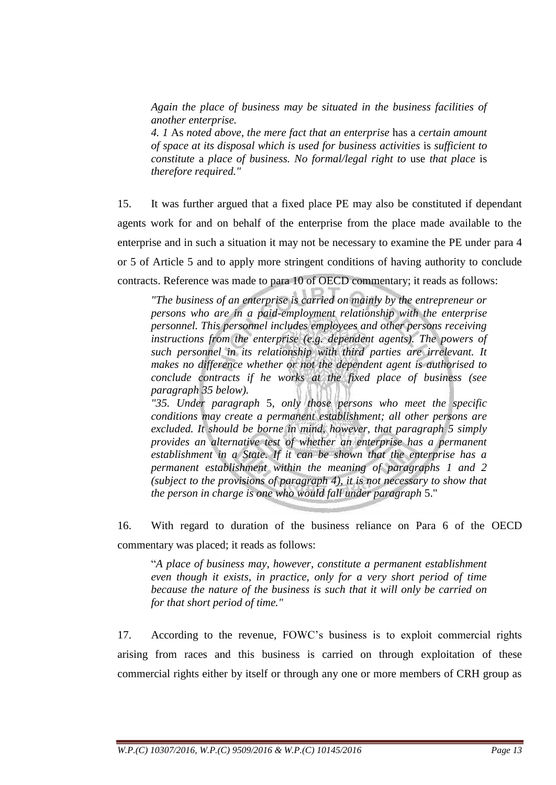*Again the place of business may be situated in the business facilities of another enterprise.*

*4. 1* As *noted above, the mere fact that an enterprise* has a *certain amount of space at its disposal which is used for business activities* is *sufficient to constitute* a *place of business. No formal/legal right to* use *that place* is *therefore required."*

15. It was further argued that a fixed place PE may also be constituted if dependant agents work for and on behalf of the enterprise from the place made available to the enterprise and in such a situation it may not be necessary to examine the PE under para 4 or 5 of Article 5 and to apply more stringent conditions of having authority to conclude contracts. Reference was made to para 10 of OECD commentary; it reads as follows:

*"The business of an enterprise is carried on mainly by the entrepreneur or persons who are in a paid-employment relationship with the enterprise personnel. This personnel includes employees and other persons receiving instructions from the enterprise (e.g. dependent agents). The powers of such personnel in its relationship with third parties are irrelevant. It makes no difference whether or not the dependent agent is authorised to conclude contracts if he works at the fixed place of business (see paragraph 35 below).*

*"35. Under paragraph* 5, *only those persons who meet the specific conditions may create a permanent establishment; all other persons are excluded. It should be borne in mind, however, that paragraph 5 simply provides an alternative test of whether an enterprise has a permanent establishment in a State. If it can be shown that the enterprise has a permanent establishment within the meaning of paragraphs 1 and 2 (subject to the provisions of paragraph 4), it is not necessary to show that the person in charge is one who would fall under paragraph* 5."

16. With regard to duration of the business reliance on Para 6 of the OECD commentary was placed; it reads as follows:

"*A place of business may, however, constitute a permanent establishment even though it exists, in practice, only for a very short period of time because the nature of the business is such that it will only be carried on for that short period of time."*

17. According to the revenue, FOWC"s business is to exploit commercial rights arising from races and this business is carried on through exploitation of these commercial rights either by itself or through any one or more members of CRH group as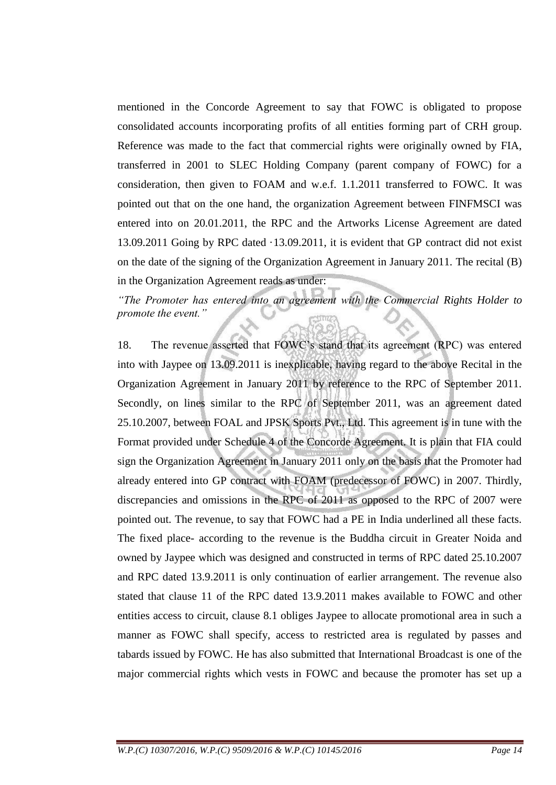mentioned in the Concorde Agreement to say that FOWC is obligated to propose consolidated accounts incorporating profits of all entities forming part of CRH group. Reference was made to the fact that commercial rights were originally owned by FIA, transferred in 2001 to SLEC Holding Company (parent company of FOWC) for a consideration, then given to FOAM and w.e.f. 1.1.2011 transferred to FOWC. It was pointed out that on the one hand, the organization Agreement between FINFMSCI was entered into on 20.01.2011, the RPC and the Artworks License Agreement are dated 13.09.2011 Going by RPC dated ·13.09.2011, it is evident that GP contract did not exist on the date of the signing of the Organization Agreement in January 2011. The recital (B) in the Organization Agreement reads as under:

# *"The Promoter has entered into an agreement with the Commercial Rights Holder to promote the event."*

18. The revenue asserted that FOWC"s stand that its agreement (RPC) was entered into with Jaypee on 13.09.2011 is inexplicable, having regard to the above Recital in the Organization Agreement in January 2011 by reference to the RPC of September 2011. Secondly, on lines similar to the RPC of September 2011, was an agreement dated 25.10.2007, between FOAL and JPSK Sports Pvt., Ltd. This agreement is in tune with the Format provided under Schedule 4 of the Concorde Agreement. It is plain that FIA could sign the Organization Agreement in January 2011 only on the basis that the Promoter had already entered into GP contract with FOAM (predecessor of FOWC) in 2007. Thirdly, discrepancies and omissions in the RPC of 2011 as opposed to the RPC of 2007 were pointed out. The revenue, to say that FOWC had a PE in India underlined all these facts. The fixed place- according to the revenue is the Buddha circuit in Greater Noida and owned by Jaypee which was designed and constructed in terms of RPC dated 25.10.2007 and RPC dated 13.9.2011 is only continuation of earlier arrangement. The revenue also stated that clause 11 of the RPC dated 13.9.2011 makes available to FOWC and other entities access to circuit, clause 8.1 obliges Jaypee to allocate promotional area in such a manner as FOWC shall specify, access to restricted area is regulated by passes and tabards issued by FOWC. He has also submitted that International Broadcast is one of the major commercial rights which vests in FOWC and because the promoter has set up a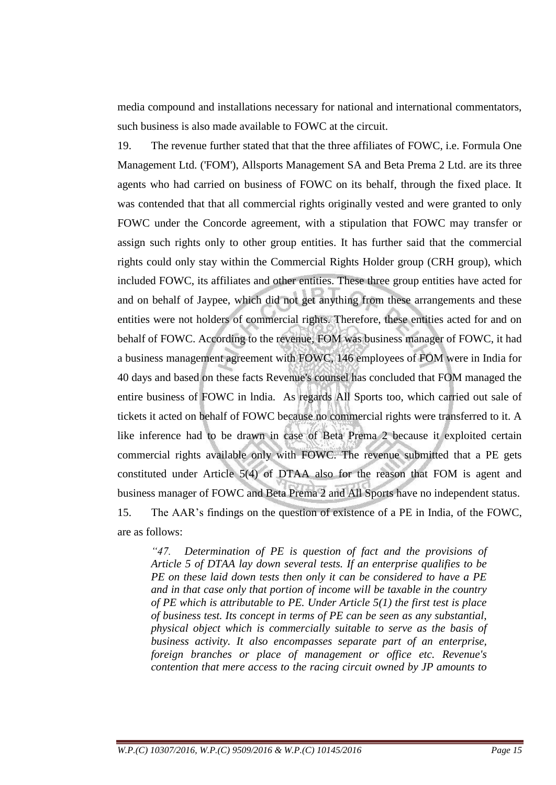media compound and installations necessary for national and international commentators, such business is also made available to FOWC at the circuit.

19. The revenue further stated that that the three affiliates of FOWC, i.e. Formula One Management Ltd. ('FOM'), Allsports Management SA and Beta Prema 2 Ltd. are its three agents who had carried on business of FOWC on its behalf, through the fixed place. It was contended that that all commercial rights originally vested and were granted to only FOWC under the Concorde agreement, with a stipulation that FOWC may transfer or assign such rights only to other group entities. It has further said that the commercial rights could only stay within the Commercial Rights Holder group (CRH group), which included FOWC, its affiliates and other entities. These three group entities have acted for and on behalf of Jaypee, which did not get anything from these arrangements and these entities were not holders of commercial rights. Therefore, these entities acted for and on behalf of FOWC. According to the revenue, FOM was business manager of FOWC, it had a business management agreement with FOWC, 146 employees of FOM were in India for 40 days and based on these facts Revenue's counsel has concluded that FOM managed the entire business of FOWC in lndia. As regards All Sports too, which carried out sale of tickets it acted on behalf of FOWC because no commercial rights were transferred to it. A like inference had to be drawn in case of Beta Prema 2 because it exploited certain commercial rights available only with FOWC. The revenue submitted that a PE gets constituted under Article 5(4) of DTAA also for the reason that FOM is agent and business manager of FOWC and Beta Prema 2 and All Sports have no independent status. 15. The AAR"s findings on the question of existence of a PE in India, of the FOWC,

are as follows:

*"47. Determination of PE is question of fact and the provisions of Article 5 of DTAA lay down several tests. If an enterprise qualifies to be PE on these laid down tests then only it can be considered to have a PE and in that case only that portion of income will be taxable in the country of PE which is attributable to PE. Under Article 5(1) the first test is place of business test. Its concept in terms of PE can be seen as any substantial, physical object which is commercially suitable to serve as the basis of business activity. It also encompasses separate part of an enterprise, foreign branches or place of management or office etc. Revenue's contention that mere access to the racing circuit owned by JP amounts to*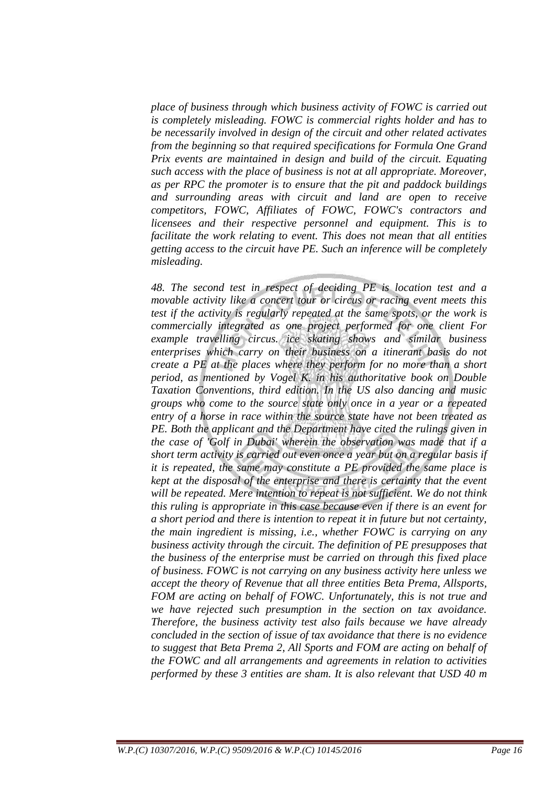*place of business through which business activity of FOWC is carried out is completely misleading. FOWC is commercial rights holder and has to be necessarily involved in design of the circuit and other related activates from the beginning so that required specifications for Formula One Grand Prix events are maintained in design and build of the circuit. Equating such access with the place of business is not at all appropriate. Moreover, as per RPC the promoter is to ensure that the pit and paddock buildings and surrounding areas with circuit and land are open to receive competitors, FOWC, Affiliates of FOWC, FOWC's contractors and licensees and their respective personnel and equipment. This is to facilitate the work relating to event. This does not mean that all entities getting access to the circuit have PE. Such an inference will be completely misleading.*

*48. The second test in respect of deciding PE is location test and a movable activity like a concert tour or circus or racing event meets this test if the activity is regularly repeated at the same spots, or the work is commercially integrated as one project performed for one client For example travelling circus. ice skating shows and similar business enterprises which carry on their business on a itinerant basis do not create a PE at the places where they perform for no more than a short period, as mentioned by Vogel K. in his authoritative book on Double Taxation Conventions, third edition. In the US also dancing and music groups who come to the source state only once in a year or a repeated entry of a horse in race within the source state have not been treated as PE. Both the applicant and the Department have cited the rulings given in the case of 'Golf in Dubai' wherein the observation was made that if a short term activity is carried out even once a year but on a regular basis if it is repeated, the same may constitute a PE provided the same place is kept at the disposal of the enterprise and there is certainty that the event will be repeated. Mere intention to repeat is not sufficient. We do not think this ruling is appropriate in this case because even if there is an event for a short period and there is intention to repeat it in future but not certainty, the main ingredient is missing, i.e., whether FOWC is carrying on any business activity through the circuit. The definition of PE presupposes that the business of the enterprise must be carried on through this fixed place of business. FOWC is not carrying on any business activity here unless we accept the theory of Revenue that all three entities Beta Prema, Allsports, FOM are acting on behalf of FOWC. Unfortunately, this is not true and we have rejected such presumption in the section on tax avoidance. Therefore, the business activity test also fails because we have already concluded in the section of issue of tax avoidance that there is no evidence to suggest that Beta Prema 2, All Sports and FOM are acting on behalf of the FOWC and all arrangements and agreements in relation to activities performed by these 3 entities are sham. It is also relevant that USD 40 m*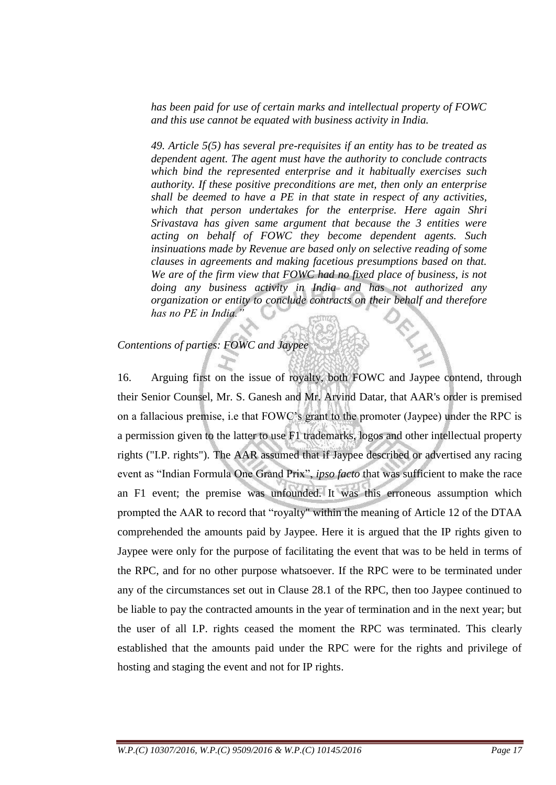*has been paid for use of certain marks and intellectual property of FOWC and this use cannot be equated with business activity in India.*

*49. Article 5(5) has several pre-requisites if an entity has to be treated as dependent agent. The agent must have the authority to conclude contracts which bind the represented enterprise and it habitually exercises such authority. If these positive preconditions are met, then only an enterprise shall be deemed to have a PE in that state in respect of any activities, which that person undertakes for the enterprise. Here again Shri Srivastava has given same argument that because the 3 entities were acting on behalf of FOWC they become dependent agents. Such insinuations made by Revenue are based only on selective reading of some clauses in agreements and making facetious presumptions based on that. We are of the firm view that FOWC had no fixed place of business, is not doing any business activity in India and has not authorized any organization or entity to conclude contracts on their behalf and therefore has no PE in India."* RIVER

## *Contentions of parties: FOWC and Jaypee*

16. Arguing first on the issue of royalty, both FOWC and Jaypee contend, through their Senior Counsel, Mr. S. Ganesh and Mr. Arvind Datar, that AAR's order is premised on a fallacious premise, i.e that FOWC"s grant to the promoter (Jaypee) under the RPC is a permission given to the latter to use F1 trademarks, logos and other intellectual property rights ("I.P. rights"). The AAR assumed that if Jaypee described or advertised any racing event as "Indian Formula One Grand Prix", *ipso facto* that was sufficient to make the race an F1 event; the premise was unfounded. It was this erroneous assumption which prompted the AAR to record that "royalty" within the meaning of Article 12 of the DTAA comprehended the amounts paid by Jaypee. Here it is argued that the IP rights given to Jaypee were only for the purpose of facilitating the event that was to be held in terms of the RPC, and for no other purpose whatsoever. If the RPC were to be terminated under any of the circumstances set out in Clause 28.1 of the RPC, then too Jaypee continued to be liable to pay the contracted amounts in the year of termination and in the next year; but the user of all I.P. rights ceased the moment the RPC was terminated. This clearly established that the amounts paid under the RPC were for the rights and privilege of hosting and staging the event and not for IP rights.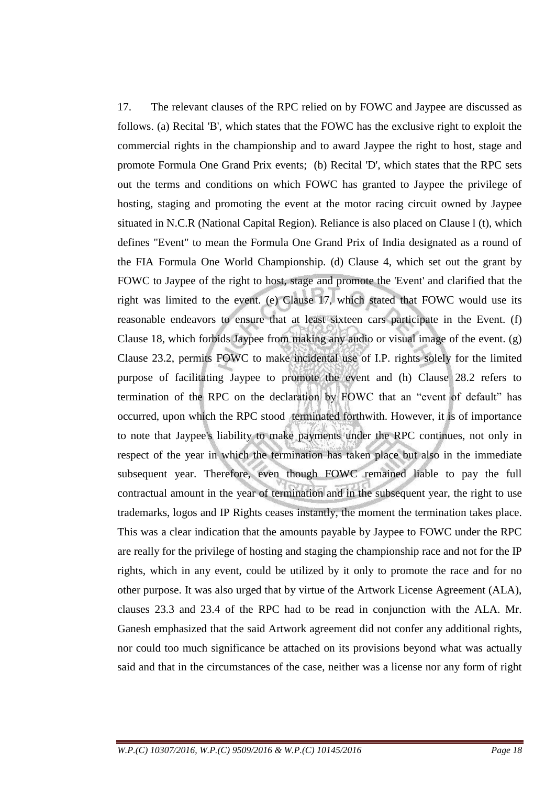17. The relevant clauses of the RPC relied on by FOWC and Jaypee are discussed as follows. (a) Recital 'B', which states that the FOWC has the exclusive right to exploit the commercial rights in the championship and to award Jaypee the right to host, stage and promote Formula One Grand Prix events; (b) Recital 'D', which states that the RPC sets out the terms and conditions on which FOWC has granted to Jaypee the privilege of hosting, staging and promoting the event at the motor racing circuit owned by Jaypee situated in N.C.R (National Capital Region). Reliance is also placed on Clause l (t), which defines "Event" to mean the Formula One Grand Prix of India designated as a round of the FIA Formula One World Championship. (d) Clause 4, which set out the grant by FOWC to Jaypee of the right to host, stage and promote the 'Event' and clarified that the right was limited to the event. (e) Clause 17, which stated that FOWC would use its reasonable endeavors to ensure that at least sixteen cars participate in the Event. (f) Clause 18, which forbids Jaypee from making any audio or visual image of the event. (g) Clause 23.2, permits FOWC to make incidental use of I.P. rights solely for the limited purpose of facilitating Jaypee to promote the event and (h) Clause 28.2 refers to termination of the RPC on the declaration by FOWC that an "event of default" has occurred, upon which the RPC stood terminated forthwith. However, it is of importance to note that Jaypee's liability to make payments under the RPC continues, not only in respect of the year in which the termination has taken place but also in the immediate subsequent year. Therefore, even though FOWC remained liable to pay the full contractual amount in the year of termination and in the subsequent year, the right to use trademarks, logos and IP Rights ceases instantly, the moment the termination takes place. This was a clear indication that the amounts payable by Jaypee to FOWC under the RPC are really for the privilege of hosting and staging the championship race and not for the IP rights, which in any event, could be utilized by it only to promote the race and for no other purpose. It was also urged that by virtue of the Artwork License Agreement (ALA), clauses 23.3 and 23.4 of the RPC had to be read in conjunction with the ALA. Mr. Ganesh emphasized that the said Artwork agreement did not confer any additional rights, nor could too much significance be attached on its provisions beyond what was actually said and that in the circumstances of the case, neither was a license nor any form of right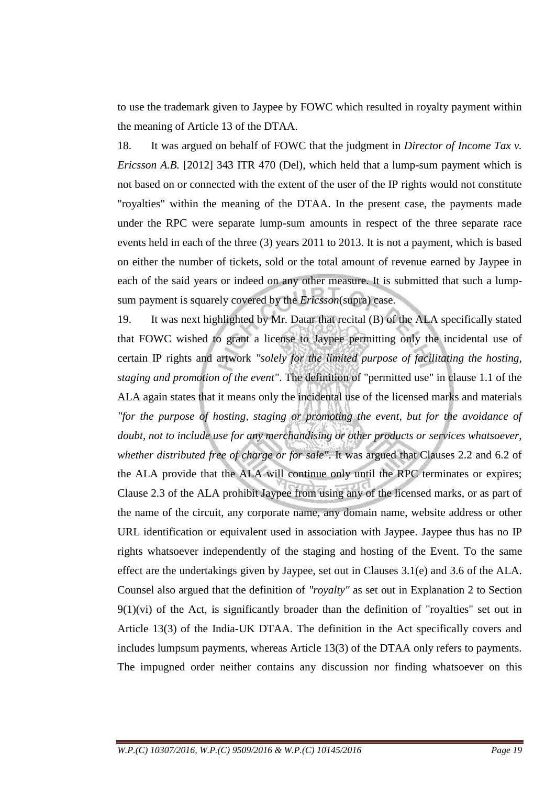to use the trademark given to Jaypee by FOWC which resulted in royalty payment within the meaning of Article 13 of the DTAA.

18. It was argued on behalf of FOWC that the judgment in *Director of Income Tax v. Ericsson A.B.* [2012] 343 ITR 470 (Del), which held that a lump-sum payment which is not based on or connected with the extent of the user of the IP rights would not constitute "royalties" within the meaning of the DTAA. In the present case, the payments made under the RPC were separate lump-sum amounts in respect of the three separate race events held in each of the three (3) years 2011 to 2013. It is not a payment, which is based on either the number of tickets, sold or the total amount of revenue earned by Jaypee in each of the said years or indeed on any other measure. It is submitted that such a lumpsum payment is squarely covered by the *Ericsson*(supra) case.

19. It was next highlighted by Mr. Datar that recital (B) of the ALA specifically stated that FOWC wished to grant a license to Jaypee permitting only the incidental use of certain IP rights and artwork *"solely for the limited purpose of facilitating the hosting, staging and promotion of the event"*. The definition of "permitted use" in clause 1.1 of the ALA again states that it means only the incidental use of the licensed marks and materials *"for the purpose of hosting, staging or promoting the event, but for the avoidance of doubt, not to include use for any merchandising or other products or services whatsoever, whether distributed free of charge or for sale".* It was argued that Clauses 2.2 and 6.2 of the ALA provide that the ALA will continue only until the RPC terminates or expires; Clause 2.3 of the ALA prohibit Jaypee from using any of the licensed marks, or as part of the name of the circuit, any corporate name, any domain name, website address or other URL identification or equivalent used in association with Jaypee. Jaypee thus has no IP rights whatsoever independently of the staging and hosting of the Event. To the same effect are the undertakings given by Jaypee, set out in Clauses 3.1(e) and 3.6 of the ALA. Counsel also argued that the definition of *"royalty"* as set out in Explanation 2 to Section  $9(1)(vi)$  of the Act, is significantly broader than the definition of "royalties" set out in Article 13(3) of the India-UK DTAA. The definition in the Act specifically covers and includes lumpsum payments, whereas Article 13(3) of the DTAA only refers to payments. The impugned order neither contains any discussion nor finding whatsoever on this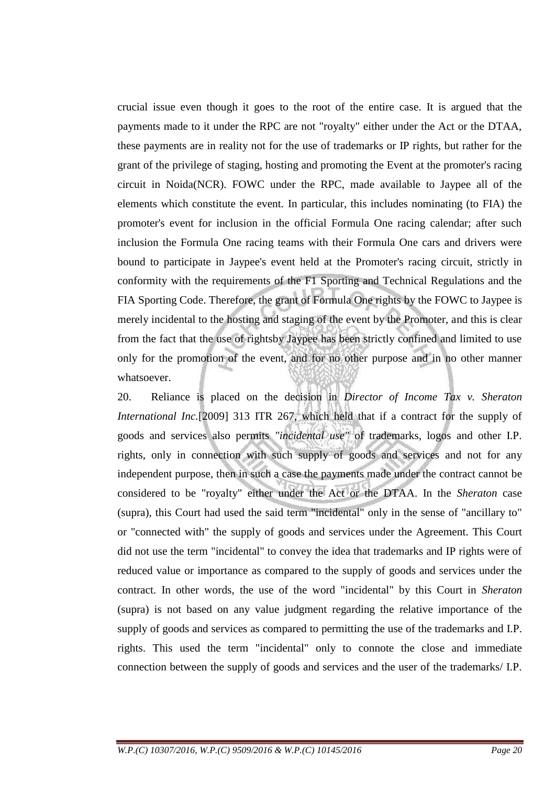crucial issue even though it goes to the root of the entire case. It is argued that the payments made to it under the RPC are not "royalty" either under the Act or the DTAA, these payments are in reality not for the use of trademarks or IP rights, but rather for the grant of the privilege of staging, hosting and promoting the Event at the promoter's racing circuit in Noida(NCR). FOWC under the RPC, made available to Jaypee all of the elements which constitute the event. In particular, this includes nominating (to FIA) the promoter's event for inclusion in the official Formula One racing calendar; after such inclusion the Formula One racing teams with their Formula One cars and drivers were bound to participate in Jaypee's event held at the Promoter's racing circuit, strictly in conformity with the requirements of the F1 Sporting and Technical Regulations and the FIA Sporting Code. Therefore, the grant of Formula One rights by the FOWC to Jaypee is merely incidental to the hosting and staging of the event by the Promoter, and this is clear from the fact that the use of rightsby Jaypee has been strictly confined and limited to use only for the promotion of the event, and for no other purpose and in no other manner whatsoever.

20. Reliance is placed on the decision in *Director of Income Tax v. Sheraton International Inc.*[2009] 313 ITR 267, which held that if a contract for the supply of goods and services also permits *"incidental use"* of trademarks, logos and other I.P. rights, only in connection with such supply of goods and services and not for any independent purpose, then in such a case the payments made under the contract cannot be considered to be "royalty" either under the Act or the DTAA. In the *Sheraton* case (supra), this Court had used the said term "incidental" only in the sense of "ancillary to" or "connected with" the supply of goods and services under the Agreement. This Court did not use the term "incidental" to convey the idea that trademarks and IP rights were of reduced value or importance as compared to the supply of goods and services under the contract. In other words, the use of the word "incidental" by this Court in *Sheraton* (supra) is not based on any value judgment regarding the relative importance of the supply of goods and services as compared to permitting the use of the trademarks and I.P. rights. This used the term "incidental" only to connote the close and immediate connection between the supply of goods and services and the user of the trademarks/ I.P.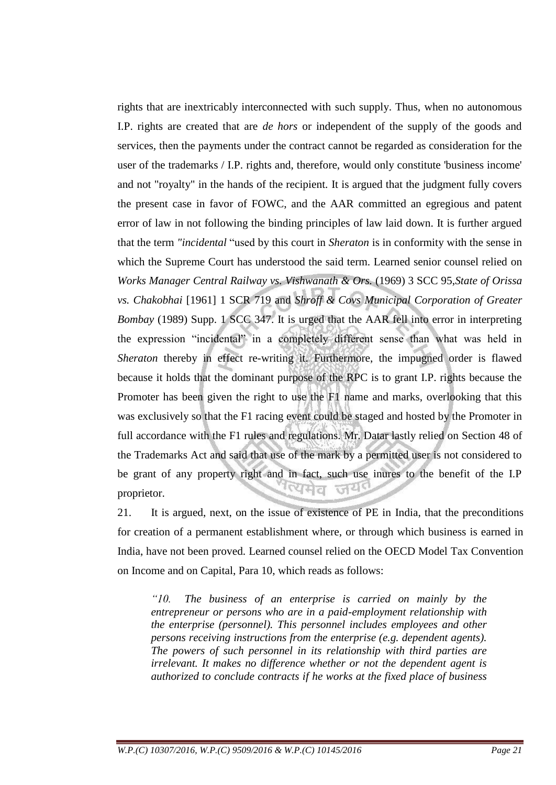rights that are inextricably interconnected with such supply. Thus, when no autonomous I.P. rights are created that are *de hors* or independent of the supply of the goods and services, then the payments under the contract cannot be regarded as consideration for the user of the trademarks / I.P. rights and, therefore, would only constitute 'business income' and not "royalty" in the hands of the recipient. It is argued that the judgment fully covers the present case in favor of FOWC, and the AAR committed an egregious and patent error of law in not following the binding principles of law laid down. It is further argued that the term *"incidental* "used by this court in *Sheraton* is in conformity with the sense in which the Supreme Court has understood the said term. Learned senior counsel relied on *Works Manager Central Railway vs. Vishwanath & Ors.* (1969) 3 SCC 95,*State of Orissa vs. Chakobhai* [1961] 1 SCR 719 and *Shroff & Covs Municipal Corporation of Greater Bombay* (1989) Supp. 1 SCC 347. It is urged that the AAR fell into error in interpreting the expression "incidental" in a completely different sense than what was held in *Sheraton* thereby in effect re-writing it. Furthermore, the impugned order is flawed because it holds that the dominant purpose of the RPC is to grant I.P. rights because the Promoter has been given the right to use the F1 name and marks, overlooking that this was exclusively so that the F1 racing event could be staged and hosted by the Promoter in full accordance with the F1 rules and regulations. Mr. Datar lastly relied on Section 48 of the Trademarks Act and said that use of the mark by a permitted user is not considered to be grant of any property right and in fact, such use inures to the benefit of the I.P <sup>1्</sup>पयेव जय proprietor.

21. It is argued, next, on the issue of existence of PE in India, that the preconditions for creation of a permanent establishment where, or through which business is earned in India, have not been proved. Learned counsel relied on the OECD Model Tax Convention on Income and on Capital, Para 10, which reads as follows:

*"10. The business of an enterprise is carried on mainly by the entrepreneur or persons who are in a paid-employment relationship with the enterprise (personnel). This personnel includes employees and other persons receiving instructions from the enterprise (e.g. dependent agents). The powers of such personnel in its relationship with third parties are irrelevant. It makes no difference whether or not the dependent agent is authorized to conclude contracts if he works at the fixed place of business*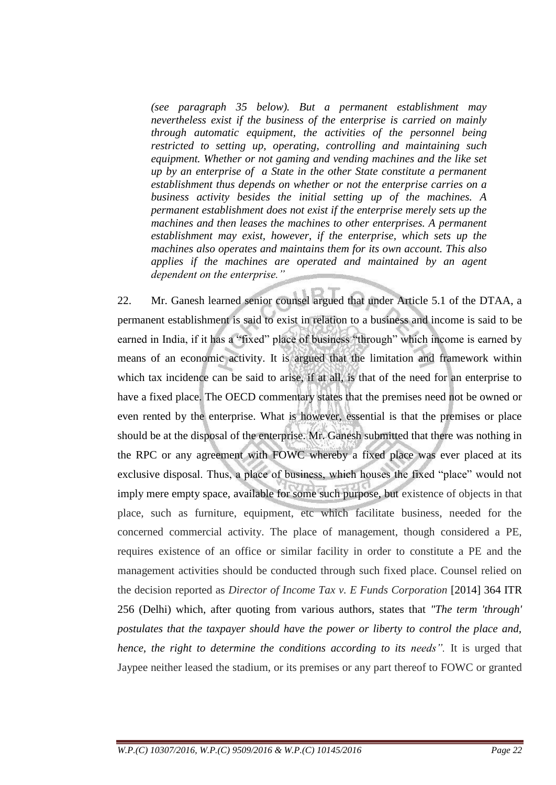*(see paragraph 35 below). But a permanent establishment may nevertheless exist if the business of the enterprise is carried on mainly through automatic equipment, the activities of the personnel being restricted to setting up, operating, controlling and maintaining such equipment. Whether or not gaming and vending machines and the like set up by an enterprise of a State in the other State constitute a permanent establishment thus depends on whether or not the enterprise carries on a business activity besides the initial setting up of the machines. A permanent establishment does not exist if the enterprise merely sets up the machines and then leases the machines to other enterprises. A permanent establishment may exist, however, if the enterprise, which sets up the machines also operates and maintains them for its own account. This also applies if the machines are operated and maintained by an agent dependent on the enterprise."*

22. Mr. Ganesh learned senior counsel argued that under Article 5.1 of the DTAA, a permanent establishment is said to exist in relation to a business and income is said to be earned in India, if it has a "fixed" place of business "through" which income is earned by means of an economic activity. It is argued that the limitation and framework within which tax incidence can be said to arise, if at all, is that of the need for an enterprise to have a fixed place. The OECD commentary states that the premises need not be owned or even rented by the enterprise. What is however, essential is that the premises or place should be at the disposal of the enterprise. Mr. Ganesh submitted that there was nothing in the RPC or any agreement with FOWC whereby a fixed place was ever placed at its exclusive disposal. Thus, a place of business, which houses the fixed "place" would not imply mere empty space, available for some such purpose, but existence of objects in that place, such as furniture, equipment, etc which facilitate business, needed for the concerned commercial activity. The place of management, though considered a PE, requires existence of an office or similar facility in order to constitute a PE and the management activities should be conducted through such fixed place. Counsel relied on the decision reported as *Director of Income Tax v. E Funds Corporation* [2014] 364 ITR 256 (Delhi) which, after quoting from various authors, states that *"The term 'through' postulates that the taxpayer should have the power or liberty to control the place and, hence, the right to determine the conditions according to its needs".* It is urged that Jaypee neither leased the stadium, or its premises or any part thereof to FOWC or granted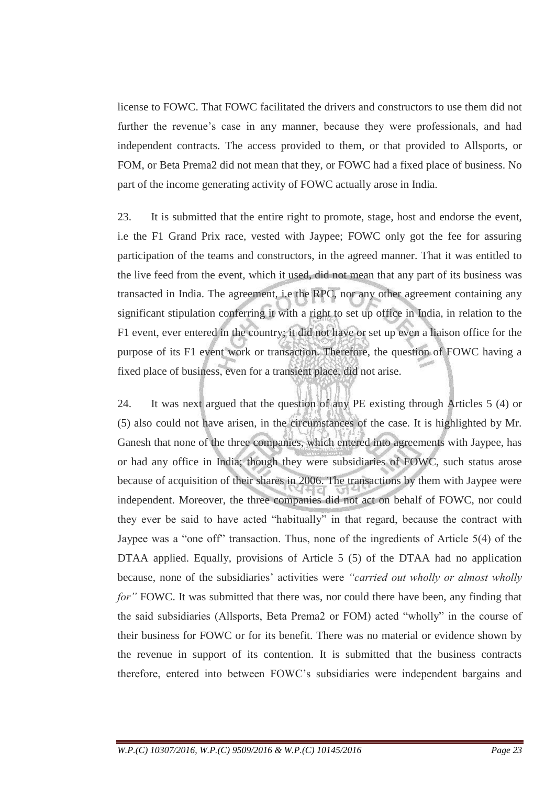license to FOWC. That FOWC facilitated the drivers and constructors to use them did not further the revenue's case in any manner, because they were professionals, and had independent contracts. The access provided to them, or that provided to Allsports, or FOM, or Beta Prema2 did not mean that they, or FOWC had a fixed place of business. No part of the income generating activity of FOWC actually arose in India.

23. It is submitted that the entire right to promote, stage, host and endorse the event, i.e the F1 Grand Prix race, vested with Jaypee; FOWC only got the fee for assuring participation of the teams and constructors, in the agreed manner. That it was entitled to the live feed from the event, which it used, did not mean that any part of its business was transacted in India. The agreement, i.e the RPC, nor any other agreement containing any significant stipulation conferring it with a right to set up office in India, in relation to the F1 event, ever entered in the country; it did not have or set up even a liaison office for the purpose of its F1 event work or transaction. Therefore, the question of FOWC having a fixed place of business, even for a transient place, did not arise.

24. It was next argued that the question of any PE existing through Articles 5 (4) or (5) also could not have arisen, in the circumstances of the case. It is highlighted by Mr. Ganesh that none of the three companies, which entered into agreements with Jaypee, has or had any office in India; though they were subsidiaries of FOWC, such status arose because of acquisition of their shares in 2006. The transactions by them with Jaypee were independent. Moreover, the three companies did not act on behalf of FOWC, nor could they ever be said to have acted "habitually" in that regard, because the contract with Jaypee was a "one off" transaction. Thus, none of the ingredients of Article 5(4) of the DTAA applied. Equally, provisions of Article 5 (5) of the DTAA had no application because, none of the subsidiaries' activities were *"carried out wholly or almost wholly for*" FOWC. It was submitted that there was, nor could there have been, any finding that the said subsidiaries (Allsports, Beta Prema2 or FOM) acted "wholly" in the course of their business for FOWC or for its benefit. There was no material or evidence shown by the revenue in support of its contention. It is submitted that the business contracts therefore, entered into between FOWC"s subsidiaries were independent bargains and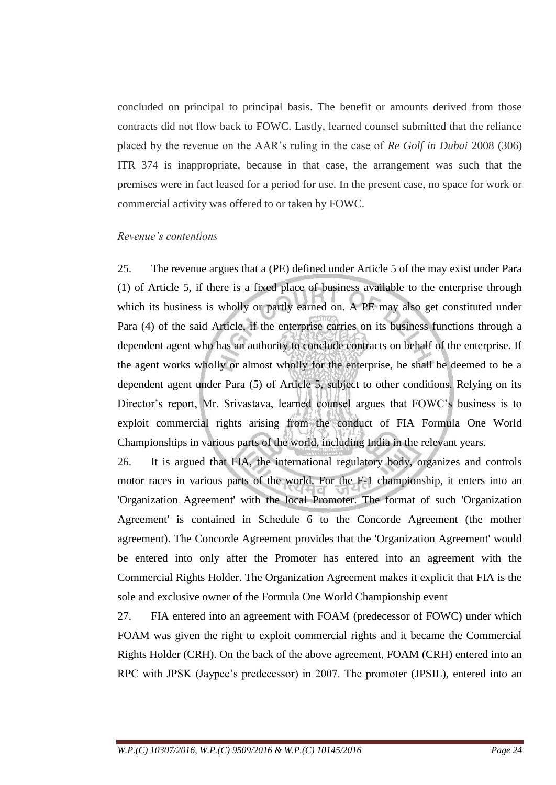concluded on principal to principal basis. The benefit or amounts derived from those contracts did not flow back to FOWC. Lastly, learned counsel submitted that the reliance placed by the revenue on the AAR"s ruling in the case of *Re Golf in Dubai* 2008 (306) ITR 374 is inappropriate, because in that case, the arrangement was such that the premises were in fact leased for a period for use. In the present case, no space for work or commercial activity was offered to or taken by FOWC.

#### *Revenue's contentions*

25. The revenue argues that a (PE) defined under Article 5 of the may exist under Para (1) of Article 5, if there is a fixed place of business available to the enterprise through which its business is wholly or partly earned on. A PE may also get constituted under Para (4) of the said Article, if the enterprise carries on its business functions through a dependent agent who has an authority to conclude contracts on behalf of the enterprise. If the agent works wholly or almost wholly for the enterprise, he shall be deemed to be a dependent agent under Para (5) of Article 5, subject to other conditions. Relying on its Director's report, Mr. Srivastava, learned counsel argues that FOWC's business is to exploit commercial rights arising from the conduct of FIA Formula One World Championships in various parts of the world, including India in the relevant years.

26. It is argued that FIA, the international regulatory body, organizes and controls motor races in various parts of the world. For the F-1 championship, it enters into an 'Organization Agreement' with the local Promoter. The format of such 'Organization Agreement' is contained in Schedule 6 to the Concorde Agreement (the mother agreement). The Concorde Agreement provides that the 'Organization Agreement' would be entered into only after the Promoter has entered into an agreement with the Commercial Rights Holder. The Organization Agreement makes it explicit that FIA is the sole and exclusive owner of the Formula One World Championship event

27. FIA entered into an agreement with FOAM (predecessor of FOWC) under which FOAM was given the right to exploit commercial rights and it became the Commercial Rights Holder (CRH). On the back of the above agreement, FOAM (CRH) entered into an RPC with JPSK (Jaypee's predecessor) in 2007. The promoter (JPSIL), entered into an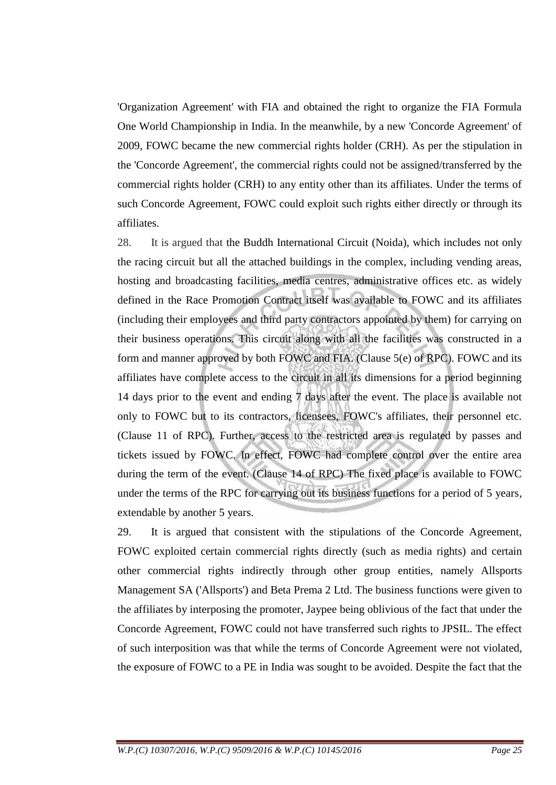'Organization Agreement' with FIA and obtained the right to organize the FIA Formula One World Championship in India. In the meanwhile, by a new 'Concorde Agreement' of 2009, FOWC became the new commercial rights holder (CRH). As per the stipulation in the 'Concorde Agreement', the commercial rights could not be assigned/transferred by the commercial rights holder (CRH) to any entity other than its affiliates. Under the terms of such Concorde Agreement, FOWC could exploit such rights either directly or through its affiliates.

28. It is argued that the Buddh International Circuit (Noida), which includes not only the racing circuit but all the attached buildings in the complex, including vending areas, hosting and broadcasting facilities, media centres, administrative offices etc. as widely defined in the Race Promotion Contract itself was available to FOWC and its affiliates (including their employees and third party contractors appointed by them) for carrying on their business operations. This circuit along with all the facilities was constructed in a form and manner approved by both FOWC and FIA. (Clause 5(e) of RPC). FOWC and its affiliates have complete access to the circuit in all its dimensions for a period beginning 14 days prior to the event and ending 7 days after the event. The place is available not only to FOWC but to its contractors, licensees, FOWC's affiliates, their personnel etc. (Clause 11 of RPC). Further, access to the restricted area is regulated by passes and tickets issued by FOWC. In effect, FOWC had complete control over the entire area during the term of the event. (Clause 14 of RPC) The fixed place is available to FOWC under the terms of the RPC for carrying out its business functions for a period of 5 years, extendable by another 5 years.

29. It is argued that consistent with the stipulations of the Concorde Agreement, FOWC exploited certain commercial rights directly (such as media rights) and certain other commercial rights indirectly through other group entities, namely Allsports Management SA ('Allsports') and Beta Prema 2 Ltd. The business functions were given to the affiliates by interposing the promoter, Jaypee being oblivious of the fact that under the Concorde Agreement, FOWC could not have transferred such rights to JPSIL. The effect of such interposition was that while the terms of Concorde Agreement were not violated, the exposure of FOWC to a PE in India was sought to be avoided. Despite the fact that the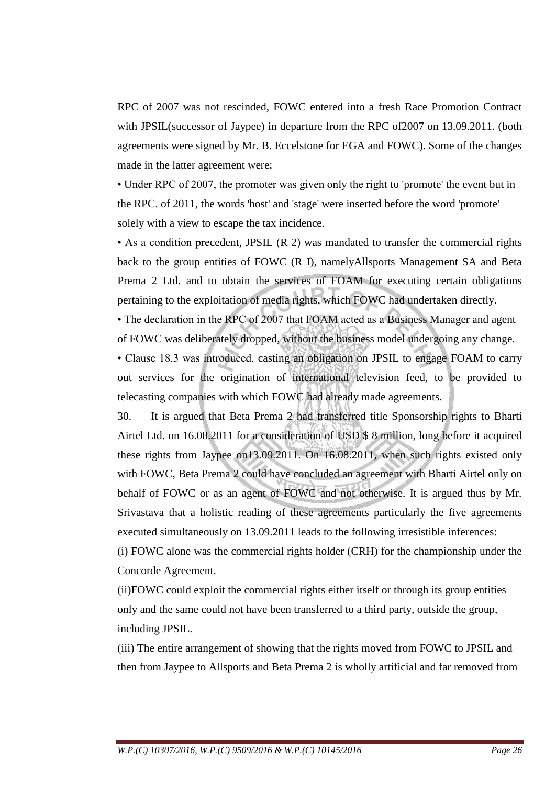RPC of 2007 was not rescinded, FOWC entered into a fresh Race Promotion Contract with JPSIL(successor of Jaypee) in departure from the RPC of2007 on 13.09.2011. (both agreements were signed by Mr. B. Eccelstone for EGA and FOWC). Some of the changes made in the latter agreement were:

• Under RPC of 2007, the promoter was given only the right to 'promote' the event but in the RPC. of 2011, the words 'host' and 'stage' were inserted before the word 'promote' solely with a view to escape the tax incidence.

• As a condition precedent, JPSIL (R 2) was mandated to transfer the commercial rights back to the group entities of FOWC (R I), namelyAllsports Management SA and Beta Prema 2 Ltd. and to obtain the services of FOAM for executing certain obligations pertaining to the exploitation of media rights, which FOWC had undertaken directly.

• The declaration in the RPC of 2007 that FOAM acted as a Business Manager and agent of FOWC was deliberately dropped, without the business model undergoing any change.

• Clause 18.3 was introduced, casting an obligation on JPSIL to engage FOAM to carry out services for the origination of international television feed, to be provided to telecasting companies with which FOWC had already made agreements.

30. It is argued that Beta Prema 2 had transferred title Sponsorship rights to Bharti Airtel Ltd. on 16.08.2011 for a consideration of USD \$ 8 million, long before it acquired these rights from Jaypee on13.09.2011. On 16.08.2011, when such rights existed only with FOWC, Beta Prema 2 could have concluded an agreement with Bharti Airtel only on behalf of FOWC or as an agent of FOWC and not otherwise. It is argued thus by Mr. Srivastava that a holistic reading of these agreements particularly the five agreements executed simultaneously on 13.09.2011 leads to the following irresistible inferences:

(i) FOWC alone was the commercial rights holder (CRH) for the championship under the Concorde Agreement.

(ii)FOWC could exploit the commercial rights either itself or through its group entities only and the same could not have been transferred to a third party, outside the group, including JPSIL.

(iii) The entire arrangement of showing that the rights moved from FOWC to JPSIL and then from Jaypee to Allsports and Beta Prema 2 is wholly artificial and far removed from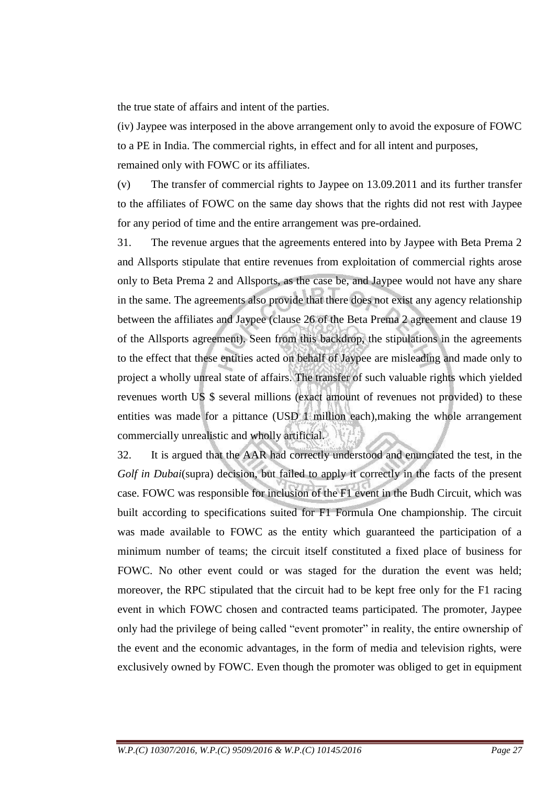the true state of affairs and intent of the parties.

(iv) Jaypee was interposed in the above arrangement only to avoid the exposure of FOWC to a PE in India. The commercial rights, in effect and for all intent and purposes, remained only with FOWC or its affiliates.

(v) The transfer of commercial rights to Jaypee on 13.09.2011 and its further transfer to the affiliates of FOWC on the same day shows that the rights did not rest with Jaypee for any period of time and the entire arrangement was pre-ordained.

31. The revenue argues that the agreements entered into by Jaypee with Beta Prema 2 and Allsports stipulate that entire revenues from exploitation of commercial rights arose only to Beta Prema 2 and Allsports, as the case be, and Jaypee would not have any share in the same. The agreements also provide that there does not exist any agency relationship between the affiliates and Jaypee (clause 26 of the Beta Prema 2 agreement and clause 19 of the Allsports agreement). Seen from this backdrop, the stipulations in the agreements to the effect that these entities acted on behalf of Jaypee are misleading and made only to project a wholly unreal state of affairs. The transfer of such valuable rights which yielded revenues worth US \$ several millions (exact amount of revenues not provided) to these entities was made for a pittance (USD 1 million each),making the whole arrangement commercially unrealistic and wholly artificial.

32. It is argued that the AAR had correctly understood and enunciated the test, in the *Golf in Dubai*(supra) decision, but failed to apply it correctly in the facts of the present case. FOWC was responsible for inclusion of the F1 event in the Budh Circuit, which was built according to specifications suited for F1 Formula One championship. The circuit was made available to FOWC as the entity which guaranteed the participation of a minimum number of teams; the circuit itself constituted a fixed place of business for FOWC. No other event could or was staged for the duration the event was held; moreover, the RPC stipulated that the circuit had to be kept free only for the F1 racing event in which FOWC chosen and contracted teams participated. The promoter, Jaypee only had the privilege of being called "event promoter" in reality, the entire ownership of the event and the economic advantages, in the form of media and television rights, were exclusively owned by FOWC. Even though the promoter was obliged to get in equipment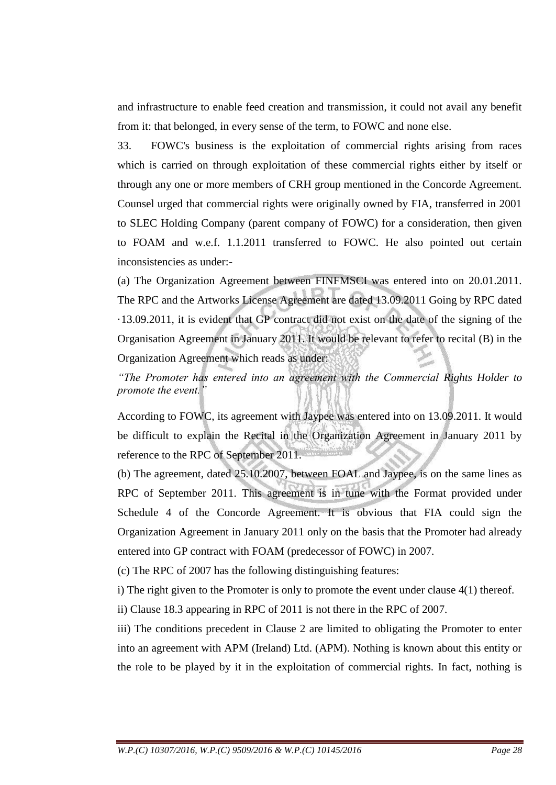and infrastructure to enable feed creation and transmission, it could not avail any benefit from it: that belonged, in every sense of the term, to FOWC and none else.

33. FOWC's business is the exploitation of commercial rights arising from races which is carried on through exploitation of these commercial rights either by itself or through any one or more members of CRH group mentioned in the Concorde Agreement. Counsel urged that commercial rights were originally owned by FIA, transferred in 2001 to SLEC Holding Company (parent company of FOWC) for a consideration, then given to FOAM and w.e.f. 1.1.2011 transferred to FOWC. He also pointed out certain inconsistencies as under:-

(a) The Organization Agreement between FINFMSCI was entered into on 20.01.2011. The RPC and the Artworks License Agreement are dated 13.09.2011 Going by RPC dated ·13.09.2011, it is evident that GP contract did not exist on the date of the signing of the Organisation Agreement in January 2011. It would be relevant to refer to recital (B) in the Organization Agreement which reads as under:

*"The Promoter has entered into an agreement with the Commercial Rights Holder to promote the event."*

According to FOWC, its agreement with Jaypee was entered into on 13.09.2011. It would be difficult to explain the Recital in the Organization Agreement in January 2011 by reference to the RPC of September 2011.

(b) The agreement, dated 25.10.2007, between FOAL and Jaypee, is on the same lines as RPC of September 2011. This agreement is in tune with the Format provided under Schedule 4 of the Concorde Agreement. It is obvious that FIA could sign the Organization Agreement in January 2011 only on the basis that the Promoter had already entered into GP contract with FOAM (predecessor of FOWC) in 2007.

(c) The RPC of 2007 has the following distinguishing features:

i) The right given to the Promoter is only to promote the event under clause 4(1) thereof.

ii) Clause 18.3 appearing in RPC of 2011 is not there in the RPC of 2007.

iii) The conditions precedent in Clause 2 are limited to obligating the Promoter to enter into an agreement with APM (Ireland) Ltd. (APM). Nothing is known about this entity or the role to be played by it in the exploitation of commercial rights. In fact, nothing is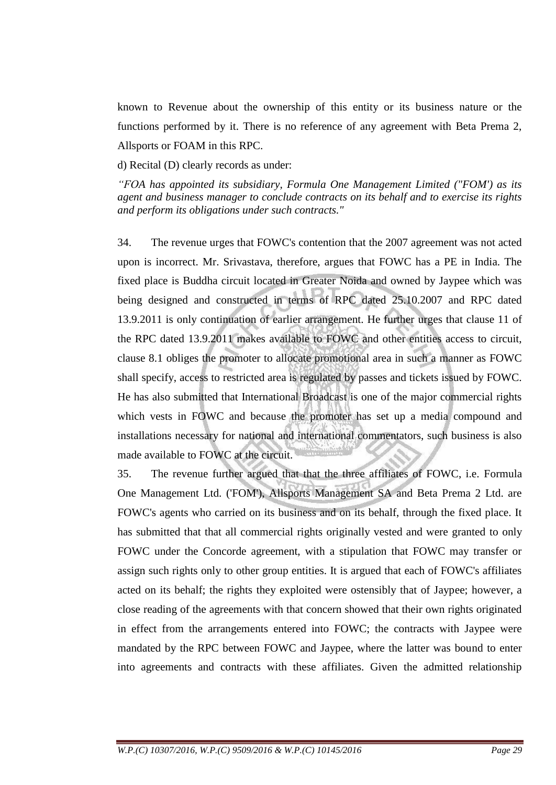known to Revenue about the ownership of this entity or its business nature or the functions performed by it. There is no reference of any agreement with Beta Prema 2, Allsports or FOAM in this RPC.

d) Recital (D) clearly records as under:

*"FOA has appointed its subsidiary, Formula One Management Limited ("FOM') as its agent and business manager to conclude contracts on its behalf and to exercise its rights and perform its obligations under such contracts."*

34. The revenue urges that FOWC's contention that the 2007 agreement was not acted upon is incorrect. Mr. Srivastava, therefore, argues that FOWC has a PE in India. The fixed place is Buddha circuit located in Greater Noida and owned by Jaypee which was being designed and constructed in terms of RPC dated 25.10.2007 and RPC dated 13.9.2011 is only continuation of earlier arrangement. He further urges that clause 11 of the RPC dated 13.9.2011 makes available to FOWC and other entities access to circuit, clause 8.1 obliges the promoter to allocate promotional area in such a manner as FOWC shall specify, access to restricted area is regulated by passes and tickets issued by FOWC. He has also submitted that International Broadcast is one of the major commercial rights which vests in FOWC and because the promoter has set up a media compound and installations necessary for national and international commentators, such business is also made available to FOWC at the circuit.

35. The revenue further argued that that the three affiliates of FOWC, i.e. Formula One Management Ltd. ('FOM'), Allsports Management SA and Beta Prema 2 Ltd. are FOWC's agents who carried on its business and on its behalf, through the fixed place. It has submitted that that all commercial rights originally vested and were granted to only FOWC under the Concorde agreement, with a stipulation that FOWC may transfer or assign such rights only to other group entities. It is argued that each of FOWC's affiliates acted on its behalf; the rights they exploited were ostensibly that of Jaypee; however, a close reading of the agreements with that concern showed that their own rights originated in effect from the arrangements entered into FOWC; the contracts with Jaypee were mandated by the RPC between FOWC and Jaypee, where the latter was bound to enter into agreements and contracts with these affiliates. Given the admitted relationship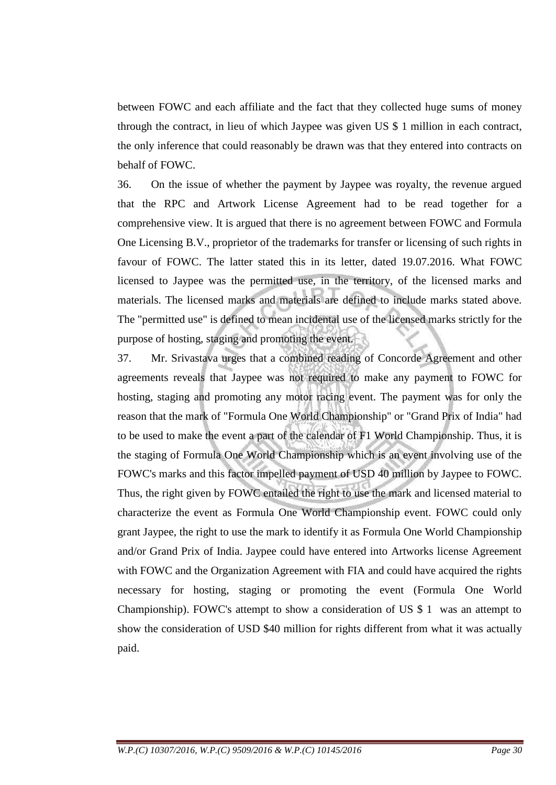between FOWC and each affiliate and the fact that they collected huge sums of money through the contract, in lieu of which Jaypee was given US \$ 1 million in each contract, the only inference that could reasonably be drawn was that they entered into contracts on behalf of FOWC.

36. On the issue of whether the payment by Jaypee was royalty, the revenue argued that the RPC and Artwork License Agreement had to be read together for a comprehensive view. It is argued that there is no agreement between FOWC and Formula One Licensing B.V., proprietor of the trademarks for transfer or licensing of such rights in favour of FOWC. The latter stated this in its letter, dated 19.07.2016. What FOWC licensed to Jaypee was the permitted use, in the territory, of the licensed marks and materials. The licensed marks and materials are defined to include marks stated above. The "permitted use" is defined to mean incidental use of the licensed marks strictly for the purpose of hosting, staging and promoting the event.

37. Mr. Srivastava urges that a combined reading of Concorde Agreement and other agreements reveals that Jaypee was not required to make any payment to FOWC for hosting, staging and promoting any motor racing event. The payment was for only the reason that the mark of "Formula One World Championship" or "Grand Prix of India" had to be used to make the event a part of the calendar of F1 World Championship. Thus, it is the staging of Formula One World Championship which is an event involving use of the FOWC's marks and this factor impelled payment of USD 40 million by Jaypee to FOWC. Thus, the right given by FOWC entailed the right to use the mark and licensed material to characterize the event as Formula One World Championship event. FOWC could only grant Jaypee, the right to use the mark to identify it as Formula One World Championship and/or Grand Prix of India. Jaypee could have entered into Artworks license Agreement with FOWC and the Organization Agreement with FIA and could have acquired the rights necessary for hosting, staging or promoting the event (Formula One World Championship). FOWC's attempt to show a consideration of US \$ 1 was an attempt to show the consideration of USD \$40 million for rights different from what it was actually paid.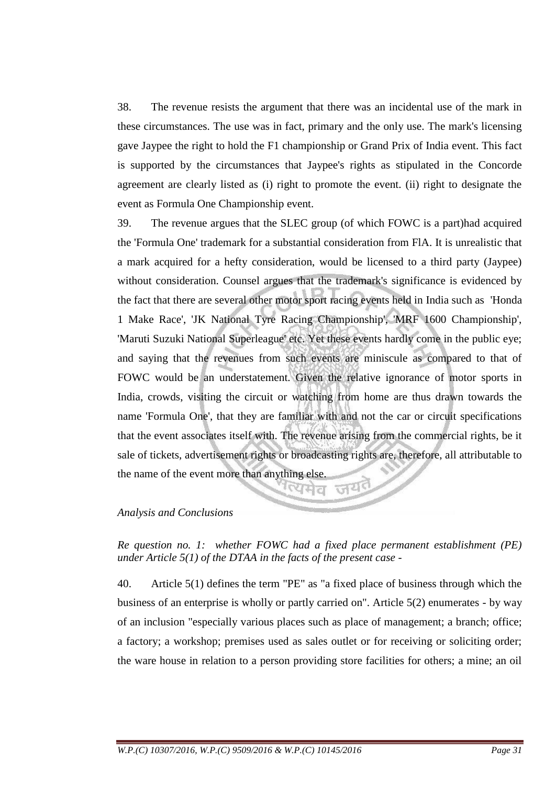38. The revenue resists the argument that there was an incidental use of the mark in these circumstances. The use was in fact, primary and the only use. The mark's licensing gave Jaypee the right to hold the F1 championship or Grand Prix of India event. This fact is supported by the circumstances that Jaypee's rights as stipulated in the Concorde agreement are clearly listed as (i) right to promote the event. (ii) right to designate the event as Formula One Championship event.

39. The revenue argues that the SLEC group (of which FOWC is a part)had acquired the 'Formula One' trademark for a substantial consideration from FlA. It is unrealistic that a mark acquired for a hefty consideration, would be licensed to a third party (Jaypee) without consideration. Counsel argues that the trademark's significance is evidenced by the fact that there are several other motor sport racing events held in India such as 'Honda 1 Make Race', 'JK National Tyre Racing Championship', 'MRF 1600 Championship', 'Maruti Suzuki National Superleague' etc. Yet these events hardly come in the public eye; and saying that the revenues from such events are miniscule as compared to that of FOWC would be an understatement. Given the relative ignorance of motor sports in India, crowds, visiting the circuit or watching from home are thus drawn towards the name 'Formula One', that they are familiar with and not the car or circuit specifications that the event associates itself with. The revenue arising from the commercial rights, be it sale of tickets, advertisement rights or broadcasting rights are, therefore, all attributable to the name of the event more than anything else.

#### *Analysis and Conclusions*

## *Re question no. 1: whether FOWC had a fixed place permanent establishment (PE) under Article 5(1) of the DTAA in the facts of the present case -*

जयः

40. Article 5(1) defines the term "PE" as "a fixed place of business through which the business of an enterprise is wholly or partly carried on". Article 5(2) enumerates - by way of an inclusion "especially various places such as place of management; a branch; office; a factory; a workshop; premises used as sales outlet or for receiving or soliciting order; the ware house in relation to a person providing store facilities for others; a mine; an oil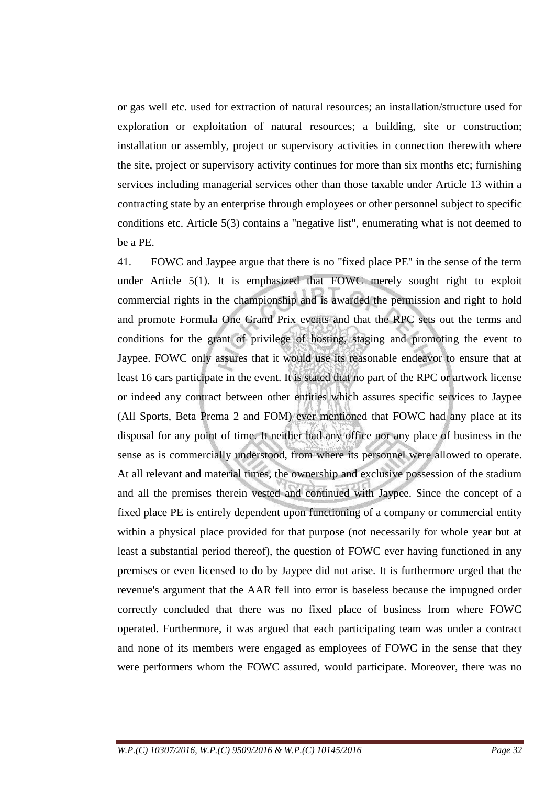or gas well etc. used for extraction of natural resources; an installation/structure used for exploration or exploitation of natural resources; a building, site or construction; installation or assembly, project or supervisory activities in connection therewith where the site, project or supervisory activity continues for more than six months etc; furnishing services including managerial services other than those taxable under Article 13 within a contracting state by an enterprise through employees or other personnel subject to specific conditions etc. Article 5(3) contains a "negative list", enumerating what is not deemed to be a PE.

41. FOWC and Jaypee argue that there is no "fixed place PE" in the sense of the term under Article 5(1). It is emphasized that FOWC merely sought right to exploit commercial rights in the championship and is awarded the permission and right to hold and promote Formula One Grand Prix events and that the RPC sets out the terms and conditions for the grant of privilege of hosting, staging and promoting the event to Jaypee. FOWC only assures that it would use its reasonable endeavor to ensure that at least 16 cars participate in the event. It is stated that no part of the RPC or artwork license or indeed any contract between other entities which assures specific services to Jaypee (All Sports, Beta Prema 2 and FOM) ever mentioned that FOWC had any place at its disposal for any point of time. It neither had any office nor any place of business in the sense as is commercially understood, from where its personnel were allowed to operate. At all relevant and material times, the ownership and exclusive possession of the stadium and all the premises therein vested and continued with Jaypee. Since the concept of a fixed place PE is entirely dependent upon functioning of a company or commercial entity within a physical place provided for that purpose (not necessarily for whole year but at least a substantial period thereof), the question of FOWC ever having functioned in any premises or even licensed to do by Jaypee did not arise. It is furthermore urged that the revenue's argument that the AAR fell into error is baseless because the impugned order correctly concluded that there was no fixed place of business from where FOWC operated. Furthermore, it was argued that each participating team was under a contract and none of its members were engaged as employees of FOWC in the sense that they were performers whom the FOWC assured, would participate. Moreover, there was no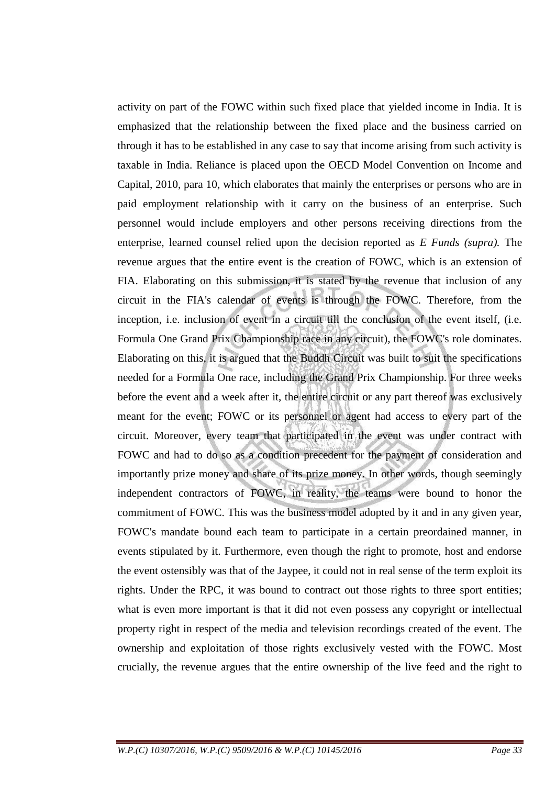activity on part of the FOWC within such fixed place that yielded income in India. It is emphasized that the relationship between the fixed place and the business carried on through it has to be established in any case to say that income arising from such activity is taxable in India. Reliance is placed upon the OECD Model Convention on Income and Capital, 2010, para 10, which elaborates that mainly the enterprises or persons who are in paid employment relationship with it carry on the business of an enterprise. Such personnel would include employers and other persons receiving directions from the enterprise, learned counsel relied upon the decision reported as *E Funds (supra).* The revenue argues that the entire event is the creation of FOWC, which is an extension of FIA. Elaborating on this submission, it is stated by the revenue that inclusion of any circuit in the FIA's calendar of events is through the FOWC. Therefore, from the inception, i.e. inclusion of event in a circuit till the conclusion of the event itself, (i.e. Formula One Grand Prix Championship race in any circuit), the FOWC's role dominates. Elaborating on this, it is argued that the Buddh Circuit was built to suit the specifications needed for a Formula One race, including the Grand Prix Championship. For three weeks before the event and a week after it, the entire circuit or any part thereof was exclusively meant for the event; FOWC or its personnel or agent had access to every part of the circuit. Moreover, every team that participated in the event was under contract with FOWC and had to do so as a condition precedent for the payment of consideration and importantly prize money and share of its prize money. In other words, though seemingly independent contractors of FOWC, in reality, the teams were bound to honor the commitment of FOWC. This was the business model adopted by it and in any given year, FOWC's mandate bound each team to participate in a certain preordained manner, in events stipulated by it. Furthermore, even though the right to promote, host and endorse the event ostensibly was that of the Jaypee, it could not in real sense of the term exploit its rights. Under the RPC, it was bound to contract out those rights to three sport entities; what is even more important is that it did not even possess any copyright or intellectual property right in respect of the media and television recordings created of the event. The ownership and exploitation of those rights exclusively vested with the FOWC. Most crucially, the revenue argues that the entire ownership of the live feed and the right to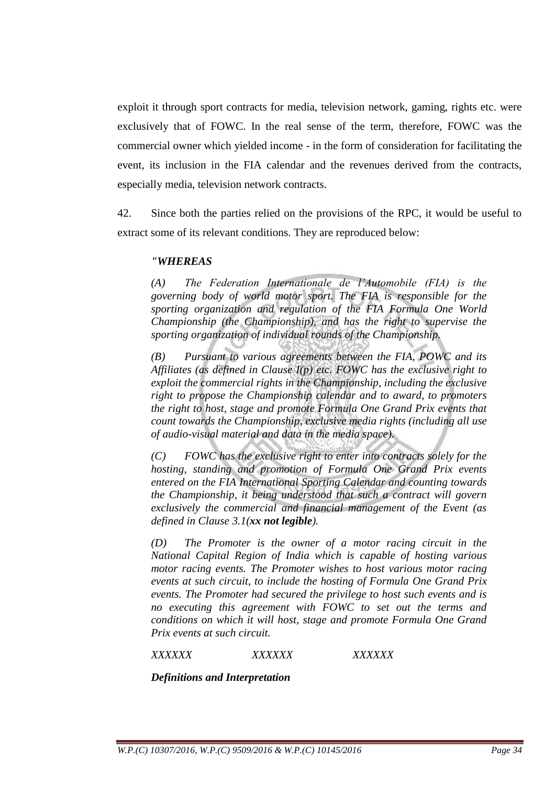exploit it through sport contracts for media, television network, gaming, rights etc. were exclusively that of FOWC. In the real sense of the term, therefore, FOWC was the commercial owner which yielded income - in the form of consideration for facilitating the event, its inclusion in the FIA calendar and the revenues derived from the contracts, especially media, television network contracts.

42. Since both the parties relied on the provisions of the RPC, it would be useful to extract some of its relevant conditions. They are reproduced below:

#### *"WHEREAS*

*(A) The Federation Internationale de l'Automobile (FIA) is the governing body of world motor sport. The FIA is responsible for the sporting organization and regulation of the FIA Formula One World Championship (the Championship), and has the right to supervise the sporting organization of individual rounds of the Championship.*

*(B) Pursuant to various agreements between the FIA, POWC and its Affiliates (as defined in Clause I(p) etc. FOWC has the exclusive right to exploit the commercial rights in the Championship, including the exclusive right to propose the Championship calendar and to award, to promoters the right to host, stage and promote Formula One Grand Prix events that count towards the Championship, exclusive media rights (including all use of audio-visual material and data in the media space).*

*(C) FOWC has the exclusive right to enter into contracts solely for the hosting, standing and promotion of Formula One Grand Prix events entered on the FIA International Sporting Calendar and counting towards the Championship, it being understood that such a contract will govern exclusively the commercial and financial management of the Event (as defined in Clause 3.1(xx not legible).*

*(D) The Promoter is the owner of a motor racing circuit in the National Capital Region of India which is capable of hosting various motor racing events. The Promoter wishes to host various motor racing events at such circuit, to include the hosting of Formula One Grand Prix events. The Promoter had secured the privilege to host such events and is no executing this agreement with FOWC to set out the terms and conditions on which it will host, stage and promote Formula One Grand Prix events at such circuit.*

*XXXXXX XXXXXX XXXXXX*

*Definitions and Interpretation*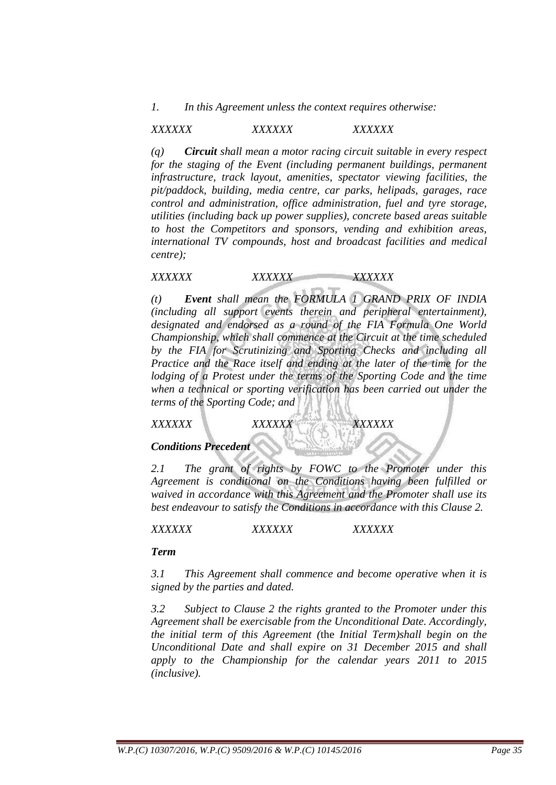*1. In this Agreement unless the context requires otherwise:*

### *XXXXXX XXXXXX XXXXXX*

*(q) Circuit shall mean a motor racing circuit suitable in every respect for the staging of the Event (including permanent buildings, permanent infrastructure, track layout, amenities, spectator viewing facilities, the pit/paddock, building, media centre, car parks, helipads, garages, race control and administration, office administration, fuel and tyre storage, utilities (including back up power supplies), concrete based areas suitable to host the Competitors and sponsors, vending and exhibition areas, international TV compounds, host and broadcast facilities and medical centre);*

### *XXXXXX XXXXXX XXXXXX*

*(t) Event shall mean the FORMULA 1 GRAND PRIX OF INDIA (including all support events therein and peripheral entertainment), designated and endorsed as a round of the FIA Formula One World Championship, which shall commence at the Circuit at the time scheduled by the FIA for Scrutinizing and Sporting Checks and including all Practice and the Race itself and ending at the later of the time for the lodging of a Protest under the terms of the Sporting Code and the time when a technical or sporting verification has been carried out under the terms of the Sporting Code; and*

*XXXXXX XXXXXX XXXXXX*

### *Conditions Precedent*

*2.1 The grant of rights by FOWC to the Promoter under this Agreement is conditional on the Conditions having been fulfilled or waived in accordance with this Agreement and the Promoter shall use its best endeavour to satisfy the Conditions in accordance with this Clause 2.*

*XXXXXX XXXXXX XXXXXX*

### *Term*

*3.1 This Agreement shall commence and become operative when it is signed by the parties and dated.*

*3.2 Subject to Clause 2 the rights granted to the Promoter under this Agreement shall be exercisable from the Unconditional Date. Accordingly, the initial term of this Agreement (*the *Initial Term)shall begin on the Unconditional Date and shall expire on 31 December 2015 and shall apply to the Championship for the calendar years 2011 to 2015 (inclusive).*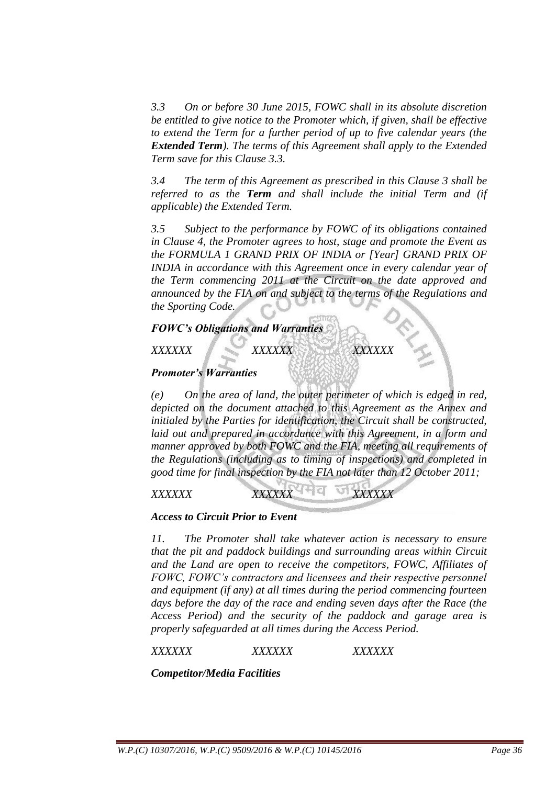*3.3 On or before 30 June 2015, FOWC shall in its absolute discretion be entitled to give notice to the Promoter which, if given, shall be effective to extend the Term for a further period of up to five calendar years (the Extended Term). The terms of this Agreement shall apply to the Extended Term save for this Clause 3.3.*

*3.4 The term of this Agreement as prescribed in this Clause 3 shall be referred to as the Term and shall include the initial Term and (if applicable) the Extended Term.*

*3.5 Subject to the performance by FOWC of its obligations contained in Clause 4, the Promoter agrees to host, stage and promote the Event as the FORMULA 1 GRAND PRIX OF INDIA or [Year] GRAND PRIX OF INDIA in accordance with this Agreement once in every calendar year of the Term commencing 2011 at the Circuit on the date approved and announced by the FIA on and subject to the terms of the Regulations and the Sporting Code.*

*FOWC's Obligations and Warranties*

*XXXXXX XXXXXX XXXXXX*

### *Promoter's Warranties*

*(e) On the area of land, the outer perimeter of which is edged in red, depicted on the document attached to this Agreement as the Annex and initialed by the Parties for identification, the Circuit shall be constructed, laid out and prepared in accordance with this Agreement, in a form and manner approved by both FOWC and the FIA, meeting all requirements of the Regulations (including as to timing of inspections) and completed in good time for final inspection by the FIA not later than 12 October 2011;*

*XXXXXX XXXXXX XXXXXX*

### *Access to Circuit Prior to Event*

*11. The Promoter shall take whatever action is necessary to ensure that the pit and paddock buildings and surrounding areas within Circuit and the Land are open to receive the competitors, FOWC, Affiliates of FOWC, FOWC's contractors and licensees and their respective personnel and equipment (if any) at all times during the period commencing fourteen days before the day of the race and ending seven days after the Race (the Access Period) and the security of the paddock and garage area is properly safeguarded at all times during the Access Period.*

*XXXXXX XXXXXX XXXXXX*

*Competitor/Media Facilities*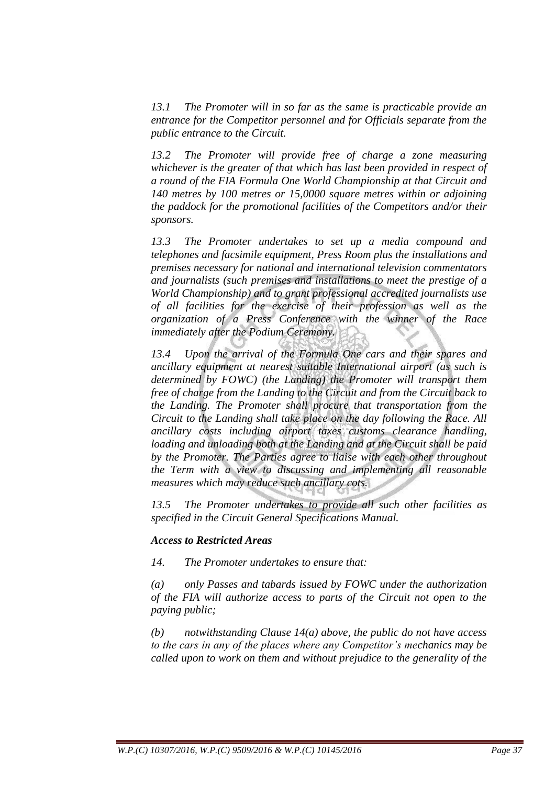*13.1 The Promoter will in so far as the same is practicable provide an entrance for the Competitor personnel and for Officials separate from the public entrance to the Circuit.*

*13.2 The Promoter will provide free of charge a zone measuring whichever is the greater of that which has last been provided in respect of a round of the FIA Formula One World Championship at that Circuit and 140 metres by 100 metres or 15,0000 square metres within or adjoining the paddock for the promotional facilities of the Competitors and/or their sponsors.*

*13.3 The Promoter undertakes to set up a media compound and telephones and facsimile equipment, Press Room plus the installations and premises necessary for national and international television commentators and journalists (such premises and installations to meet the prestige of a World Championship) and to grant professional accredited journalists use of all facilities for the exercise of their profession as well as the organization of a Press Conference with the winner of the Race immediately after the Podium Ceremony.*

*13.4 Upon the arrival of the Formula One cars and their spares and ancillary equipment at nearest suitable International airport (as such is determined by FOWC) (the Landing) the Promoter will transport them free of charge from the Landing to the Circuit and from the Circuit back to the Landing. The Promoter shall procure that transportation from the Circuit to the Landing shall take place on the day following the Race. All ancillary costs including airport taxes customs clearance handling, loading and unloading both at the Landing and at the Circuit shall be paid by the Promoter. The Parties agree to liaise with each other throughout the Term with a view to discussing and implementing all reasonable measures which may reduce such ancillary cots.*

*13.5 The Promoter undertakes to provide all such other facilities as specified in the Circuit General Specifications Manual.*

### *Access to Restricted Areas*

*14. The Promoter undertakes to ensure that:*

*(a) only Passes and tabards issued by FOWC under the authorization of the FIA will authorize access to parts of the Circuit not open to the paying public;*

*(b) notwithstanding Clause 14(a) above, the public do not have access to the cars in any of the places where any Competitor's mechanics may be called upon to work on them and without prejudice to the generality of the*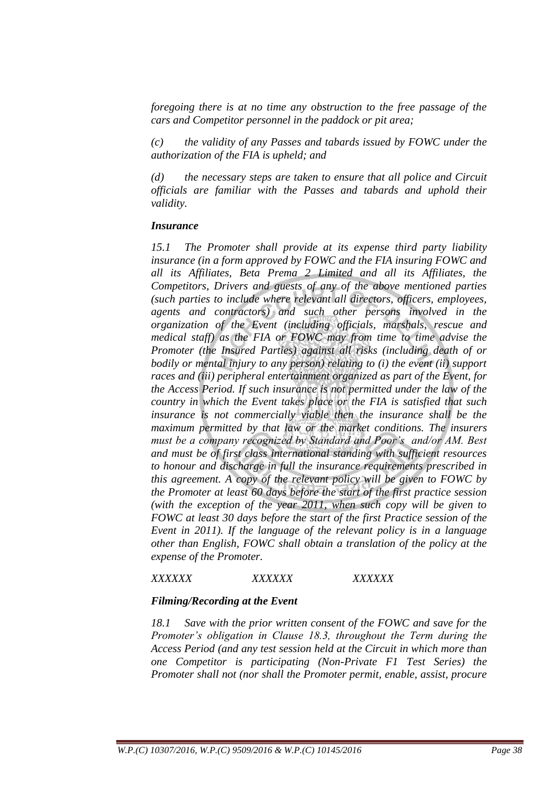*foregoing there is at no time any obstruction to the free passage of the cars and Competitor personnel in the paddock or pit area;*

*(c) the validity of any Passes and tabards issued by FOWC under the authorization of the FIA is upheld; and*

*(d) the necessary steps are taken to ensure that all police and Circuit officials are familiar with the Passes and tabards and uphold their validity.*

#### *Insurance*

*15.1 The Promoter shall provide at its expense third party liability insurance (in a form approved by FOWC and the FIA insuring FOWC and all its Affiliates, Beta Prema 2 Limited and all its Affiliates, the Competitors, Drivers and guests of any of the above mentioned parties (such parties to include where relevant all directors, officers, employees, agents and contractors) and such other persons involved in the organization of the Event (including officials, marshals, rescue and medical staff) as the FIA or FOWC may from time to time advise the Promoter (the Insured Parties) against all risks (including death of or bodily or mental injury to any person) relating to (i) the event (ii) support races and (iii) peripheral entertainment organized as part of the Event, for the Access Period. If such insurance is not permitted under the law of the country in which the Event takes place or the FIA is satisfied that such insurance is not commercially viable then the insurance shall be the maximum permitted by that law or the market conditions. The insurers must be a company recognized by Standard and Poor's and/or AM. Best and must be of first class international standing with sufficient resources to honour and discharge in full the insurance requirements prescribed in this agreement. A copy of the relevant policy will be given to FOWC by the Promoter at least 60 days before the start of the first practice session (with the exception of the year 2011, when such copy will be given to FOWC at least 30 days before the start of the first Practice session of the Event in 2011). If the language of the relevant policy is in a language other than English, FOWC shall obtain a translation of the policy at the expense of the Promoter.*

#### *XXXXXX XXXXXX XXXXXX*

#### *Filming/Recording at the Event*

*18.1 Save with the prior written consent of the FOWC and save for the Promoter's obligation in Clause 18.3, throughout the Term during the Access Period (and any test session held at the Circuit in which more than one Competitor is participating (Non-Private F1 Test Series) the Promoter shall not (nor shall the Promoter permit, enable, assist, procure*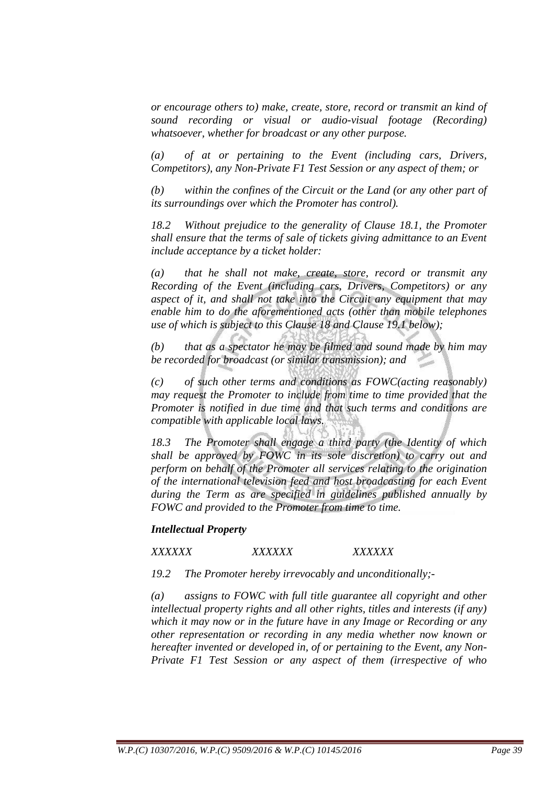*or encourage others to) make, create, store, record or transmit an kind of sound recording or visual or audio-visual footage (Recording) whatsoever, whether for broadcast or any other purpose.*

*(a) of at or pertaining to the Event (including cars, Drivers, Competitors), any Non-Private F1 Test Session or any aspect of them; or*

*(b) within the confines of the Circuit or the Land (or any other part of its surroundings over which the Promoter has control).*

*18.2 Without prejudice to the generality of Clause 18.1, the Promoter shall ensure that the terms of sale of tickets giving admittance to an Event include acceptance by a ticket holder:*

*(a) that he shall not make, create, store, record or transmit any Recording of the Event (including cars, Drivers, Competitors) or any aspect of it, and shall not take into the Circuit any equipment that may enable him to do the aforementioned acts (other than mobile telephones use of which is subject to this Clause 18 and Clause 19.1 below);*

*(b) that as a spectator he may be filmed and sound made by him may be recorded for broadcast (or similar transmission); and*

*(c) of such other terms and conditions as FOWC(acting reasonably) may request the Promoter to include from time to time provided that the Promoter is notified in due time and that such terms and conditions are compatible with applicable local laws.*

*18.3 The Promoter shall engage a third party (the Identity of which shall be approved by FOWC in its sole discretion) to carry out and perform on behalf of the Promoter all services relating to the origination of the international television feed and host broadcasting for each Event during the Term as are specified in guidelines published annually by FOWC and provided to the Promoter from time to time.*

### *Intellectual Property*

*XXXXXX XXXXXX XXXXXX*

*19.2 The Promoter hereby irrevocably and unconditionally;-*

*(a) assigns to FOWC with full title guarantee all copyright and other intellectual property rights and all other rights, titles and interests (if any) which it may now or in the future have in any Image or Recording or any other representation or recording in any media whether now known or hereafter invented or developed in, of or pertaining to the Event, any Non-Private F1 Test Session or any aspect of them (irrespective of who*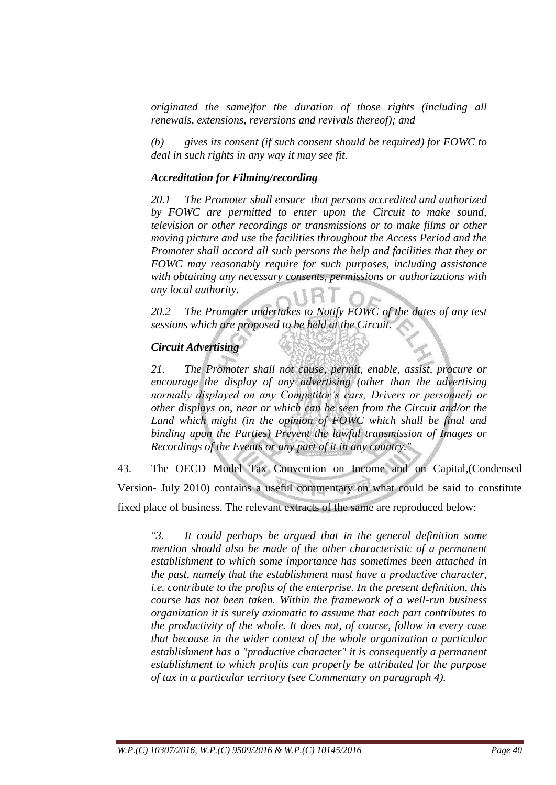*originated the same)for the duration of those rights (including all renewals, extensions, reversions and revivals thereof); and*

*(b) gives its consent (if such consent should be required) for FOWC to deal in such rights in any way it may see fit.*

#### *Accreditation for Filming/recording*

*20.1 The Promoter shall ensure that persons accredited and authorized by FOWC are permitted to enter upon the Circuit to make sound, television or other recordings or transmissions or to make films or other moving picture and use the facilities throughout the Access Period and the Promoter shall accord all such persons the help and facilities that they or FOWC may reasonably require for such purposes, including assistance with obtaining any necessary consents, permissions or authorizations with any local authority.*

*20.2 The Promoter undertakes to Notify FOWC of the dates of any test sessions which are proposed to be held at the Circuit.*

# *Circuit Advertising*

*21. The Promoter shall not cause, permit, enable, assist, procure or encourage the display of any advertising (other than the advertising normally displayed on any Competitor's cars, Drivers or personnel) or other displays on, near or which can be seen from the Circuit and/or the Land which might (in the opinion of FOWC which shall be final and binding upon the Parties) Prevent the lawful transmission of Images or Recordings of the Events or any part of it in any country."*

43. The OECD Model Tax Convention on Income and on Capital,(Condensed Version- July 2010) contains a useful commentary on what could be said to constitute fixed place of business. The relevant extracts of the same are reproduced below:

*"3. It could perhaps be argued that in the general definition some mention should also be made of the other characteristic of a permanent establishment to which some importance has sometimes been attached in the past, namely that the establishment must have a productive character, i.e. contribute to the profits of the enterprise. In the present definition, this course has not been taken. Within the framework of a well-run business organization it is surely axiomatic to assume that each part contributes to the productivity of the whole. It does not, of course, follow in every case that because in the wider context of the whole organization a particular establishment has a "productive character" it is consequently a permanent establishment to which profits can properly be attributed for the purpose of tax in a particular territory (see Commentary on paragraph 4).*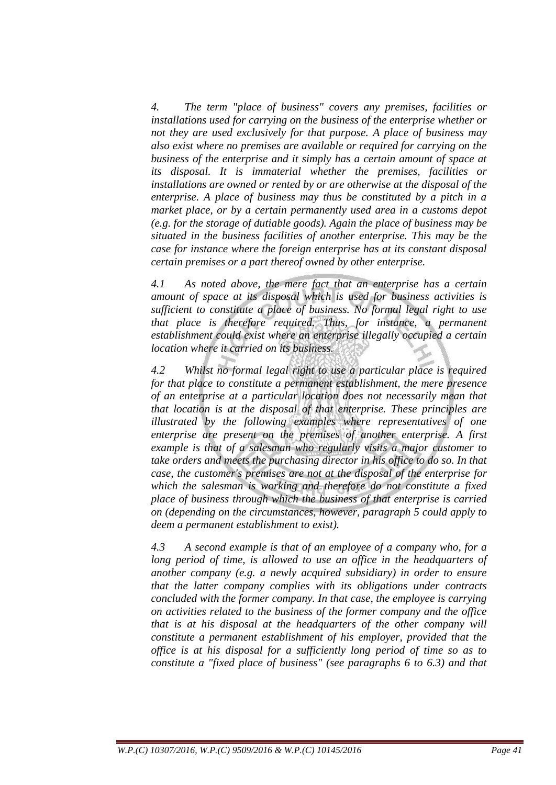*4. The term "place of business" covers any premises, facilities or installations used for carrying on the business of the enterprise whether or not they are used exclusively for that purpose. A place of business may also exist where no premises are available or required for carrying on the business of the enterprise and it simply has a certain amount of space at its disposal. It is immaterial whether the premises, facilities or installations are owned or rented by or are otherwise at the disposal of the enterprise. A place of business may thus be constituted by a pitch in a market place, or by a certain permanently used area in a customs depot (e.g. for the storage of dutiable goods). Again the place of business may be situated in the business facilities of another enterprise. This may be the case for instance where the foreign enterprise has at its constant disposal certain premises or a part thereof owned by other enterprise.*

*4.1 As noted above, the mere fact that an enterprise has a certain amount of space at its disposal which is used for business activities is sufficient to constitute a place of business. No formal legal right to use that place is therefore required. Thus, for instance, a permanent establishment could exist where an enterprise illegally occupied a certain location where it carried on its business.*

*4.2 Whilst no formal legal right to use a particular place is required for that place to constitute a permanent establishment, the mere presence of an enterprise at a particular location does not necessarily mean that that location is at the disposal of that enterprise. These principles are illustrated by the following examples where representatives of one enterprise are present on the premises of another enterprise. A first example is that of a salesman who regularly visits a major customer to take orders and meets the purchasing director in his office to do so. In that case, the customer's premises are not at the disposal of the enterprise for which the salesman is working and therefore do not constitute a fixed place of business through which the business of that enterprise is carried on (depending on the circumstances, however, paragraph 5 could apply to deem a permanent establishment to exist).*

*4.3 A second example is that of an employee of a company who, for a long period of time, is allowed to use an office in the headquarters of another company (e.g. a newly acquired subsidiary) in order to ensure that the latter company complies with its obligations under contracts concluded with the former company. In that case, the employee is carrying on activities related to the business of the former company and the office that is at his disposal at the headquarters of the other company will constitute a permanent establishment of his employer, provided that the office is at his disposal for a sufficiently long period of time so as to constitute a "fixed place of business" (see paragraphs 6 to 6.3) and that*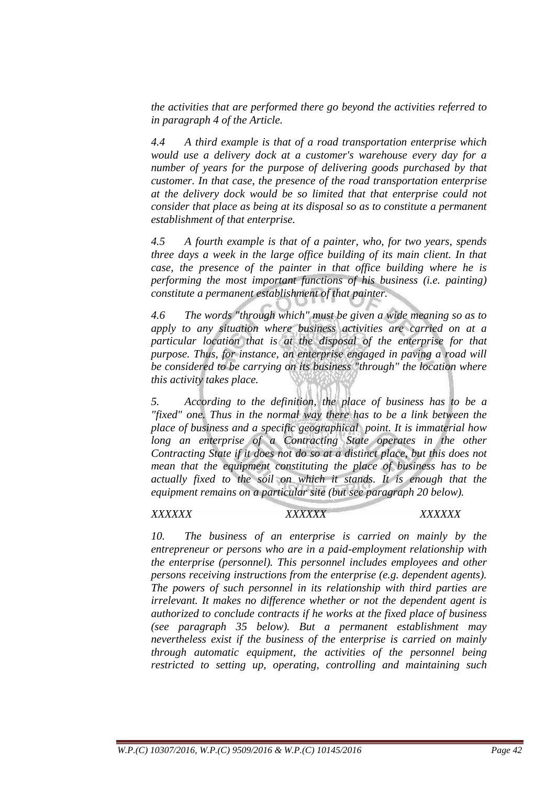*the activities that are performed there go beyond the activities referred to in paragraph 4 of the Article.*

*4.4 A third example is that of a road transportation enterprise which would use a delivery dock at a customer's warehouse every day for a number of years for the purpose of delivering goods purchased by that customer. In that case, the presence of the road transportation enterprise at the delivery dock would be so limited that that enterprise could not consider that place as being at its disposal so as to constitute a permanent establishment of that enterprise.*

*4.5 A fourth example is that of a painter, who, for two years, spends three days a week in the large office building of its main client. In that case, the presence of the painter in that office building where he is performing the most important functions of his business (i.e. painting) constitute a permanent establishment of that painter.*

*4.6 The words "through which" must be given a wide meaning so as to apply to any situation where business activities are carried on at a particular location that is at the disposal of the enterprise for that purpose. Thus, for instance, an enterprise engaged in paving a road will be considered to be carrying on its business "through" the location where this activity takes place.*

*5. According to the definition, the place of business has to be a "fixed" one. Thus in the normal way there has to be a link between the place of business and a specific geographical point. It is immaterial how long an enterprise of a Contracting State operates in the other Contracting State if it does not do so at a distinct place, but this does not mean that the equipment constituting the place of business has to be actually fixed to the soil on which it stands. It is enough that the equipment remains on a particular site (but see paragraph 20 below).*

#### *XXXXXX XXXXXX XXXXXX*

*10. The business of an enterprise is carried on mainly by the entrepreneur or persons who are in a paid-employment relationship with the enterprise (personnel). This personnel includes employees and other persons receiving instructions from the enterprise (e.g. dependent agents). The powers of such personnel in its relationship with third parties are irrelevant. It makes no difference whether or not the dependent agent is authorized to conclude contracts if he works at the fixed place of business (see paragraph 35 below). But a permanent establishment may nevertheless exist if the business of the enterprise is carried on mainly through automatic equipment, the activities of the personnel being restricted to setting up, operating, controlling and maintaining such*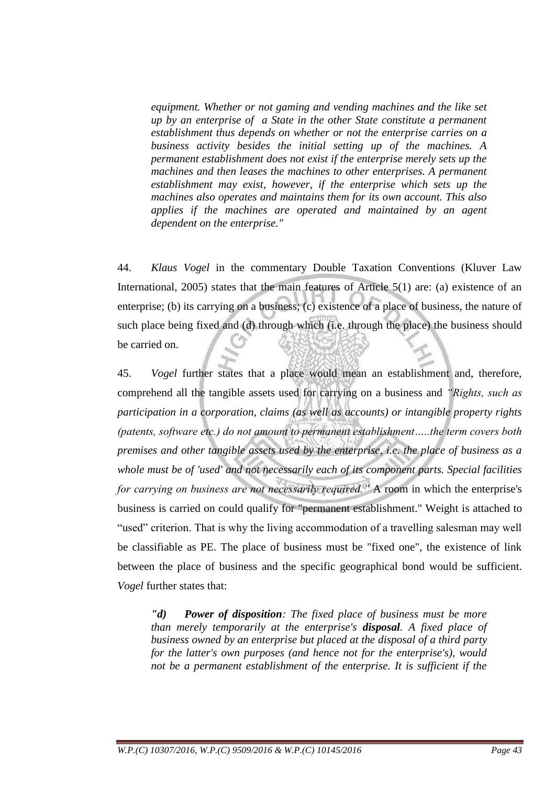*equipment. Whether or not gaming and vending machines and the like set up by an enterprise of a State in the other State constitute a permanent establishment thus depends on whether or not the enterprise carries on a business activity besides the initial setting up of the machines. A permanent establishment does not exist if the enterprise merely sets up the machines and then leases the machines to other enterprises. A permanent establishment may exist, however, if the enterprise which sets up the machines also operates and maintains them for its own account. This also applies if the machines are operated and maintained by an agent dependent on the enterprise."*

44. *Klaus Vogel* in the commentary Double Taxation Conventions (Kluver Law International, 2005) states that the main features of Article 5(1) are: (a) existence of an enterprise; (b) its carrying on a business; (c) existence of a place of business, the nature of such place being fixed and (d) through which (i.e. through the place) the business should be carried on.

45. *Vogel* further states that a place would mean an establishment and, therefore, comprehend all the tangible assets used for carrying on a business and *"Rights, such as participation in a corporation, claims (as well as accounts) or intangible property rights (patents, software etc.) do not amount to permanent establishment…..the term covers both premises and other tangible assets used by the enterprise, i.e. the place of business as a whole must be of 'used' and not necessarily each of its component parts. Special facilities for carrying on business are not necessarily required."* A room in which the enterprise's business is carried on could qualify for "permanent establishment." Weight is attached to "used" criterion. That is why the living accommodation of a travelling salesman may well be classifiable as PE. The place of business must be "fixed one", the existence of link between the place of business and the specific geographical bond would be sufficient. *Vogel* further states that:

*"d) Power of disposition: The fixed place of business must be more than merely temporarily at the enterprise's disposal. A fixed place of business owned by an enterprise but placed at the disposal of a third party for the latter's own purposes (and hence not for the enterprise's), would not be a permanent establishment of the enterprise. It is sufficient if the*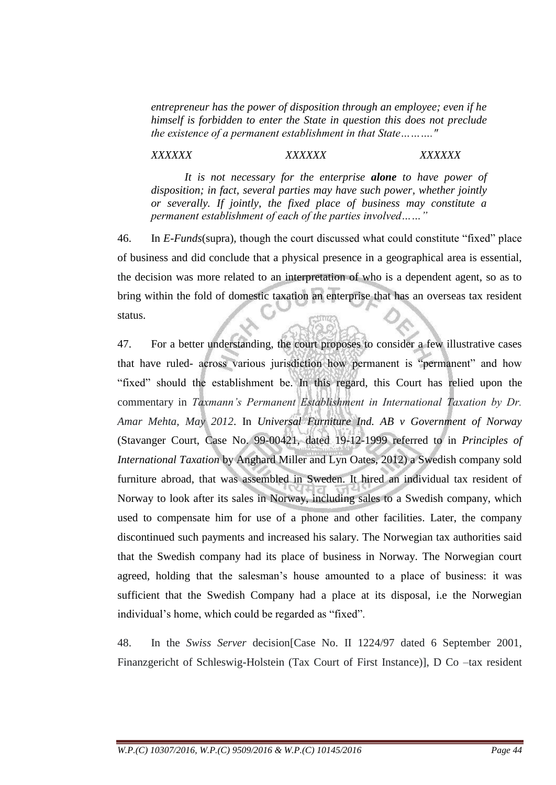*entrepreneur has the power of disposition through an employee; even if he himself is forbidden to enter the State in question this does not preclude the existence of a permanent establishment in that State………."*

### *XXXXXX XXXXXX XXXXXX*

*It is not necessary for the enterprise alone to have power of disposition; in fact, several parties may have such power, whether jointly or severally. If jointly, the fixed place of business may constitute a permanent establishment of each of the parties involved……"*

46. In *E-Funds*(supra)*,* though the court discussed what could constitute "fixed" place of business and did conclude that a physical presence in a geographical area is essential, the decision was more related to an interpretation of who is a dependent agent, so as to bring within the fold of domestic taxation an enterprise that has an overseas tax resident status.

47. For a better understanding, the court proposes to consider a few illustrative cases that have ruled- across various jurisdiction how permanent is "permanent" and how "fixed" should the establishment be. In this regard, this Court has relied upon the commentary in *Taxmann's Permanent Establishment in International Taxation by Dr. Amar Mehta, May 2012*. In *Universal Furniture Ind. AB v Government of Norway*  (Stavanger Court, Case No. 99-00421, dated 19-12-1999 referred to in *Principles of International Taxation* by Anghard Miller and Lyn Oates, 2012) a Swedish company sold furniture abroad, that was assembled in Sweden. It hired an individual tax resident of Norway to look after its sales in Norway, including sales to a Swedish company, which used to compensate him for use of a phone and other facilities. Later, the company discontinued such payments and increased his salary. The Norwegian tax authorities said that the Swedish company had its place of business in Norway. The Norwegian court agreed, holding that the salesman"s house amounted to a place of business: it was sufficient that the Swedish Company had a place at its disposal, i.e the Norwegian individual"s home, which could be regarded as "fixed".

48. In the *Swiss Server* decision[Case No. II 1224/97 dated 6 September 2001, Finanzgericht of Schleswig-Holstein (Tax Court of First Instance)], D Co –tax resident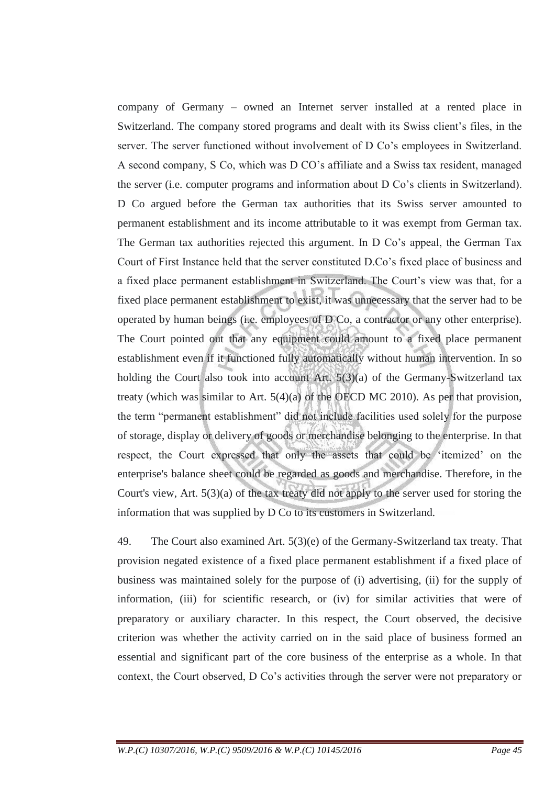company of Germany – owned an Internet server installed at a rented place in Switzerland. The company stored programs and dealt with its Swiss client's files, in the server. The server functioned without involvement of D Co's employees in Switzerland. A second company, S Co, which was D CO"s affiliate and a Swiss tax resident, managed the server (i.e. computer programs and information about D Co"s clients in Switzerland). D Co argued before the German tax authorities that its Swiss server amounted to permanent establishment and its income attributable to it was exempt from German tax. The German tax authorities rejected this argument. In D Co"s appeal, the German Tax Court of First Instance held that the server constituted D.Co"s fixed place of business and a fixed place permanent establishment in Switzerland. The Court"s view was that, for a fixed place permanent establishment to exist, it was unnecessary that the server had to be operated by human beings (i.e. employees of D Co, a contractor or any other enterprise). The Court pointed out that any equipment could amount to a fixed place permanent establishment even if it functioned fully automatically without human intervention. In so holding the Court also took into account Art. 5(3)(a) of the Germany-Switzerland tax treaty (which was similar to Art. 5(4)(a) of the OECD MC 2010). As per that provision, the term "permanent establishment" did not include facilities used solely for the purpose of storage, display or delivery of goods or merchandise belonging to the enterprise. In that respect, the Court expressed that only the assets that could be "itemized" on the enterprise's balance sheet could be regarded as goods and merchandise. Therefore, in the Court's view, Art. 5(3)(a) of the tax treaty did not apply to the server used for storing the information that was supplied by D Co to its customers in Switzerland.

49. The Court also examined Art. 5(3)(e) of the Germany-Switzerland tax treaty. That provision negated existence of a fixed place permanent establishment if a fixed place of business was maintained solely for the purpose of (i) advertising, (ii) for the supply of information, (iii) for scientific research, or (iv) for similar activities that were of preparatory or auxiliary character. In this respect, the Court observed, the decisive criterion was whether the activity carried on in the said place of business formed an essential and significant part of the core business of the enterprise as a whole. In that context, the Court observed, D Co"s activities through the server were not preparatory or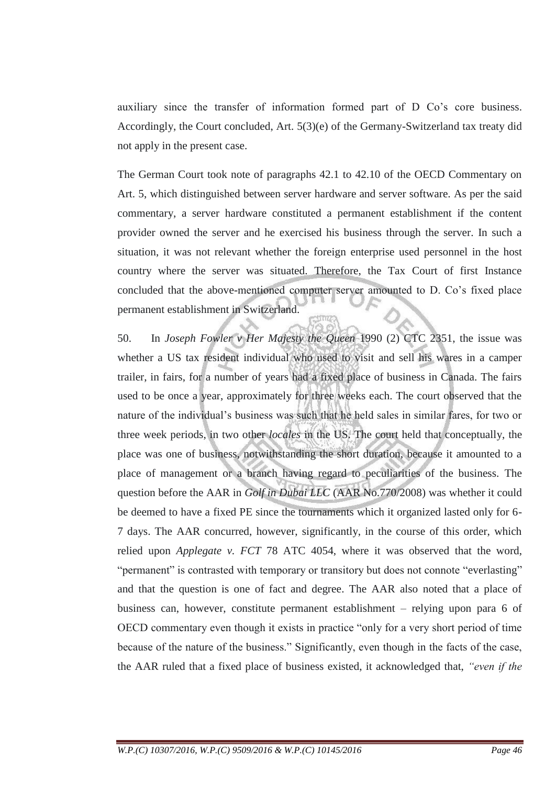auxiliary since the transfer of information formed part of D Co"s core business. Accordingly, the Court concluded, Art. 5(3)(e) of the Germany-Switzerland tax treaty did not apply in the present case.

The German Court took note of paragraphs 42.1 to 42.10 of the OECD Commentary on Art. 5, which distinguished between server hardware and server software. As per the said commentary, a server hardware constituted a permanent establishment if the content provider owned the server and he exercised his business through the server. In such a situation, it was not relevant whether the foreign enterprise used personnel in the host country where the server was situated. Therefore, the Tax Court of first Instance concluded that the above-mentioned computer server amounted to D. Co"s fixed place permanent establishment in Switzerland.

50. In *Joseph Fowler v Her Majesty the Queen* 1990 (2) CTC 2351, the issue was whether a US tax resident individual who used to visit and sell his wares in a camper trailer, in fairs, for a number of years had a fixed place of business in Canada. The fairs used to be once a year, approximately for three weeks each. The court observed that the nature of the individual"s business was such that he held sales in similar fares, for two or three week periods, in two other *locales* in the US. The court held that conceptually, the place was one of business, notwithstanding the short duration, because it amounted to a place of management or a branch having regard to peculiarities of the business. The question before the AAR in *Golf in Dubai LLC* (AAR No.770/2008) was whether it could be deemed to have a fixed PE since the tournaments which it organized lasted only for 6- 7 days. The AAR concurred, however, significantly, in the course of this order, which relied upon *Applegate v. FCT* 78 ATC 4054, where it was observed that the word, "permanent" is contrasted with temporary or transitory but does not connote "everlasting" and that the question is one of fact and degree. The AAR also noted that a place of business can, however, constitute permanent establishment – relying upon para 6 of OECD commentary even though it exists in practice "only for a very short period of time because of the nature of the business." Significantly, even though in the facts of the case, the AAR ruled that a fixed place of business existed, it acknowledged that, *"even if the*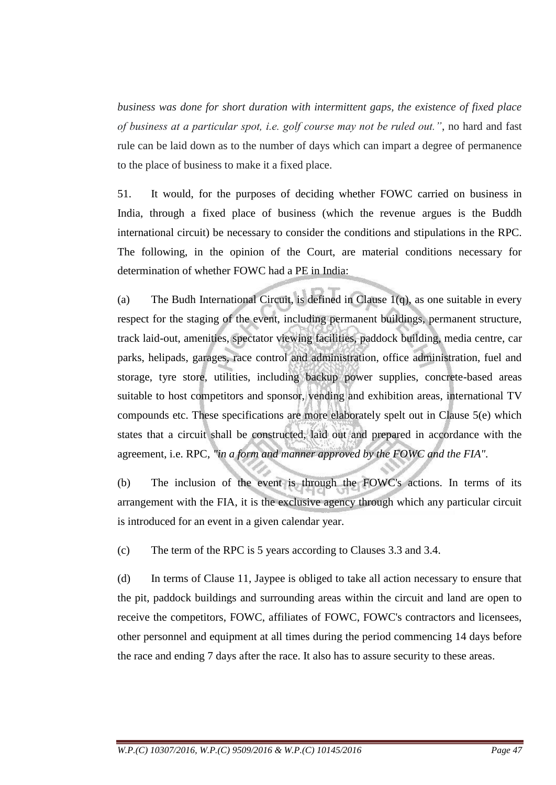*business was done for short duration with intermittent gaps, the existence of fixed place of business at a particular spot, i.e. golf course may not be ruled out."*, no hard and fast rule can be laid down as to the number of days which can impart a degree of permanence to the place of business to make it a fixed place.

51. It would, for the purposes of deciding whether FOWC carried on business in India, through a fixed place of business (which the revenue argues is the Buddh international circuit) be necessary to consider the conditions and stipulations in the RPC. The following, in the opinion of the Court, are material conditions necessary for determination of whether FOWC had a PE in India:

(a) The Budh International Circuit, is defined in Clause 1(q), as one suitable in every respect for the staging of the event, including permanent buildings, permanent structure, track laid-out, amenities, spectator viewing facilities, paddock building, media centre, car parks, helipads, garages, race control and administration, office administration, fuel and storage, tyre store, utilities, including backup power supplies, concrete-based areas suitable to host competitors and sponsor, vending and exhibition areas, international TV compounds etc. These specifications are more elaborately spelt out in Clause 5(e) which states that a circuit shall be constructed, laid out and prepared in accordance with the agreement, i.e. RPC, *"in a form and manner approved by the FOWC and the FIA".*

(b) The inclusion of the event is through the FOWC's actions. In terms of its arrangement with the FIA, it is the exclusive agency through which any particular circuit is introduced for an event in a given calendar year.

(c) The term of the RPC is 5 years according to Clauses 3.3 and 3.4.

(d) In terms of Clause 11, Jaypee is obliged to take all action necessary to ensure that the pit, paddock buildings and surrounding areas within the circuit and land are open to receive the competitors, FOWC, affiliates of FOWC, FOWC's contractors and licensees, other personnel and equipment at all times during the period commencing 14 days before the race and ending 7 days after the race. It also has to assure security to these areas.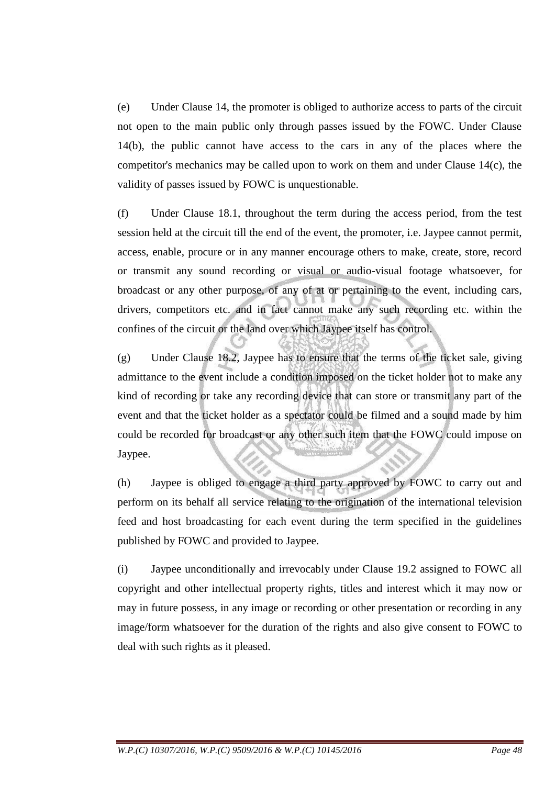(e) Under Clause 14, the promoter is obliged to authorize access to parts of the circuit not open to the main public only through passes issued by the FOWC. Under Clause 14(b), the public cannot have access to the cars in any of the places where the competitor's mechanics may be called upon to work on them and under Clause 14(c), the validity of passes issued by FOWC is unquestionable.

(f) Under Clause 18.1, throughout the term during the access period, from the test session held at the circuit till the end of the event, the promoter, i.e. Jaypee cannot permit, access, enable, procure or in any manner encourage others to make, create, store, record or transmit any sound recording or visual or audio-visual footage whatsoever, for broadcast or any other purpose, of any of at or pertaining to the event, including cars, drivers, competitors etc. and in fact cannot make any such recording etc. within the confines of the circuit or the land over which Jaypee itself has control.

(g) Under Clause 18.2, Jaypee has to ensure that the terms of the ticket sale, giving admittance to the event include a condition imposed on the ticket holder not to make any kind of recording or take any recording device that can store or transmit any part of the event and that the ticket holder as a spectator could be filmed and a sound made by him could be recorded for broadcast or any other such item that the FOWC could impose on Jaypee.

(h) Jaypee is obliged to engage a third party approved by FOWC to carry out and perform on its behalf all service relating to the origination of the international television feed and host broadcasting for each event during the term specified in the guidelines published by FOWC and provided to Jaypee.

(i) Jaypee unconditionally and irrevocably under Clause 19.2 assigned to FOWC all copyright and other intellectual property rights, titles and interest which it may now or may in future possess, in any image or recording or other presentation or recording in any image/form whatsoever for the duration of the rights and also give consent to FOWC to deal with such rights as it pleased.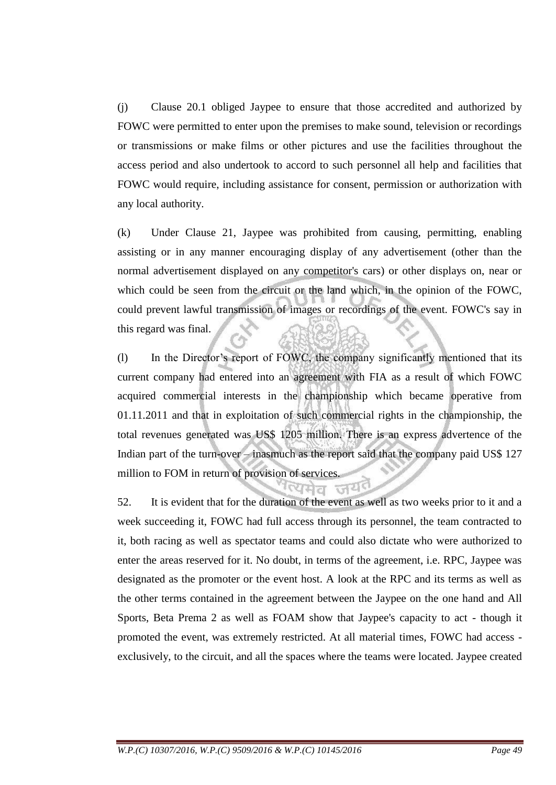(j) Clause 20.1 obliged Jaypee to ensure that those accredited and authorized by FOWC were permitted to enter upon the premises to make sound, television or recordings or transmissions or make films or other pictures and use the facilities throughout the access period and also undertook to accord to such personnel all help and facilities that FOWC would require, including assistance for consent, permission or authorization with any local authority.

(k) Under Clause 21, Jaypee was prohibited from causing, permitting, enabling assisting or in any manner encouraging display of any advertisement (other than the normal advertisement displayed on any competitor's cars) or other displays on, near or which could be seen from the circuit or the land which, in the opinion of the FOWC, could prevent lawful transmission of images or recordings of the event. FOWC's say in this regard was final.

(l) In the Director"s report of FOWC, the company significantly mentioned that its current company had entered into an agreement with FIA as a result of which FOWC acquired commercial interests in the championship which became operative from 01.11.2011 and that in exploitation of such commercial rights in the championship, the total revenues generated was US\$ 1205 million. There is an express advertence of the Indian part of the turn-over – inasmuch as the report said that the company paid US\$ 127 million to FOM in return of provision of services.

मेव जय

52. It is evident that for the duration of the event as well as two weeks prior to it and a week succeeding it, FOWC had full access through its personnel, the team contracted to it, both racing as well as spectator teams and could also dictate who were authorized to enter the areas reserved for it. No doubt, in terms of the agreement, i.e. RPC, Jaypee was designated as the promoter or the event host. A look at the RPC and its terms as well as the other terms contained in the agreement between the Jaypee on the one hand and All Sports, Beta Prema 2 as well as FOAM show that Jaypee's capacity to act - though it promoted the event, was extremely restricted. At all material times, FOWC had access exclusively, to the circuit, and all the spaces where the teams were located. Jaypee created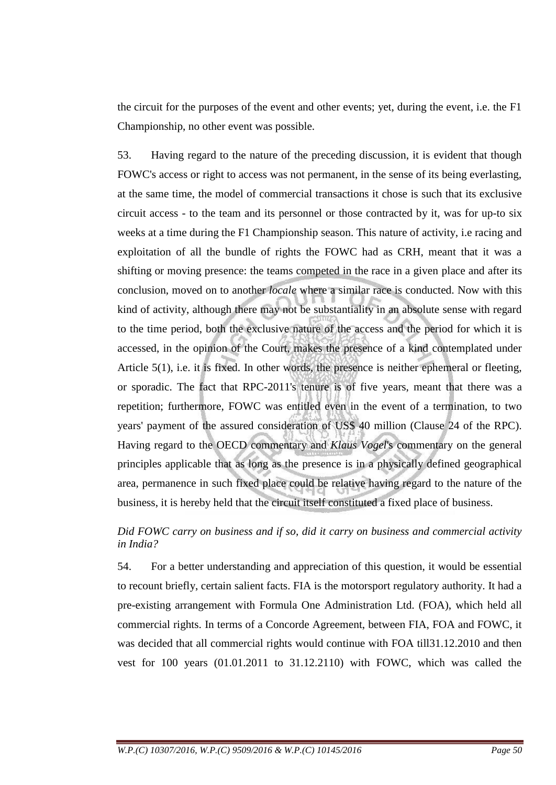the circuit for the purposes of the event and other events; yet, during the event, i.e. the F1 Championship, no other event was possible.

53. Having regard to the nature of the preceding discussion, it is evident that though FOWC's access or right to access was not permanent, in the sense of its being everlasting, at the same time, the model of commercial transactions it chose is such that its exclusive circuit access - to the team and its personnel or those contracted by it, was for up-to six weeks at a time during the F1 Championship season. This nature of activity, i.e racing and exploitation of all the bundle of rights the FOWC had as CRH, meant that it was a shifting or moving presence: the teams competed in the race in a given place and after its conclusion, moved on to another *locale* where a similar race is conducted. Now with this kind of activity, although there may not be substantiality in an absolute sense with regard to the time period, both the exclusive nature of the access and the period for which it is accessed, in the opinion of the Court, makes the presence of a kind contemplated under Article 5(1), i.e. it is fixed. In other words, the presence is neither ephemeral or fleeting, or sporadic. The fact that RPC-2011's tenure is of five years, meant that there was a repetition; furthermore, FOWC was entitled even in the event of a termination, to two years' payment of the assured consideration of US\$ 40 million (Clause 24 of the RPC). Having regard to the OECD commentary and *Klaus Vogel*'s commentary on the general principles applicable that as long as the presence is in a physically defined geographical area, permanence in such fixed place could be relative having regard to the nature of the business, it is hereby held that the circuit itself constituted a fixed place of business.

# *Did FOWC carry on business and if so, did it carry on business and commercial activity in India?*

54. For a better understanding and appreciation of this question, it would be essential to recount briefly, certain salient facts. FIA is the motorsport regulatory authority. It had a pre-existing arrangement with Formula One Administration Ltd. (FOA), which held all commercial rights. In terms of a Concorde Agreement, between FIA, FOA and FOWC, it was decided that all commercial rights would continue with FOA till31.12.2010 and then vest for 100 years (01.01.2011 to 31.12.2110) with FOWC, which was called the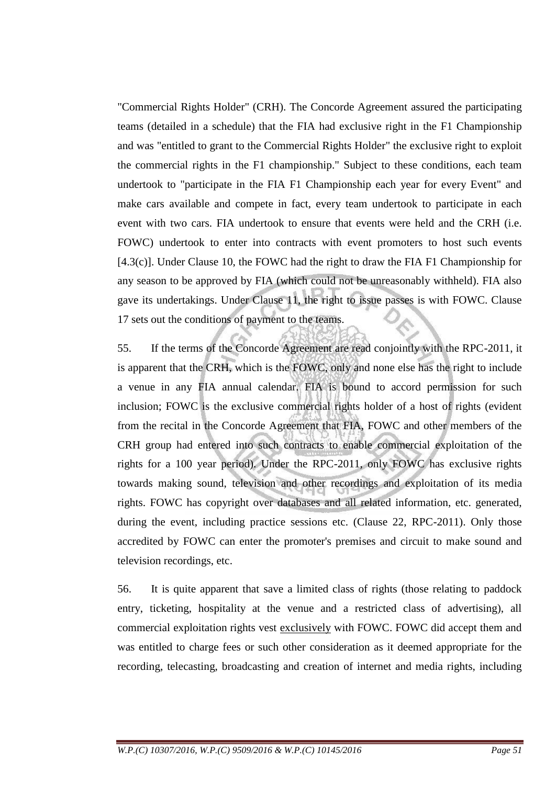"Commercial Rights Holder" (CRH). The Concorde Agreement assured the participating teams (detailed in a schedule) that the FIA had exclusive right in the F1 Championship and was "entitled to grant to the Commercial Rights Holder" the exclusive right to exploit the commercial rights in the F1 championship." Subject to these conditions, each team undertook to "participate in the FIA F1 Championship each year for every Event" and make cars available and compete in fact, every team undertook to participate in each event with two cars. FIA undertook to ensure that events were held and the CRH (i.e. FOWC) undertook to enter into contracts with event promoters to host such events [4.3(c)]. Under Clause 10, the FOWC had the right to draw the FIA F1 Championship for any season to be approved by FIA (which could not be unreasonably withheld). FIA also gave its undertakings. Under Clause 11, the right to issue passes is with FOWC. Clause 17 sets out the conditions of payment to the teams.

55. If the terms of the Concorde Agreement are read conjointly with the RPC-2011, it is apparent that the CRH, which is the FOWC, only and none else has the right to include a venue in any FIA annual calendar. FIA is bound to accord permission for such inclusion; FOWC is the exclusive commercial rights holder of a host of rights (evident from the recital in the Concorde Agreement that FIA, FOWC and other members of the CRH group had entered into such contracts to enable commercial exploitation of the rights for a 100 year period). Under the RPC-2011, only FOWC has exclusive rights towards making sound, television and other recordings and exploitation of its media rights. FOWC has copyright over databases and all related information, etc. generated, during the event, including practice sessions etc. (Clause 22, RPC-2011). Only those accredited by FOWC can enter the promoter's premises and circuit to make sound and television recordings, etc.

56. It is quite apparent that save a limited class of rights (those relating to paddock entry, ticketing, hospitality at the venue and a restricted class of advertising), all commercial exploitation rights vest exclusively with FOWC. FOWC did accept them and was entitled to charge fees or such other consideration as it deemed appropriate for the recording, telecasting, broadcasting and creation of internet and media rights, including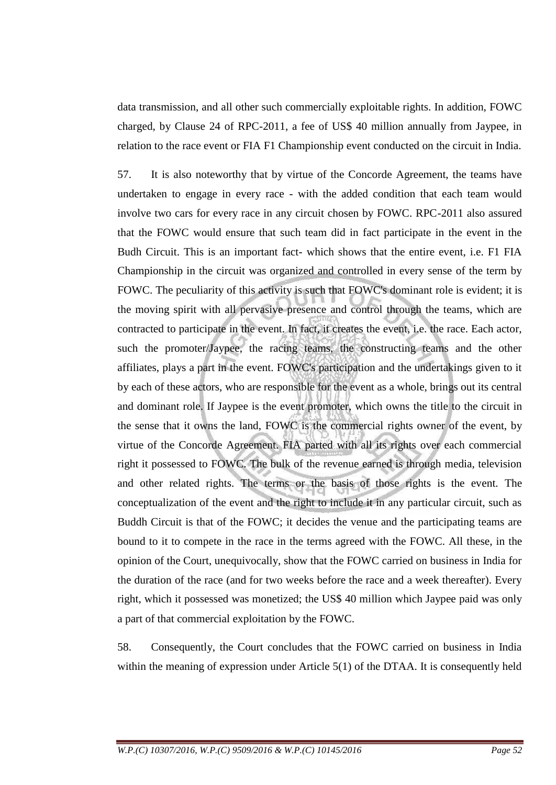data transmission, and all other such commercially exploitable rights. In addition, FOWC charged, by Clause 24 of RPC-2011, a fee of US\$ 40 million annually from Jaypee, in relation to the race event or FIA F1 Championship event conducted on the circuit in India.

57. It is also noteworthy that by virtue of the Concorde Agreement, the teams have undertaken to engage in every race - with the added condition that each team would involve two cars for every race in any circuit chosen by FOWC. RPC-2011 also assured that the FOWC would ensure that such team did in fact participate in the event in the Budh Circuit. This is an important fact- which shows that the entire event, i.e. F1 FIA Championship in the circuit was organized and controlled in every sense of the term by FOWC. The peculiarity of this activity is such that FOWC's dominant role is evident; it is the moving spirit with all pervasive presence and control through the teams, which are contracted to participate in the event. In fact, it creates the event, i.e. the race. Each actor, such the promoter/Jaypee, the racing teams, the constructing teams and the other affiliates, plays a part in the event. FOWC's participation and the undertakings given to it by each of these actors, who are responsible for the event as a whole, brings out its central and dominant role. If Jaypee is the event promoter, which owns the title to the circuit in the sense that it owns the land, FOWC is the commercial rights owner of the event, by virtue of the Concorde Agreement. FIA parted with all its rights over each commercial right it possessed to FOWC. The bulk of the revenue earned is through media, television and other related rights. The terms or the basis of those rights is the event. The conceptualization of the event and the right to include it in any particular circuit, such as Buddh Circuit is that of the FOWC; it decides the venue and the participating teams are bound to it to compete in the race in the terms agreed with the FOWC. All these, in the opinion of the Court, unequivocally, show that the FOWC carried on business in India for the duration of the race (and for two weeks before the race and a week thereafter). Every right, which it possessed was monetized; the US\$ 40 million which Jaypee paid was only a part of that commercial exploitation by the FOWC.

58. Consequently, the Court concludes that the FOWC carried on business in India within the meaning of expression under Article 5(1) of the DTAA. It is consequently held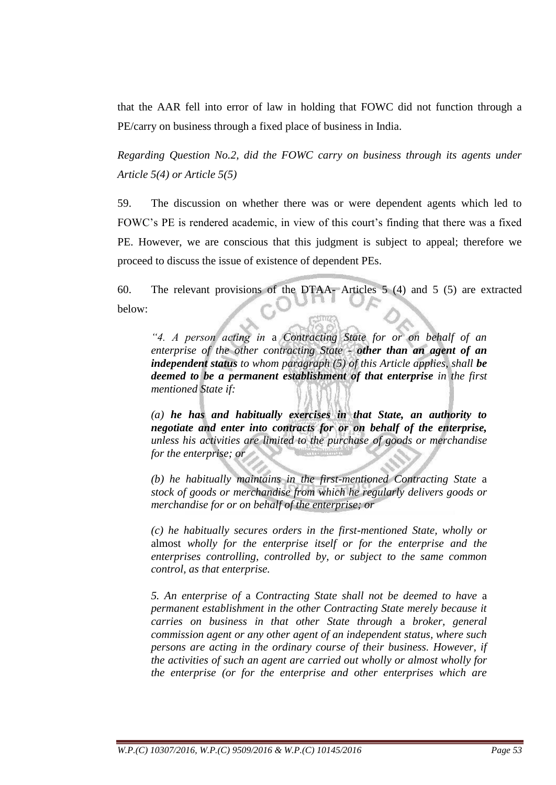that the AAR fell into error of law in holding that FOWC did not function through a PE/carry on business through a fixed place of business in India.

*Regarding Question No.2, did the FOWC carry on business through its agents under Article 5(4) or Article 5(5)*

59. The discussion on whether there was or were dependent agents which led to FOWC's PE is rendered academic, in view of this court's finding that there was a fixed PE. However, we are conscious that this judgment is subject to appeal; therefore we proceed to discuss the issue of existence of dependent PEs.

60. The relevant provisions of the DTAA- Articles 5 (4) and 5 (5) are extracted below:

*"4. A person acting in* a *Contracting State for or on behalf of an enterprise of the other contracting State* - *other than an agent of an independent status to whom paragraph (5) of this Article applies, shall be deemed to be a permanent establishment of that enterprise in the first mentioned State if:*

*(a) he has and habitually exercises in that State, an authority to negotiate and enter into contracts for or on behalf of the enterprise, unless his activities are limited to the purchase of goods or merchandise for the enterprise; or*

*(b) he habitually maintains in the first-mentioned Contracting State* a *stock of goods or merchandise from which he regularly delivers goods or merchandise for or on behalf of the enterprise; or*

*(c) he habitually secures orders in the first-mentioned State, wholly or*  almost *wholly for the enterprise itself or for the enterprise and the enterprises controlling, controlled by, or subject to the same common control, as that enterprise.*

*5. An enterprise of* a *Contracting State shall not be deemed to have* a *permanent establishment in the other Contracting State merely because it carries on business in that other State through* a *broker, general commission agent or any other agent of an independent status, where such persons are acting in the ordinary course of their business. However, if the activities of such an agent are carried out wholly or almost wholly for the enterprise (or for the enterprise and other enterprises which are*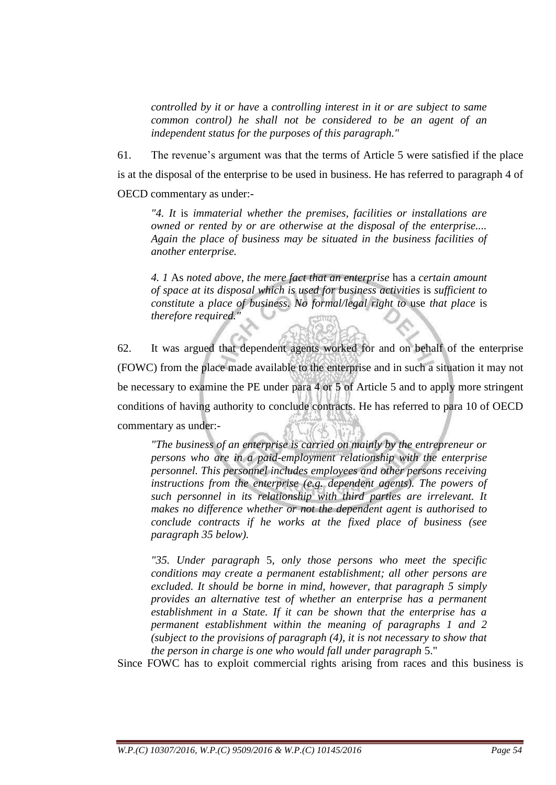*controlled by it or have* a *controlling interest in it or are subject to same common control) he shall not be considered to be an agent of an independent status for the purposes of this paragraph."*

61. The revenue"s argument was that the terms of Article 5 were satisfied if the place is at the disposal of the enterprise to be used in business. He has referred to paragraph 4 of OECD commentary as under:-

*"4. It* is *immaterial whether the premises, facilities or installations are owned or rented by or are otherwise at the disposal of the enterprise.... Again the place of business may be situated in the business facilities of another enterprise.*

*4. 1* As *noted above, the mere fact that an enterprise* has a *certain amount of space at its disposal which is used for business activities* is *sufficient to constitute* a *place of business. No formal/legal right to* use *that place* is *therefore required."*

62. It was argued that dependent agents worked for and on behalf of the enterprise (FOWC) from the place made available to the enterprise and in such a situation it may not be necessary to examine the PE under para 4 or 5 of Article 5 and to apply more stringent conditions of having authority to conclude contracts. He has referred to para 10 of OECD commentary as under:-

*"The business of an enterprise is carried on mainly by the entrepreneur or persons who are in a paid-employment relationship with the enterprise personnel. This personnel includes employees and other persons receiving instructions from the enterprise (e.g. dependent agents). The powers of such personnel in its relationship with third parties are irrelevant. It makes no difference whether or not the dependent agent is authorised to conclude contracts if he works at the fixed place of business (see paragraph 35 below).*

*"35. Under paragraph* 5, *only those persons who meet the specific conditions may create a permanent establishment; all other persons are excluded. It should be borne in mind, however, that paragraph 5 simply provides an alternative test of whether an enterprise has a permanent establishment in a State. If it can be shown that the enterprise has a permanent establishment within the meaning of paragraphs 1 and 2 (subject to the provisions of paragraph (4), it is not necessary to show that the person in charge is one who would fall under paragraph* 5."

Since FOWC has to exploit commercial rights arising from races and this business is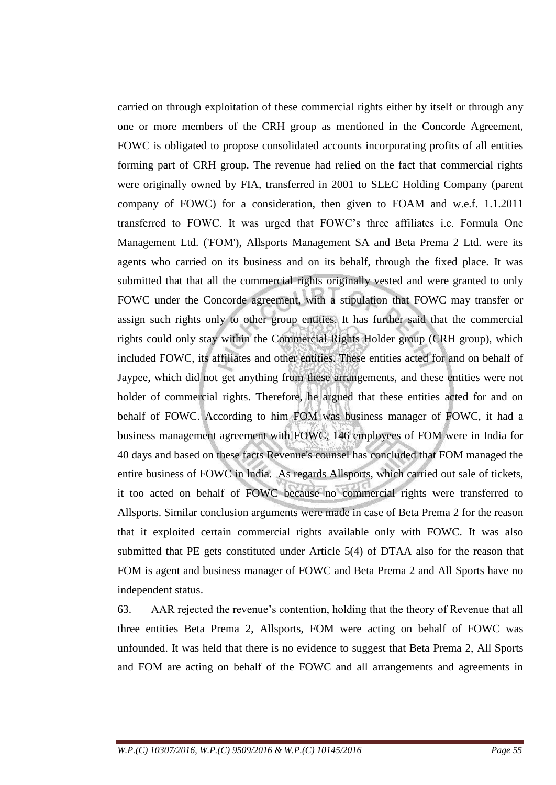carried on through exploitation of these commercial rights either by itself or through any one or more members of the CRH group as mentioned in the Concorde Agreement, FOWC is obligated to propose consolidated accounts incorporating profits of all entities forming part of CRH group. The revenue had relied on the fact that commercial rights were originally owned by FIA, transferred in 2001 to SLEC Holding Company (parent company of FOWC) for a consideration, then given to FOAM and w.e.f. 1.1.2011 transferred to FOWC. It was urged that FOWC"s three affiliates i.e. Formula One Management Ltd. ('FOM'), Allsports Management SA and Beta Prema 2 Ltd. were its agents who carried on its business and on its behalf, through the fixed place. It was submitted that that all the commercial rights originally vested and were granted to only FOWC under the Concorde agreement, with a stipulation that FOWC may transfer or assign such rights only to other group entities. It has further said that the commercial rights could only stay within the Commercial Rights Holder group (CRH group), which included FOWC, its affiliates and other entities. These entities acted for and on behalf of Jaypee, which did not get anything from these arrangements, and these entities were not holder of commercial rights. Therefore, he argued that these entities acted for and on behalf of FOWC. According to him FOM was business manager of FOWC, it had a business management agreement with FOWC, 146 employees of FOM were in India for 40 days and based on these facts Revenue's counsel has concluded that FOM managed the entire business of FOWC in lndia. As regards Allsports, which carried out sale of tickets, it too acted on behalf of FOWC because no commercial rights were transferred to Allsports. Similar conclusion arguments were made in case of Beta Prema 2 for the reason that it exploited certain commercial rights available only with FOWC. It was also submitted that PE gets constituted under Article 5(4) of DTAA also for the reason that FOM is agent and business manager of FOWC and Beta Prema 2 and All Sports have no independent status.

63. AAR rejected the revenue"s contention, holding that the theory of Revenue that all three entities Beta Prema 2, Allsports, FOM were acting on behalf of FOWC was unfounded. It was held that there is no evidence to suggest that Beta Prema 2, All Sports and FOM are acting on behalf of the FOWC and all arrangements and agreements in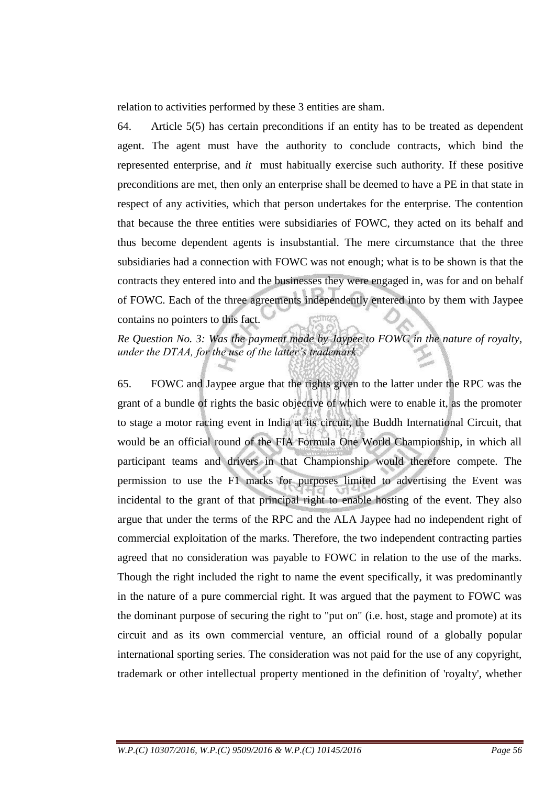relation to activities performed by these 3 entities are sham.

64. Article 5(5) has certain preconditions if an entity has to be treated as dependent agent. The agent must have the authority to conclude contracts, which bind the represented enterprise, and *it* must habitually exercise such authority. If these positive preconditions are met, then only an enterprise shall be deemed to have a PE in that state in respect of any activities, which that person undertakes for the enterprise. The contention that because the three entities were subsidiaries of FOWC, they acted on its behalf and thus become dependent agents is insubstantial. The mere circumstance that the three subsidiaries had a connection with FOWC was not enough; what is to be shown is that the contracts they entered into and the businesses they were engaged in, was for and on behalf of FOWC. Each of the three agreements independently entered into by them with Jaypee contains no pointers to this fact.

# *Re Question No. 3: Was the payment made by Jaypee to FOWC in the nature of royalty, under the DTAA, for the use of the latter's trademark*

65. FOWC and Jaypee argue that the rights given to the latter under the RPC was the grant of a bundle of rights the basic objective of which were to enable it, as the promoter to stage a motor racing event in India at its circuit, the Buddh International Circuit, that would be an official round of the FIA Formula One World Championship, in which all participant teams and drivers in that Championship would therefore compete. The permission to use the F1 marks for purposes limited to advertising the Event was incidental to the grant of that principal right to enable hosting of the event. They also argue that under the terms of the RPC and the ALA Jaypee had no independent right of commercial exploitation of the marks. Therefore, the two independent contracting parties agreed that no consideration was payable to FOWC in relation to the use of the marks. Though the right included the right to name the event specifically, it was predominantly in the nature of a pure commercial right. It was argued that the payment to FOWC was the dominant purpose of securing the right to "put on" (i.e. host, stage and promote) at its circuit and as its own commercial venture, an official round of a globally popular international sporting series. The consideration was not paid for the use of any copyright, trademark or other intellectual property mentioned in the definition of 'royalty', whether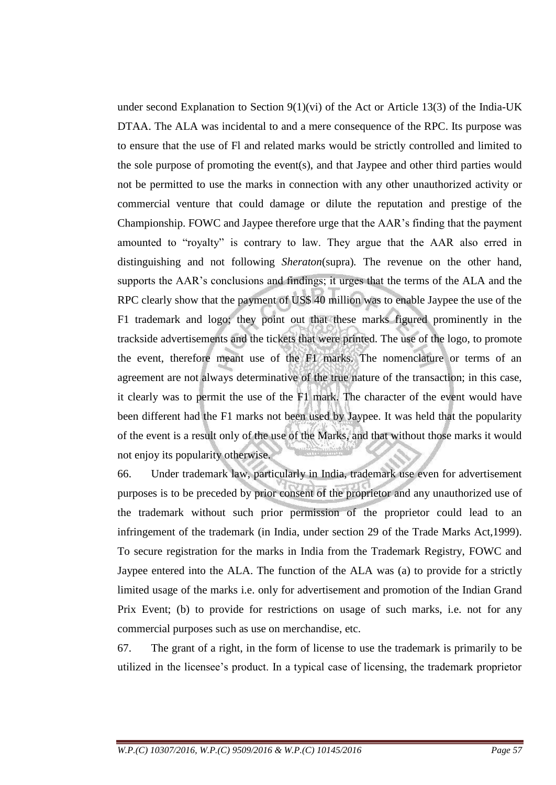under second Explanation to Section  $9(1)(vi)$  of the Act or Article 13(3) of the India-UK DTAA. The ALA was incidental to and a mere consequence of the RPC. Its purpose was to ensure that the use of Fl and related marks would be strictly controlled and limited to the sole purpose of promoting the event(s), and that Jaypee and other third parties would not be permitted to use the marks in connection with any other unauthorized activity or commercial venture that could damage or dilute the reputation and prestige of the Championship. FOWC and Jaypee therefore urge that the AAR"s finding that the payment amounted to "royalty" is contrary to law. They argue that the AAR also erred in distinguishing and not following *Sheraton*(supra)*.* The revenue on the other hand, supports the AAR's conclusions and findings; it urges that the terms of the ALA and the RPC clearly show that the payment of US\$ 40 million was to enable Jaypee the use of the F1 trademark and logo; they point out that these marks figured prominently in the trackside advertisements and the tickets that were printed. The use of the logo, to promote the event, therefore meant use of the F1 marks. The nomenclature or terms of an agreement are not always determinative of the true nature of the transaction; in this case, it clearly was to permit the use of the F1 mark. The character of the event would have been different had the F1 marks not been used by Jaypee. It was held that the popularity of the event is a result only of the use of the Marks, and that without those marks it would not enjoy its popularity otherwise.

66. Under trademark law, particularly in India, trademark use even for advertisement purposes is to be preceded by prior consent of the proprietor and any unauthorized use of the trademark without such prior permission of the proprietor could lead to an infringement of the trademark (in India, under section 29 of the Trade Marks Act,1999). To secure registration for the marks in India from the Trademark Registry, FOWC and Jaypee entered into the ALA. The function of the ALA was (a) to provide for a strictly limited usage of the marks i.e. only for advertisement and promotion of the Indian Grand Prix Event; (b) to provide for restrictions on usage of such marks, i.e. not for any commercial purposes such as use on merchandise, etc.

67. The grant of a right, in the form of license to use the trademark is primarily to be utilized in the licensee"s product. In a typical case of licensing, the trademark proprietor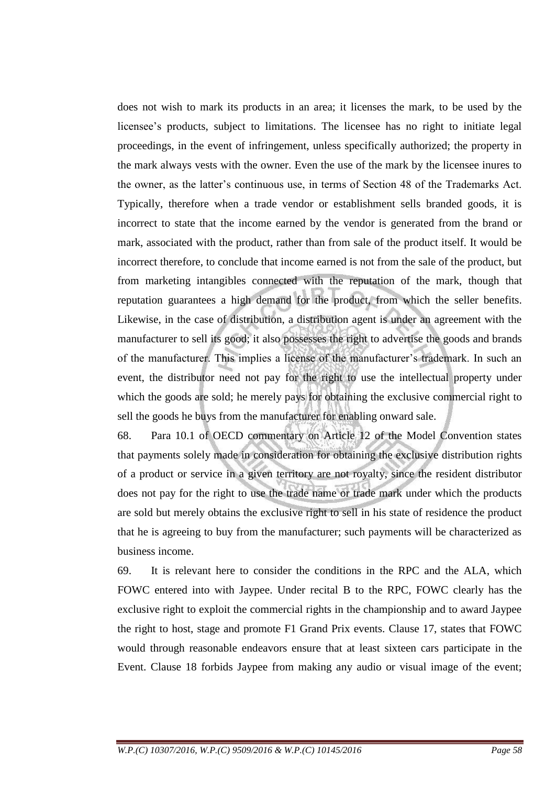does not wish to mark its products in an area; it licenses the mark, to be used by the licensee"s products, subject to limitations. The licensee has no right to initiate legal proceedings, in the event of infringement, unless specifically authorized; the property in the mark always vests with the owner. Even the use of the mark by the licensee inures to the owner, as the latter"s continuous use, in terms of Section 48 of the Trademarks Act. Typically, therefore when a trade vendor or establishment sells branded goods, it is incorrect to state that the income earned by the vendor is generated from the brand or mark, associated with the product, rather than from sale of the product itself. It would be incorrect therefore, to conclude that income earned is not from the sale of the product, but from marketing intangibles connected with the reputation of the mark, though that reputation guarantees a high demand for the product, from which the seller benefits. Likewise, in the case of distribution, a distribution agent is under an agreement with the manufacturer to sell its good; it also possesses the right to advertise the goods and brands of the manufacturer. This implies a license of the manufacturer's trademark. In such an event, the distributor need not pay for the right to use the intellectual property under which the goods are sold; he merely pays for obtaining the exclusive commercial right to sell the goods he buys from the manufacturer for enabling onward sale.

68. Para 10.1 of OECD commentary on Article 12 of the Model Convention states that payments solely made in consideration for obtaining the exclusive distribution rights of a product or service in a given territory are not royalty, since the resident distributor does not pay for the right to use the trade name or trade mark under which the products are sold but merely obtains the exclusive right to sell in his state of residence the product that he is agreeing to buy from the manufacturer; such payments will be characterized as business income.

69. It is relevant here to consider the conditions in the RPC and the ALA, which FOWC entered into with Jaypee. Under recital B to the RPC, FOWC clearly has the exclusive right to exploit the commercial rights in the championship and to award Jaypee the right to host, stage and promote F1 Grand Prix events. Clause 17, states that FOWC would through reasonable endeavors ensure that at least sixteen cars participate in the Event. Clause 18 forbids Jaypee from making any audio or visual image of the event;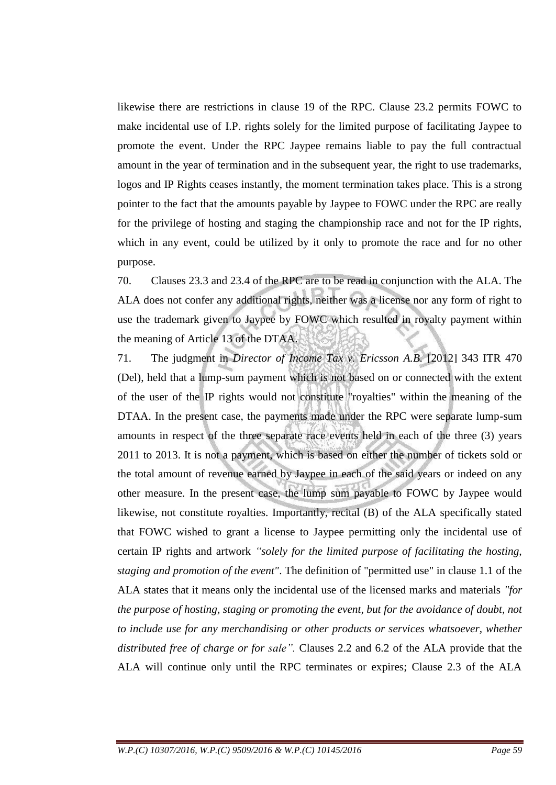likewise there are restrictions in clause 19 of the RPC. Clause 23.2 permits FOWC to make incidental use of I.P. rights solely for the limited purpose of facilitating Jaypee to promote the event. Under the RPC Jaypee remains liable to pay the full contractual amount in the year of termination and in the subsequent year, the right to use trademarks, logos and IP Rights ceases instantly, the moment termination takes place. This is a strong pointer to the fact that the amounts payable by Jaypee to FOWC under the RPC are really for the privilege of hosting and staging the championship race and not for the IP rights, which in any event, could be utilized by it only to promote the race and for no other purpose.

70. Clauses 23.3 and 23.4 of the RPC are to be read in conjunction with the ALA. The ALA does not confer any additional rights, neither was a license nor any form of right to use the trademark given to Jaypee by FOWC which resulted in royalty payment within the meaning of Article 13 of the DTAA.

71. The judgment in *Director of Income Tax v. Ericsson A.B.* [2012] 343 ITR 470 (Del), held that a lump-sum payment which is not based on or connected with the extent of the user of the IP rights would not constitute "royalties" within the meaning of the DTAA. In the present case, the payments made under the RPC were separate lump-sum amounts in respect of the three separate race events held in each of the three (3) years 2011 to 2013. It is not a payment, which is based on either the number of tickets sold or the total amount of revenue earned by Jaypee in each of the said years or indeed on any other measure. In the present case, the lump sum payable to FOWC by Jaypee would likewise, not constitute royalties. Importantly, recital (B) of the ALA specifically stated that FOWC wished to grant a license to Jaypee permitting only the incidental use of certain IP rights and artwork *"solely for the limited purpose of facilitating the hosting, staging and promotion of the event"*. The definition of "permitted use" in clause 1.1 of the ALA states that it means only the incidental use of the licensed marks and materials *"for the purpose of hosting, staging or promoting the event, but for the avoidance of doubt, not to include use for any merchandising or other products or services whatsoever, whether distributed free of charge or for sale".* Clauses 2.2 and 6.2 of the ALA provide that the ALA will continue only until the RPC terminates or expires; Clause 2.3 of the ALA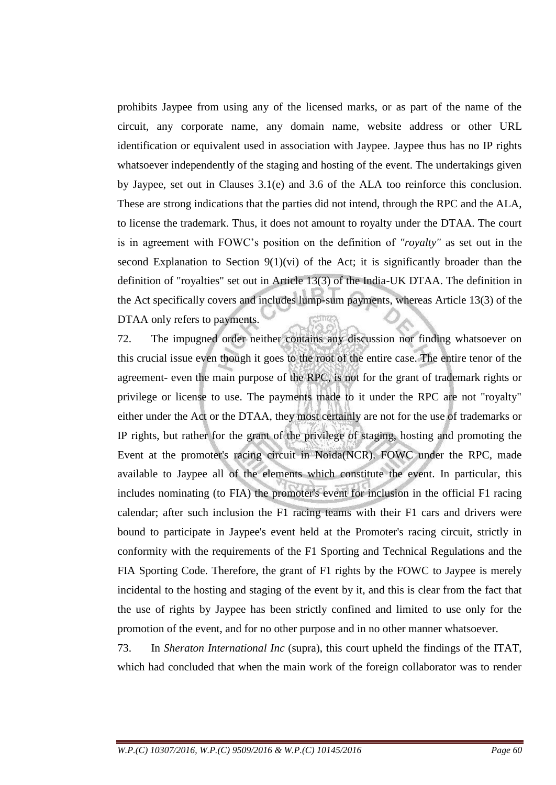prohibits Jaypee from using any of the licensed marks, or as part of the name of the circuit, any corporate name, any domain name, website address or other URL identification or equivalent used in association with Jaypee. Jaypee thus has no IP rights whatsoever independently of the staging and hosting of the event. The undertakings given by Jaypee, set out in Clauses 3.1(e) and 3.6 of the ALA too reinforce this conclusion. These are strong indications that the parties did not intend, through the RPC and the ALA, to license the trademark. Thus, it does not amount to royalty under the DTAA. The court is in agreement with FOWC"s position on the definition of *"royalty"* as set out in the second Explanation to Section  $9(1)(vi)$  of the Act; it is significantly broader than the definition of "royalties" set out in Article 13(3) of the India-UK DTAA. The definition in the Act specifically covers and includes lump-sum payments, whereas Article 13(3) of the DTAA only refers to payments.

72. The impugned order neither contains any discussion nor finding whatsoever on this crucial issue even though it goes to the root of the entire case. The entire tenor of the agreement- even the main purpose of the RPC, is not for the grant of trademark rights or privilege or license to use. The payments made to it under the RPC are not "royalty" either under the Act or the DTAA, they most certainly are not for the use of trademarks or IP rights, but rather for the grant of the privilege of staging, hosting and promoting the Event at the promoter's racing circuit in Noida(NCR). FOWC under the RPC, made available to Jaypee all of the elements which constitute the event. In particular, this includes nominating (to FIA) the promoter's event for inclusion in the official F1 racing calendar; after such inclusion the F1 racing teams with their F1 cars and drivers were bound to participate in Jaypee's event held at the Promoter's racing circuit, strictly in conformity with the requirements of the F1 Sporting and Technical Regulations and the FIA Sporting Code. Therefore, the grant of F1 rights by the FOWC to Jaypee is merely incidental to the hosting and staging of the event by it, and this is clear from the fact that the use of rights by Jaypee has been strictly confined and limited to use only for the promotion of the event, and for no other purpose and in no other manner whatsoever.

73. In *Sheraton International Inc* (supra), this court upheld the findings of the ITAT, which had concluded that when the main work of the foreign collaborator was to render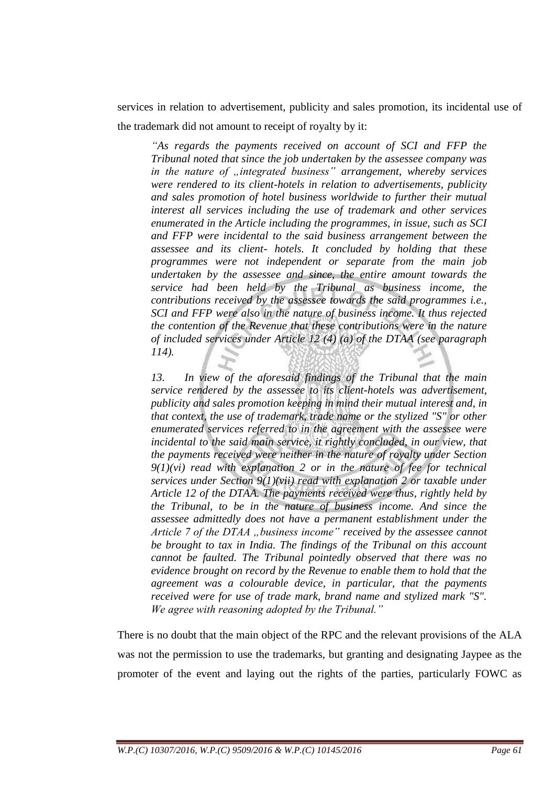services in relation to advertisement, publicity and sales promotion, its incidental use of the trademark did not amount to receipt of royalty by it:

*"As regards the payments received on account of SCI and FFP the Tribunal noted that since the job undertaken by the assessee company was in the nature of , integrated business arrangement, whereby services were rendered to its client-hotels in relation to advertisements, publicity and sales promotion of hotel business worldwide to further their mutual interest all services including the use of trademark and other services enumerated in the Article including the programmes, in issue, such as SCI and FFP were incidental to the said business arrangement between the assessee and its client- hotels. It concluded by holding that these programmes were not independent or separate from the main job undertaken by the assessee and since, the entire amount towards the service had been held by the Tribunal as business income, the contributions received by the assessee towards the said programmes i.e., SCI and FFP were also in the nature of business income. It thus rejected the contention of the Revenue that these contributions were in the nature of included services under Article 12 (4) (a) of the DTAA (see paragraph 114).*

*13. In view of the aforesaid findings of the Tribunal that the main service rendered by the assessee to its client-hotels was advertisement, publicity and sales promotion keeping in mind their mutual interest and, in that context, the use of trademark, trade name or the stylized "S" or other enumerated services referred to in the agreement with the assessee were incidental to the said main service, it rightly concluded, in our view, that the payments received were neither in the nature of royalty under Section 9(1)(vi) read with explanation 2 or in the nature of fee for technical services under Section 9(1)(vii) read with explanation 2 or taxable under Article 12 of the DTAA. The payments received were thus, rightly held by the Tribunal, to be in the nature of business income. And since the assessee admittedly does not have a permanent establishment under the Article 7 of the DTAA "business income" received by the assessee cannot be brought to tax in India. The findings of the Tribunal on this account cannot be faulted. The Tribunal pointedly observed that there was no evidence brought on record by the Revenue to enable them to hold that the agreement was a colourable device, in particular, that the payments received were for use of trade mark, brand name and stylized mark "S". We agree with reasoning adopted by the Tribunal."*

There is no doubt that the main object of the RPC and the relevant provisions of the ALA was not the permission to use the trademarks, but granting and designating Jaypee as the promoter of the event and laying out the rights of the parties, particularly FOWC as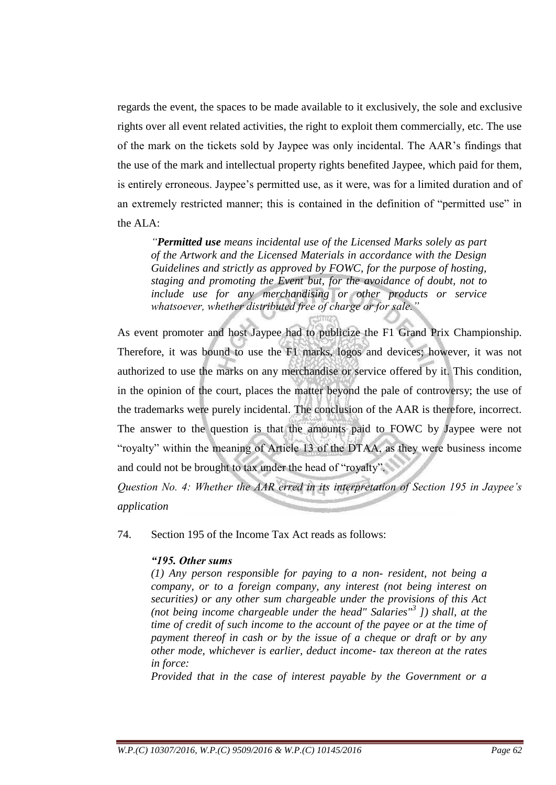regards the event, the spaces to be made available to it exclusively, the sole and exclusive rights over all event related activities, the right to exploit them commercially, etc. The use of the mark on the tickets sold by Jaypee was only incidental. The AAR"s findings that the use of the mark and intellectual property rights benefited Jaypee, which paid for them, is entirely erroneous. Jaypee's permitted use, as it were, was for a limited duration and of an extremely restricted manner; this is contained in the definition of "permitted use" in the ALA:

*"Permitted use means incidental use of the Licensed Marks solely as part of the Artwork and the Licensed Materials in accordance with the Design Guidelines and strictly as approved by FOWC, for the purpose of hosting, staging and promoting the Event but, for the avoidance of doubt, not to include use for any merchandising or other products or service whatsoever, whether distributed free of charge or for sale."*

As event promoter and host Jaypee had to publicize the F1 Grand Prix Championship. Therefore, it was bound to use the F1 marks, logos and devices; however, it was not authorized to use the marks on any merchandise or service offered by it. This condition, in the opinion of the court, places the matter beyond the pale of controversy; the use of the trademarks were purely incidental. The conclusion of the AAR is therefore, incorrect. The answer to the question is that the amounts paid to FOWC by Jaypee were not "royalty" within the meaning of Article 13 of the DTAA, as they were business income and could not be brought to tax under the head of "royalty".

*Question No. 4: Whether the AAR erred in its interpretation of Section 195 in Jaypee's application*

74. Section 195 of the Income Tax Act reads as follows:

### *"195. Other sums*

*(1) Any person responsible for paying to a non- resident, not being a company, or to a foreign company, any interest (not being interest on securities) or any other sum chargeable under the provisions of this Act (not being income chargeable under the head" Salaries"<sup>3</sup> ]) shall, at the time of credit of such income to the account of the payee or at the time of payment thereof in cash or by the issue of a cheque or draft or by any other mode, whichever is earlier, deduct income- tax thereon at the rates in force:* 

*Provided that in the case of interest payable by the Government or a*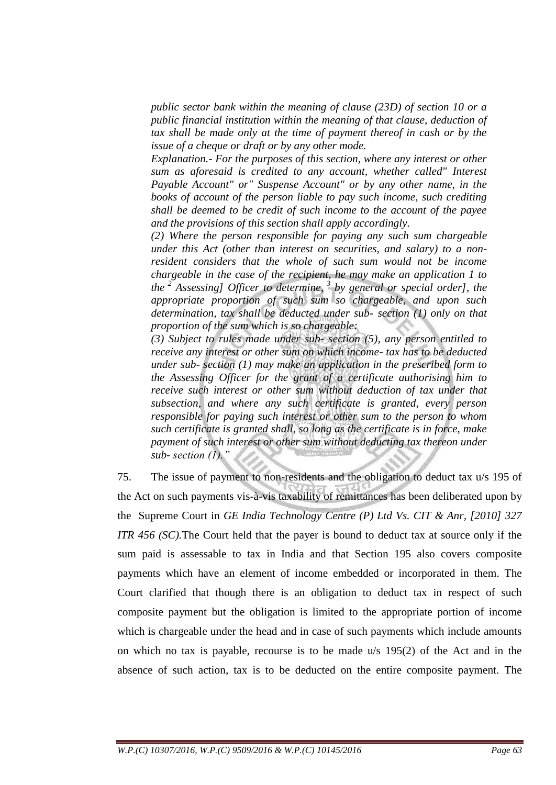*public sector bank within the meaning of clause (23D) of section 10 or a public financial institution within the meaning of that clause, deduction of tax shall be made only at the time of payment thereof in cash or by the issue of a cheque or draft or by any other mode.*

*Explanation.- For the purposes of this section, where any interest or other sum as aforesaid is credited to any account, whether called" Interest Payable Account" or" Suspense Account" or by any other name, in the books of account of the person liable to pay such income, such crediting shall be deemed to be credit of such income to the account of the payee and the provisions of this section shall apply accordingly.*

*(2) Where the person responsible for paying any such sum chargeable under this Act (other than interest on securities, and salary) to a nonresident considers that the whole of such sum would not be income chargeable in the case of the recipient, he may make an application 1 to the <sup>2</sup> Assessing] Officer to determine, <sup>3</sup> by general or special order], the appropriate proportion of such sum so chargeable, and upon such determination, tax shall be deducted under sub- section (1) only on that proportion of the sum which is so chargeable:*

*(3) Subject to rules made under sub- section (5), any person entitled to receive any interest or other sum on which income- tax has to be deducted under sub- section (1) may make an application in the prescribed form to the Assessing Officer for the grant of a certificate authorising him to receive such interest or other sum without deduction of tax under that subsection, and where any such certificate is granted, every person responsible for paying such interest or other sum to the person to whom such certificate is granted shall, so long as the certificate is in force, make payment of such interest or other sum without deducting tax thereon under sub- section (1)."*

75. The issue of payment to non-residents and the obligation to deduct tax u/s 195 of the Act on such payments vis-à-vis taxability of remittances has been deliberated upon by the Supreme Court in *GE India Technology Centre (P) Ltd Vs. CIT & Anr, [2010] 327 ITR 456 (SC).*The Court held that the payer is bound to deduct tax at source only if the sum paid is assessable to tax in India and that Section 195 also covers composite payments which have an element of income embedded or incorporated in them. The Court clarified that though there is an obligation to deduct tax in respect of such composite payment but the obligation is limited to the appropriate portion of income which is chargeable under the head and in case of such payments which include amounts on which no tax is payable, recourse is to be made u/s 195(2) of the Act and in the absence of such action, tax is to be deducted on the entire composite payment. The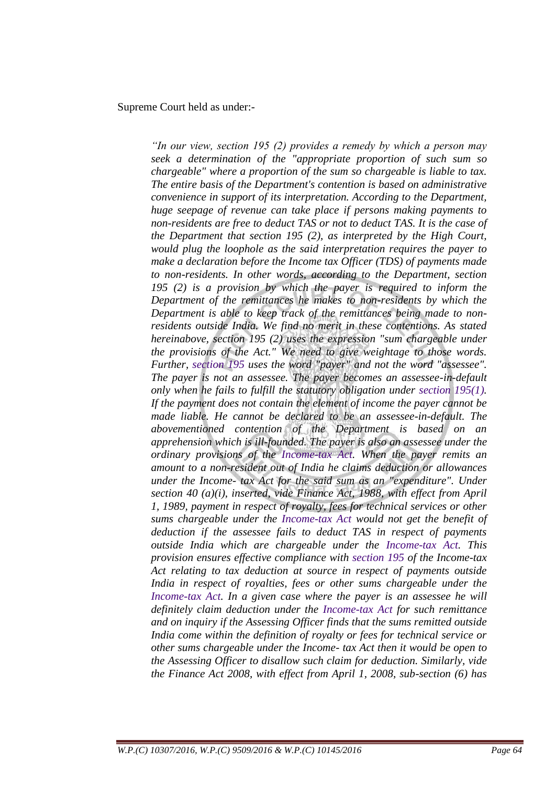### Supreme Court held as under:-

*"In our view, section 195 (2) provides a remedy by which a person may seek a determination of the "appropriate proportion of such sum so chargeable" where a proportion of the sum so chargeable is liable to tax. The entire basis of the Department's contention is based on administrative convenience in support of its interpretation. According to the Department, huge seepage of revenue can take place if persons making payments to non-residents are free to deduct TAS or not to deduct TAS. It is the case of the Department that section 195 (2), as interpreted by the High Court, would plug the loophole as the said interpretation requires the payer to make a declaration before the Income tax Officer (TDS) of payments made to non-residents. In other words, according to the Department, section 195 (2) is a provision by which the payer is required to inform the Department of the remittances he makes to non-residents by which the Department is able to keep track of the remittances being made to nonresidents outside India. We find no merit in these contentions. As stated hereinabove, section 195 (2) uses the expression "sum chargeable under the provisions of the Act." We need to give weightage to those words. Further, [section 195](https://indiankanoon.org/doc/1329583/) uses the word "payer" and not the word "assessee". The payer is not an assessee. The payer becomes an assessee-in-default only when he fails to fulfill the statutory obligation under [section 195\(1\).](https://indiankanoon.org/doc/260037/) If the payment does not contain the element of income the payer cannot be made liable. He cannot be declared to be an assessee-in-default. The abovementioned contention of the Department is based on an apprehension which is ill-founded. The payer is also an assessee under the ordinary provisions of the [Income-tax Act.](https://indiankanoon.org/doc/789969/) When the payer remits an amount to a non-resident out of India he claims deduction or allowances under the Income- tax Act for the said sum as an "expenditure". Under section 40 (a)(i), inserted, vide Finance Act, 1988, with effect from April 1, 1989, payment in respect of royalty, fees for technical services or other sums chargeable under the [Income-tax Act](https://indiankanoon.org/doc/789969/) would not get the benefit of deduction if the assessee fails to deduct TAS in respect of payments outside India which are chargeable under the [Income-tax Act.](https://indiankanoon.org/doc/789969/) This provision ensures effective compliance with [section 195](https://indiankanoon.org/doc/1329583/) of the Income-tax Act relating to tax deduction at source in respect of payments outside India in respect of royalties, fees or other sums chargeable under the [Income-tax Act.](https://indiankanoon.org/doc/789969/) In a given case where the payer is an assessee he will definitely claim deduction under the [Income-tax Act](https://indiankanoon.org/doc/789969/) for such remittance and on inquiry if the Assessing Officer finds that the sums remitted outside India come within the definition of royalty or fees for technical service or other sums chargeable under the Income- tax Act then it would be open to the Assessing Officer to disallow such claim for deduction. Similarly, vide the Finance Act 2008, with effect from April 1, 2008, sub-section (6) has*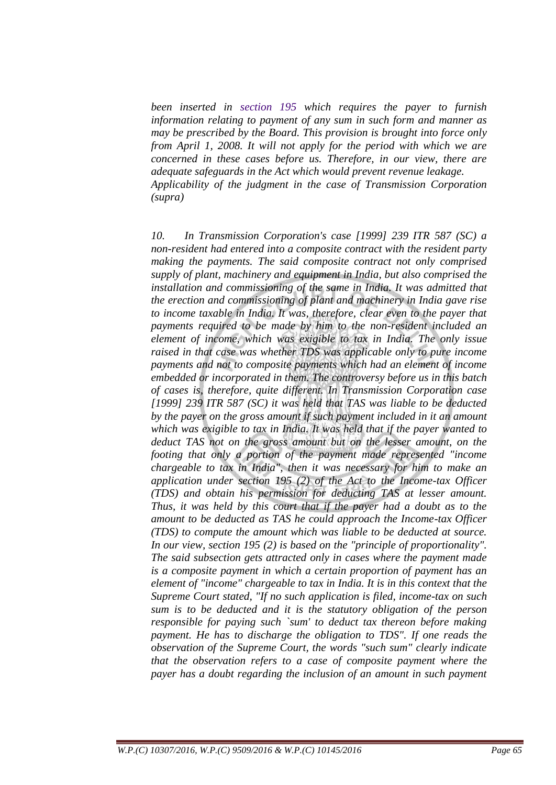*been inserted in [section 195](https://indiankanoon.org/doc/1329583/) which requires the payer to furnish information relating to payment of any sum in such form and manner as may be prescribed by the Board. This provision is brought into force only from April 1, 2008. It will not apply for the period with which we are concerned in these cases before us. Therefore, in our view, there are adequate safeguards in the Act which would prevent revenue leakage. Applicability of the judgment in the case of Transmission Corporation (supra)*

*10. In Transmission Corporation's case [1999] 239 ITR 587 (SC) a non-resident had entered into a composite contract with the resident party making the payments. The said composite contract not only comprised supply of plant, machinery and equipment in India, but also comprised the installation and commissioning of the same in India. It was admitted that the erection and commissioning of plant and machinery in India gave rise to income taxable in India. It was, therefore, clear even to the payer that payments required to be made by him to the non-resident included an element of income, which was exigible to tax in India. The only issue raised in that case was whether TDS was applicable only to pure income payments and not to composite payments which had an element of income embedded or incorporated in them. The controversy before us in this batch of cases is, therefore, quite different. In Transmission Corporation case [1999] 239 ITR 587 (SC) it was held that TAS was liable to be deducted by the payer on the gross amount if such payment included in it an amount which was exigible to tax in India. It was held that if the payer wanted to deduct TAS not on the gross amount but on the lesser amount, on the footing that only a portion of the payment made represented "income chargeable to tax in India", then it was necessary for him to make an application under section 195 (2) of the Act to the Income-tax Officer (TDS) and obtain his permission for deducting TAS at lesser amount. Thus, it was held by this court that if the payer had a doubt as to the amount to be deducted as TAS he could approach the Income-tax Officer (TDS) to compute the amount which was liable to be deducted at source. In our view, section 195 (2) is based on the "principle of proportionality". The said subsection gets attracted only in cases where the payment made is a composite payment in which a certain proportion of payment has an element of "income" chargeable to tax in India. It is in this context that the Supreme Court stated, "If no such application is filed, income-tax on such sum is to be deducted and it is the statutory obligation of the person responsible for paying such `sum' to deduct tax thereon before making payment. He has to discharge the obligation to TDS". If one reads the observation of the Supreme Court, the words "such sum" clearly indicate that the observation refers to a case of composite payment where the payer has a doubt regarding the inclusion of an amount in such payment*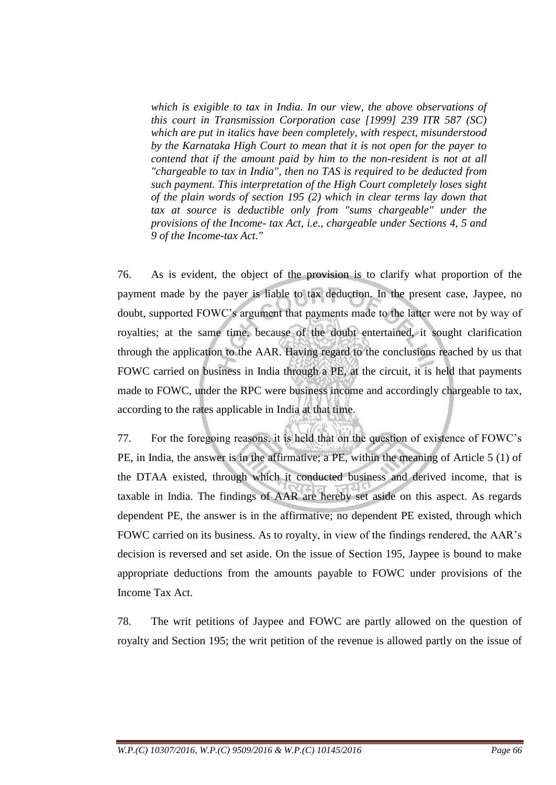*which is exigible to tax in India. In our view, the above observations of this court in Transmission Corporation case [1999] 239 ITR 587 (SC) which are put in italics have been completely, with respect, misunderstood by the Karnataka High Court to mean that it is not open for the payer to contend that if the amount paid by him to the non-resident is not at all "chargeable to tax in India", then no TAS is required to be deducted from such payment. This interpretation of the High Court completely loses sight of the plain words of section 195 (2) which in clear terms lay down that tax at source is deductible only from "sums chargeable" under the provisions of the Income- tax Act, i.e., chargeable under Sections 4, 5 and 9 of the Income-tax Act."*

76. As is evident, the object of the provision is to clarify what proportion of the payment made by the payer is liable to tax deduction. In the present case, Jaypee, no doubt, supported FOWC"s argument that payments made to the latter were not by way of royalties; at the same time, because of the doubt entertained, it sought clarification through the application to the AAR. Having regard to the conclusions reached by us that FOWC carried on business in India through a PE, at the circuit, it is held that payments made to FOWC, under the RPC were business income and accordingly chargeable to tax, according to the rates applicable in India at that time.

77. For the foregoing reasons, it is held that on the question of existence of FOWC"s PE, in India, the answer is in the affirmative; a PE, within the meaning of Article 5 (1) of the DTAA existed, through which it conducted business and derived income, that is taxable in India. The findings of AAR are hereby set aside on this aspect. As regards dependent PE, the answer is in the affirmative; no dependent PE existed, through which FOWC carried on its business. As to royalty, in view of the findings rendered, the AAR"s decision is reversed and set aside. On the issue of Section 195, Jaypee is bound to make appropriate deductions from the amounts payable to FOWC under provisions of the Income Tax Act.

78. The writ petitions of Jaypee and FOWC are partly allowed on the question of royalty and Section 195; the writ petition of the revenue is allowed partly on the issue of